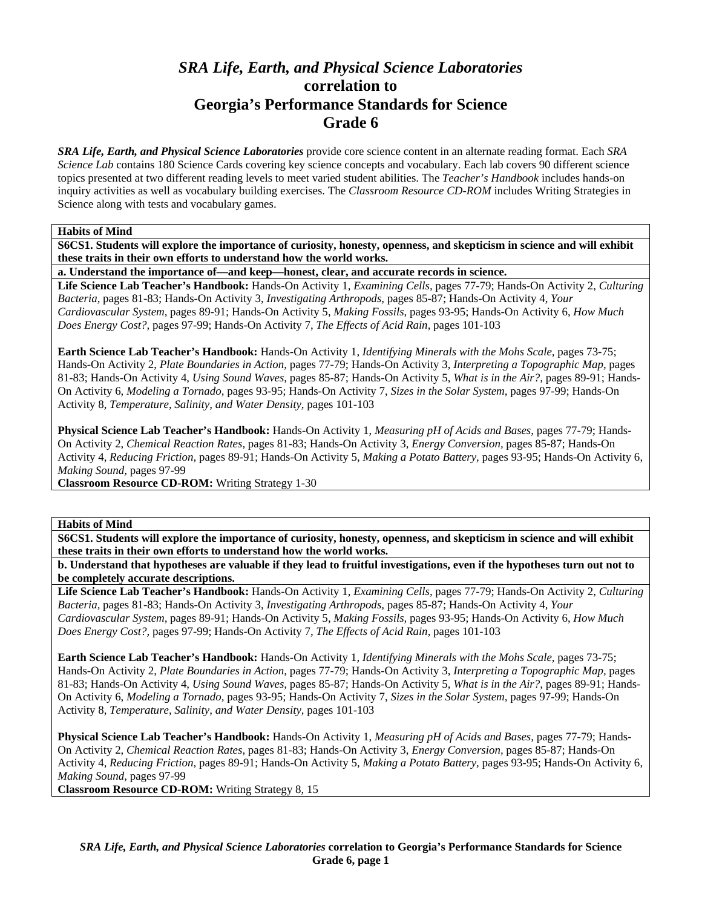# *SRA Life, Earth, and Physical Science Laboratories*  **correlation to Georgia's Performance Standards for Science Grade 6**

*SRA Life, Earth, and Physical Science Laboratories* provide core science content in an alternate reading format. Each *SRA Science Lab* contains 180 Science Cards covering key science concepts and vocabulary. Each lab covers 90 different science topics presented at two different reading levels to meet varied student abilities. The *Teacher's Handbook* includes hands-on inquiry activities as well as vocabulary building exercises. The *Classroom Resource CD-ROM* includes Writing Strategies in Science along with tests and vocabulary games.

#### **Habits of Mind**

**S6CS1. Students will explore the importance of curiosity, honesty, openness, and skepticism in science and will exhibit these traits in their own efforts to understand how the world works.** 

**a. Understand the importance of—and keep—honest, clear, and accurate records in science.** 

**Life Science Lab Teacher's Handbook:** Hands-On Activity 1, *Examining Cells,* pages 77-79; Hands-On Activity 2, *Culturing Bacteria,* pages 81-83; Hands-On Activity 3, *Investigating Arthropods,* pages 85-87; Hands-On Activity 4, *Your Cardiovascular System,* pages 89-91; Hands-On Activity 5, *Making Fossils,* pages 93-95; Hands-On Activity 6, *How Much Does Energy Cost?,* pages 97-99; Hands-On Activity 7, *The Effects of Acid Rain,* pages 101-103

**Earth Science Lab Teacher's Handbook:** Hands-On Activity 1, *Identifying Minerals with the Mohs Scale,* pages 73-75; Hands-On Activity 2, *Plate Boundaries in Action,* pages 77-79; Hands-On Activity 3, *Interpreting a Topographic Map,* pages 81-83; Hands-On Activity 4, *Using Sound Waves,* pages 85-87; Hands-On Activity 5, *What is in the Air?,* pages 89-91; Hands-On Activity 6, *Modeling a Tornado,* pages 93-95; Hands-On Activity 7, *Sizes in the Solar System,* pages 97-99; Hands-On Activity 8, *Temperature, Salinity, and Water Density,* pages 101-103

**Physical Science Lab Teacher's Handbook:** Hands-On Activity 1, *Measuring pH of Acids and Bases,* pages 77-79; Hands-On Activity 2, *Chemical Reaction Rates,* pages 81-83; Hands-On Activity 3, *Energy Conversion,* pages 85-87; Hands-On Activity 4, *Reducing Friction,* pages 89-91; Hands-On Activity 5, *Making a Potato Battery,* pages 93-95; Hands-On Activity 6, *Making Sound,* pages 97-99

**Classroom Resource CD-ROM:** Writing Strategy 1-30

#### **Habits of Mind**

**S6CS1. Students will explore the importance of curiosity, honesty, openness, and skepticism in science and will exhibit these traits in their own efforts to understand how the world works.** 

**b. Understand that hypotheses are valuable if they lead to fruitful investigations, even if the hypotheses turn out not to be completely accurate descriptions.** 

**Life Science Lab Teacher's Handbook:** Hands-On Activity 1, *Examining Cells,* pages 77-79; Hands-On Activity 2, *Culturing Bacteria,* pages 81-83; Hands-On Activity 3, *Investigating Arthropods,* pages 85-87; Hands-On Activity 4, *Your Cardiovascular System,* pages 89-91; Hands-On Activity 5, *Making Fossils,* pages 93-95; Hands-On Activity 6, *How Much Does Energy Cost?,* pages 97-99; Hands-On Activity 7, *The Effects of Acid Rain,* pages 101-103

**Earth Science Lab Teacher's Handbook:** Hands-On Activity 1, *Identifying Minerals with the Mohs Scale,* pages 73-75; Hands-On Activity 2, *Plate Boundaries in Action,* pages 77-79; Hands-On Activity 3, *Interpreting a Topographic Map,* pages 81-83; Hands-On Activity 4, *Using Sound Waves,* pages 85-87; Hands-On Activity 5, *What is in the Air?,* pages 89-91; Hands-On Activity 6, *Modeling a Tornado,* pages 93-95; Hands-On Activity 7, *Sizes in the Solar System,* pages 97-99; Hands-On Activity 8, *Temperature, Salinity, and Water Density,* pages 101-103

**Physical Science Lab Teacher's Handbook:** Hands-On Activity 1, *Measuring pH of Acids and Bases,* pages 77-79; Hands-On Activity 2, *Chemical Reaction Rates,* pages 81-83; Hands-On Activity 3, *Energy Conversion,* pages 85-87; Hands-On Activity 4, *Reducing Friction,* pages 89-91; Hands-On Activity 5, *Making a Potato Battery,* pages 93-95; Hands-On Activity 6, *Making Sound,* pages 97-99

**Classroom Resource CD-ROM:** Writing Strategy 8, 15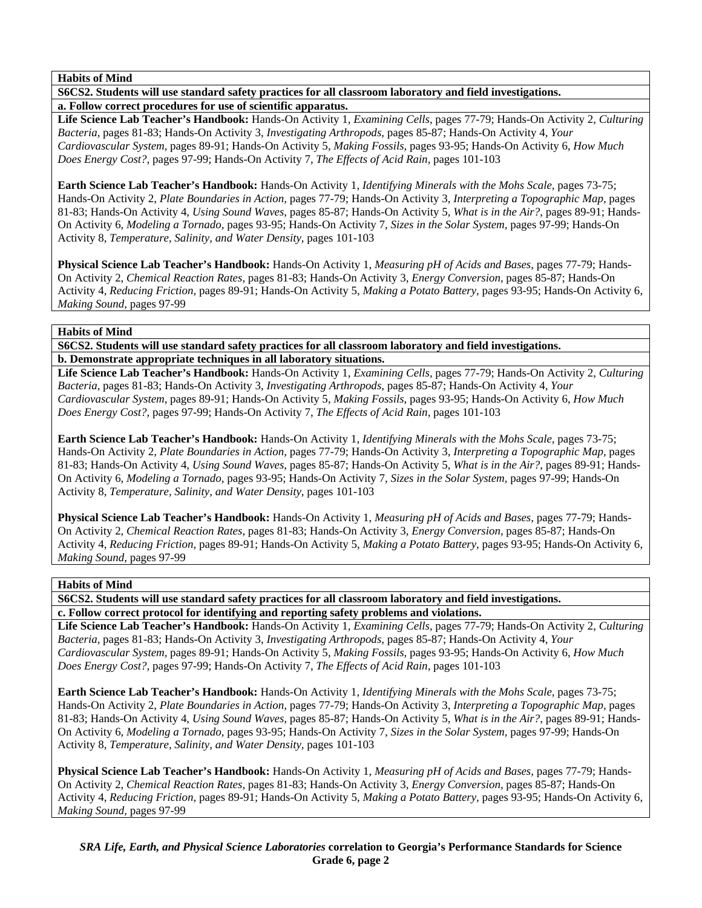**S6CS2. Students will use standard safety practices for all classroom laboratory and field investigations. a. Follow correct procedures for use of scientific apparatus.** 

**Life Science Lab Teacher's Handbook:** Hands-On Activity 1, *Examining Cells,* pages 77-79; Hands-On Activity 2, *Culturing Bacteria,* pages 81-83; Hands-On Activity 3, *Investigating Arthropods,* pages 85-87; Hands-On Activity 4, *Your Cardiovascular System,* pages 89-91; Hands-On Activity 5, *Making Fossils,* pages 93-95; Hands-On Activity 6, *How Much Does Energy Cost?,* pages 97-99; Hands-On Activity 7, *The Effects of Acid Rain,* pages 101-103

**Earth Science Lab Teacher's Handbook:** Hands-On Activity 1, *Identifying Minerals with the Mohs Scale,* pages 73-75; Hands-On Activity 2, *Plate Boundaries in Action,* pages 77-79; Hands-On Activity 3, *Interpreting a Topographic Map,* pages 81-83; Hands-On Activity 4, *Using Sound Waves,* pages 85-87; Hands-On Activity 5, *What is in the Air?,* pages 89-91; Hands-On Activity 6, *Modeling a Tornado,* pages 93-95; Hands-On Activity 7, *Sizes in the Solar System,* pages 97-99; Hands-On Activity 8, *Temperature, Salinity, and Water Density,* pages 101-103

**Physical Science Lab Teacher's Handbook:** Hands-On Activity 1, *Measuring pH of Acids and Bases,* pages 77-79; Hands-On Activity 2, *Chemical Reaction Rates,* pages 81-83; Hands-On Activity 3, *Energy Conversion,* pages 85-87; Hands-On Activity 4, *Reducing Friction,* pages 89-91; Hands-On Activity 5, *Making a Potato Battery,* pages 93-95; Hands-On Activity 6, *Making Sound,* pages 97-99

## **Habits of Mind**

**S6CS2. Students will use standard safety practices for all classroom laboratory and field investigations. b. Demonstrate appropriate techniques in all laboratory situations.** 

**Life Science Lab Teacher's Handbook:** Hands-On Activity 1, *Examining Cells,* pages 77-79; Hands-On Activity 2, *Culturing Bacteria,* pages 81-83; Hands-On Activity 3, *Investigating Arthropods,* pages 85-87; Hands-On Activity 4, *Your Cardiovascular System,* pages 89-91; Hands-On Activity 5, *Making Fossils,* pages 93-95; Hands-On Activity 6, *How Much Does Energy Cost?,* pages 97-99; Hands-On Activity 7, *The Effects of Acid Rain,* pages 101-103

**Earth Science Lab Teacher's Handbook:** Hands-On Activity 1, *Identifying Minerals with the Mohs Scale,* pages 73-75; Hands-On Activity 2, *Plate Boundaries in Action,* pages 77-79; Hands-On Activity 3, *Interpreting a Topographic Map,* pages 81-83; Hands-On Activity 4, *Using Sound Waves,* pages 85-87; Hands-On Activity 5, *What is in the Air?,* pages 89-91; Hands-On Activity 6, *Modeling a Tornado,* pages 93-95; Hands-On Activity 7, *Sizes in the Solar System,* pages 97-99; Hands-On Activity 8, *Temperature, Salinity, and Water Density,* pages 101-103

**Physical Science Lab Teacher's Handbook:** Hands-On Activity 1, *Measuring pH of Acids and Bases,* pages 77-79; Hands-On Activity 2, *Chemical Reaction Rates,* pages 81-83; Hands-On Activity 3, *Energy Conversion,* pages 85-87; Hands-On Activity 4, *Reducing Friction,* pages 89-91; Hands-On Activity 5, *Making a Potato Battery,* pages 93-95; Hands-On Activity 6, *Making Sound,* pages 97-99

## **Habits of Mind**

**S6CS2. Students will use standard safety practices for all classroom laboratory and field investigations. c. Follow correct protocol for identifying and reporting safety problems and violations.** 

**Life Science Lab Teacher's Handbook:** Hands-On Activity 1, *Examining Cells,* pages 77-79; Hands-On Activity 2, *Culturing Bacteria,* pages 81-83; Hands-On Activity 3, *Investigating Arthropods,* pages 85-87; Hands-On Activity 4, *Your Cardiovascular System,* pages 89-91; Hands-On Activity 5, *Making Fossils,* pages 93-95; Hands-On Activity 6, *How Much Does Energy Cost?,* pages 97-99; Hands-On Activity 7, *The Effects of Acid Rain,* pages 101-103

**Earth Science Lab Teacher's Handbook:** Hands-On Activity 1, *Identifying Minerals with the Mohs Scale,* pages 73-75; Hands-On Activity 2, *Plate Boundaries in Action,* pages 77-79; Hands-On Activity 3, *Interpreting a Topographic Map,* pages 81-83; Hands-On Activity 4, *Using Sound Waves,* pages 85-87; Hands-On Activity 5, *What is in the Air?,* pages 89-91; Hands-On Activity 6, *Modeling a Tornado,* pages 93-95; Hands-On Activity 7, *Sizes in the Solar System,* pages 97-99; Hands-On Activity 8, *Temperature, Salinity, and Water Density,* pages 101-103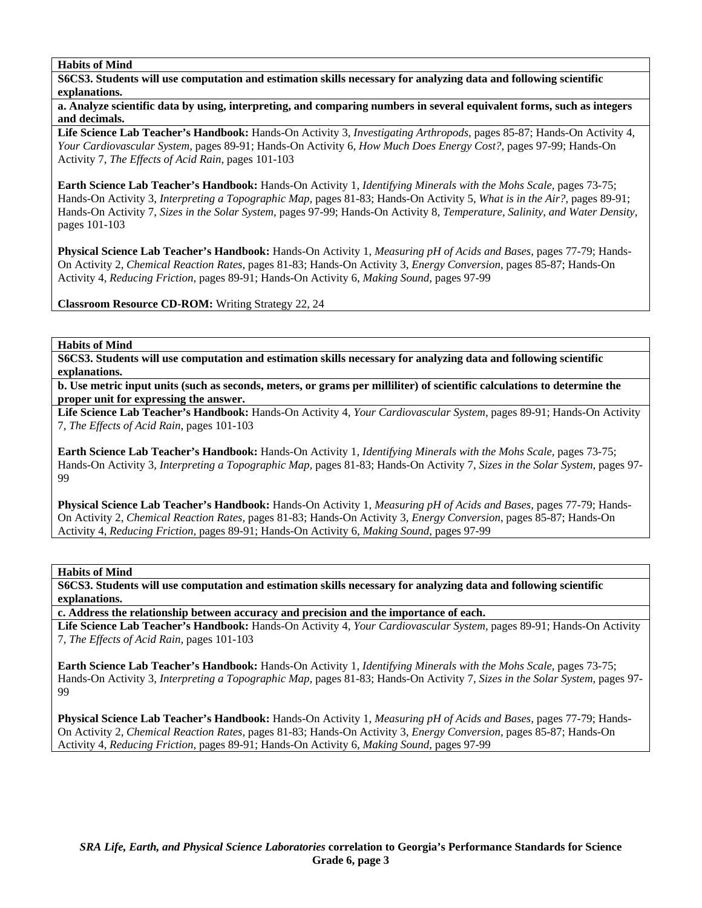**S6CS3. Students will use computation and estimation skills necessary for analyzing data and following scientific explanations.** 

**a. Analyze scientific data by using, interpreting, and comparing numbers in several equivalent forms, such as integers and decimals.** 

**Life Science Lab Teacher's Handbook:** Hands-On Activity 3, *Investigating Arthropods,* pages 85-87; Hands-On Activity 4, *Your Cardiovascular System,* pages 89-91; Hands-On Activity 6, *How Much Does Energy Cost?,* pages 97-99; Hands-On Activity 7, *The Effects of Acid Rain,* pages 101-103

**Earth Science Lab Teacher's Handbook:** Hands-On Activity 1, *Identifying Minerals with the Mohs Scale,* pages 73-75; Hands-On Activity 3, *Interpreting a Topographic Map,* pages 81-83; Hands-On Activity 5, *What is in the Air?,* pages 89-91; Hands-On Activity 7, *Sizes in the Solar System,* pages 97-99; Hands-On Activity 8, *Temperature, Salinity, and Water Density,* pages 101-103

**Physical Science Lab Teacher's Handbook:** Hands-On Activity 1, *Measuring pH of Acids and Bases,* pages 77-79; Hands-On Activity 2, *Chemical Reaction Rates,* pages 81-83; Hands-On Activity 3, *Energy Conversion,* pages 85-87; Hands-On Activity 4, *Reducing Friction,* pages 89-91; Hands-On Activity 6, *Making Sound,* pages 97-99

**Classroom Resource CD-ROM:** Writing Strategy 22, 24

#### **Habits of Mind**

**S6CS3. Students will use computation and estimation skills necessary for analyzing data and following scientific explanations.** 

**b. Use metric input units (such as seconds, meters, or grams per milliliter) of scientific calculations to determine the proper unit for expressing the answer.** 

**Life Science Lab Teacher's Handbook:** Hands-On Activity 4, *Your Cardiovascular System,* pages 89-91; Hands-On Activity 7, *The Effects of Acid Rain,* pages 101-103

**Earth Science Lab Teacher's Handbook:** Hands-On Activity 1, *Identifying Minerals with the Mohs Scale,* pages 73-75; Hands-On Activity 3, *Interpreting a Topographic Map,* pages 81-83; Hands-On Activity 7, *Sizes in the Solar System,* pages 97- 99

**Physical Science Lab Teacher's Handbook:** Hands-On Activity 1, *Measuring pH of Acids and Bases,* pages 77-79; Hands-On Activity 2, *Chemical Reaction Rates,* pages 81-83; Hands-On Activity 3, *Energy Conversion,* pages 85-87; Hands-On Activity 4, *Reducing Friction,* pages 89-91; Hands-On Activity 6, *Making Sound,* pages 97-99

## **Habits of Mind**

**S6CS3. Students will use computation and estimation skills necessary for analyzing data and following scientific explanations.** 

**c. Address the relationship between accuracy and precision and the importance of each.** 

**Life Science Lab Teacher's Handbook:** Hands-On Activity 4, *Your Cardiovascular System,* pages 89-91; Hands-On Activity 7, *The Effects of Acid Rain,* pages 101-103

**Earth Science Lab Teacher's Handbook:** Hands-On Activity 1, *Identifying Minerals with the Mohs Scale,* pages 73-75; Hands-On Activity 3, *Interpreting a Topographic Map,* pages 81-83; Hands-On Activity 7, *Sizes in the Solar System,* pages 97- 99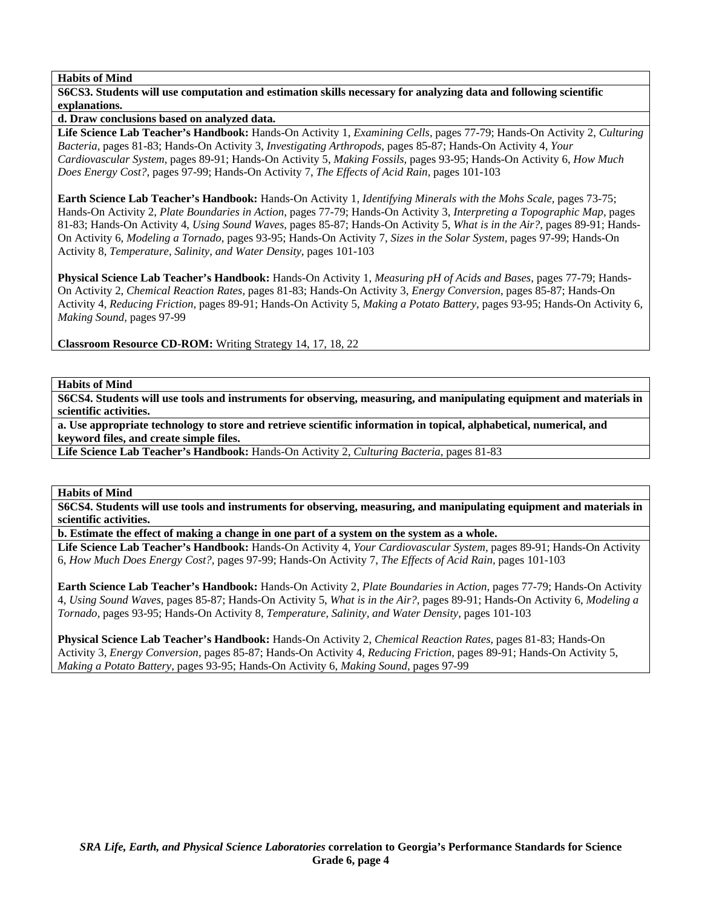**S6CS3. Students will use computation and estimation skills necessary for analyzing data and following scientific explanations.** 

**d. Draw conclusions based on analyzed data.** 

**Life Science Lab Teacher's Handbook:** Hands-On Activity 1, *Examining Cells,* pages 77-79; Hands-On Activity 2, *Culturing Bacteria,* pages 81-83; Hands-On Activity 3, *Investigating Arthropods,* pages 85-87; Hands-On Activity 4, *Your Cardiovascular System,* pages 89-91; Hands-On Activity 5, *Making Fossils,* pages 93-95; Hands-On Activity 6, *How Much Does Energy Cost?,* pages 97-99; Hands-On Activity 7, *The Effects of Acid Rain,* pages 101-103

**Earth Science Lab Teacher's Handbook:** Hands-On Activity 1, *Identifying Minerals with the Mohs Scale,* pages 73-75; Hands-On Activity 2, *Plate Boundaries in Action,* pages 77-79; Hands-On Activity 3, *Interpreting a Topographic Map,* pages 81-83; Hands-On Activity 4, *Using Sound Waves,* pages 85-87; Hands-On Activity 5, *What is in the Air?,* pages 89-91; Hands-On Activity 6, *Modeling a Tornado,* pages 93-95; Hands-On Activity 7, *Sizes in the Solar System,* pages 97-99; Hands-On Activity 8, *Temperature, Salinity, and Water Density,* pages 101-103

**Physical Science Lab Teacher's Handbook:** Hands-On Activity 1, *Measuring pH of Acids and Bases,* pages 77-79; Hands-On Activity 2, *Chemical Reaction Rates,* pages 81-83; Hands-On Activity 3, *Energy Conversion,* pages 85-87; Hands-On Activity 4, *Reducing Friction,* pages 89-91; Hands-On Activity 5, *Making a Potato Battery,* pages 93-95; Hands-On Activity 6, *Making Sound,* pages 97-99

**Classroom Resource CD-ROM:** Writing Strategy 14, 17, 18, 22

**Habits of Mind** 

**S6CS4. Students will use tools and instruments for observing, measuring, and manipulating equipment and materials in scientific activities.** 

**a. Use appropriate technology to store and retrieve scientific information in topical, alphabetical, numerical, and keyword files, and create simple files.** 

**Life Science Lab Teacher's Handbook:** Hands-On Activity 2, *Culturing Bacteria,* pages 81-83

**Habits of Mind** 

**S6CS4. Students will use tools and instruments for observing, measuring, and manipulating equipment and materials in scientific activities.** 

**b. Estimate the effect of making a change in one part of a system on the system as a whole.** 

**Life Science Lab Teacher's Handbook:** Hands-On Activity 4, *Your Cardiovascular System,* pages 89-91; Hands-On Activity 6, *How Much Does Energy Cost?,* pages 97-99; Hands-On Activity 7, *The Effects of Acid Rain,* pages 101-103

**Earth Science Lab Teacher's Handbook:** Hands-On Activity 2, *Plate Boundaries in Action,* pages 77-79; Hands-On Activity 4, *Using Sound Waves,* pages 85-87; Hands-On Activity 5, *What is in the Air?,* pages 89-91; Hands-On Activity 6, *Modeling a Tornado,* pages 93-95; Hands-On Activity 8, *Temperature, Salinity, and Water Density,* pages 101-103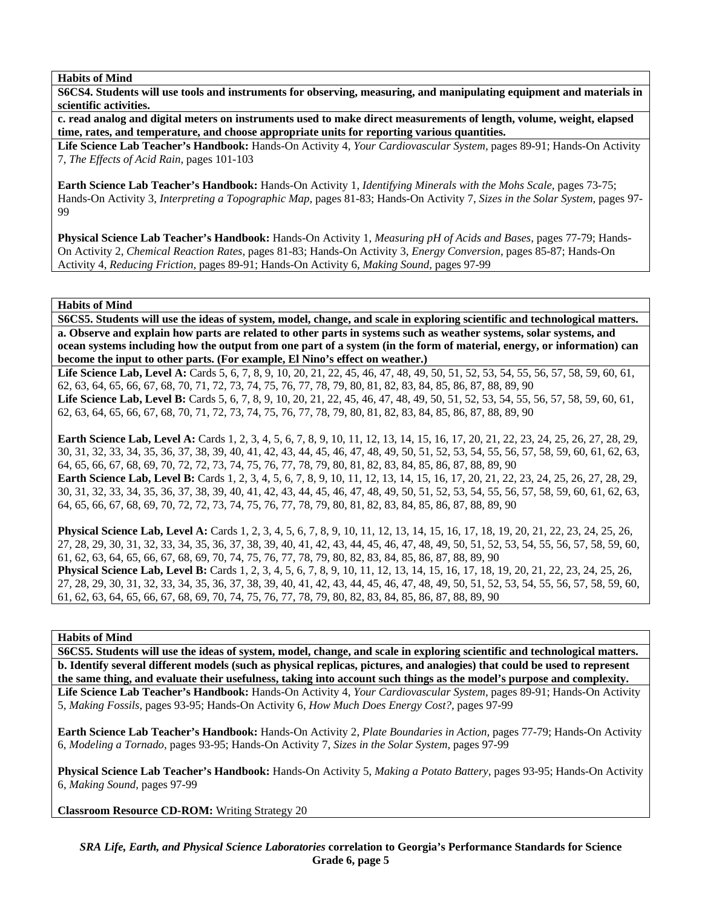**S6CS4. Students will use tools and instruments for observing, measuring, and manipulating equipment and materials in scientific activities.** 

**c. read analog and digital meters on instruments used to make direct measurements of length, volume, weight, elapsed time, rates, and temperature, and choose appropriate units for reporting various quantities.** 

**Life Science Lab Teacher's Handbook:** Hands-On Activity 4, *Your Cardiovascular System,* pages 89-91; Hands-On Activity 7, *The Effects of Acid Rain,* pages 101-103

**Earth Science Lab Teacher's Handbook:** Hands-On Activity 1, *Identifying Minerals with the Mohs Scale,* pages 73-75; Hands-On Activity 3, *Interpreting a Topographic Map,* pages 81-83; Hands-On Activity 7, *Sizes in the Solar System,* pages 97- 99

**Physical Science Lab Teacher's Handbook:** Hands-On Activity 1, *Measuring pH of Acids and Bases,* pages 77-79; Hands-On Activity 2, *Chemical Reaction Rates,* pages 81-83; Hands-On Activity 3, *Energy Conversion,* pages 85-87; Hands-On Activity 4, *Reducing Friction,* pages 89-91; Hands-On Activity 6, *Making Sound,* pages 97-99

#### **Habits of Mind**

**S6CS5. Students will use the ideas of system, model, change, and scale in exploring scientific and technological matters. a. Observe and explain how parts are related to other parts in systems such as weather systems, solar systems, and ocean systems including how the output from one part of a system (in the form of material, energy, or information) can become the input to other parts. (For example, El Nino's effect on weather.)** 

Life Science Lab, Level A: Cards 5, 6, 7, 8, 9, 10, 20, 21, 22, 45, 46, 47, 48, 49, 50, 51, 52, 53, 54, 55, 56, 57, 58, 59, 60, 61, 62, 63, 64, 65, 66, 67, 68, 70, 71, 72, 73, 74, 75, 76, 77, 78, 79, 80, 81, 82, 83, 84, 85, 86, 87, 88, 89, 90 Life Science Lab, Level B: Cards 5, 6, 7, 8, 9, 10, 20, 21, 22, 45, 46, 47, 48, 49, 50, 51, 52, 53, 54, 55, 56, 57, 58, 59, 60, 61, 62, 63, 64, 65, 66, 67, 68, 70, 71, 72, 73, 74, 75, 76, 77, 78, 79, 80, 81, 82, 83, 84, 85, 86, 87, 88, 89, 90

**Earth Science Lab, Level A:** Cards 1, 2, 3, 4, 5, 6, 7, 8, 9, 10, 11, 12, 13, 14, 15, 16, 17, 20, 21, 22, 23, 24, 25, 26, 27, 28, 29, 30, 31, 32, 33, 34, 35, 36, 37, 38, 39, 40, 41, 42, 43, 44, 45, 46, 47, 48, 49, 50, 51, 52, 53, 54, 55, 56, 57, 58, 59, 60, 61, 62, 63, 64, 65, 66, 67, 68, 69, 70, 72, 72, 73, 74, 75, 76, 77, 78, 79, 80, 81, 82, 83, 84, 85, 86, 87, 88, 89, 90 **Earth Science Lab, Level B:** Cards 1, 2, 3, 4, 5, 6, 7, 8, 9, 10, 11, 12, 13, 14, 15, 16, 17, 20, 21, 22, 23, 24, 25, 26, 27, 28, 29, 30, 31, 32, 33, 34, 35, 36, 37, 38, 39, 40, 41, 42, 43, 44, 45, 46, 47, 48, 49, 50, 51, 52, 53, 54, 55, 56, 57, 58, 59, 60, 61, 62, 63, 64, 65, 66, 67, 68, 69, 70, 72, 72, 73, 74, 75, 76, 77, 78, 79, 80, 81, 82, 83, 84, 85, 86, 87, 88, 89, 90

**Physical Science Lab, Level A:** Cards 1, 2, 3, 4, 5, 6, 7, 8, 9, 10, 11, 12, 13, 14, 15, 16, 17, 18, 19, 20, 21, 22, 23, 24, 25, 26, 27, 28, 29, 30, 31, 32, 33, 34, 35, 36, 37, 38, 39, 40, 41, 42, 43, 44, 45, 46, 47, 48, 49, 50, 51, 52, 53, 54, 55, 56, 57, 58, 59, 60, 61, 62, 63, 64, 65, 66, 67, 68, 69, 70, 74, 75, 76, 77, 78, 79, 80, 82, 83, 84, 85, 86, 87, 88, 89, 90 **Physical Science Lab, Level B:** Cards 1, 2, 3, 4, 5, 6, 7, 8, 9, 10, 11, 12, 13, 14, 15, 16, 17, 18, 19, 20, 21, 22, 23, 24, 25, 26, 27, 28, 29, 30, 31, 32, 33, 34, 35, 36, 37, 38, 39, 40, 41, 42, 43, 44, 45, 46, 47, 48, 49, 50, 51, 52, 53, 54, 55, 56, 57, 58, 59, 60, 61, 62, 63, 64, 65, 66, 67, 68, 69, 70, 74, 75, 76, 77, 78, 79, 80, 82, 83, 84, 85, 86, 87, 88, 89, 90

#### **Habits of Mind**

**S6CS5. Students will use the ideas of system, model, change, and scale in exploring scientific and technological matters. b. Identify several different models (such as physical replicas, pictures, and analogies) that could be used to represent the same thing, and evaluate their usefulness, taking into account such things as the model's purpose and complexity. Life Science Lab Teacher's Handbook:** Hands-On Activity 4, *Your Cardiovascular System,* pages 89-91; Hands-On Activity 5, *Making Fossils,* pages 93-95; Hands-On Activity 6, *How Much Does Energy Cost?,* pages 97-99

**Earth Science Lab Teacher's Handbook:** Hands-On Activity 2, *Plate Boundaries in Action,* pages 77-79; Hands-On Activity 6, *Modeling a Tornado,* pages 93-95; Hands-On Activity 7, *Sizes in the Solar System,* pages 97-99

**Physical Science Lab Teacher's Handbook:** Hands-On Activity 5, *Making a Potato Battery,* pages 93-95; Hands-On Activity 6, *Making Sound,* pages 97-99

**Classroom Resource CD-ROM:** Writing Strategy 20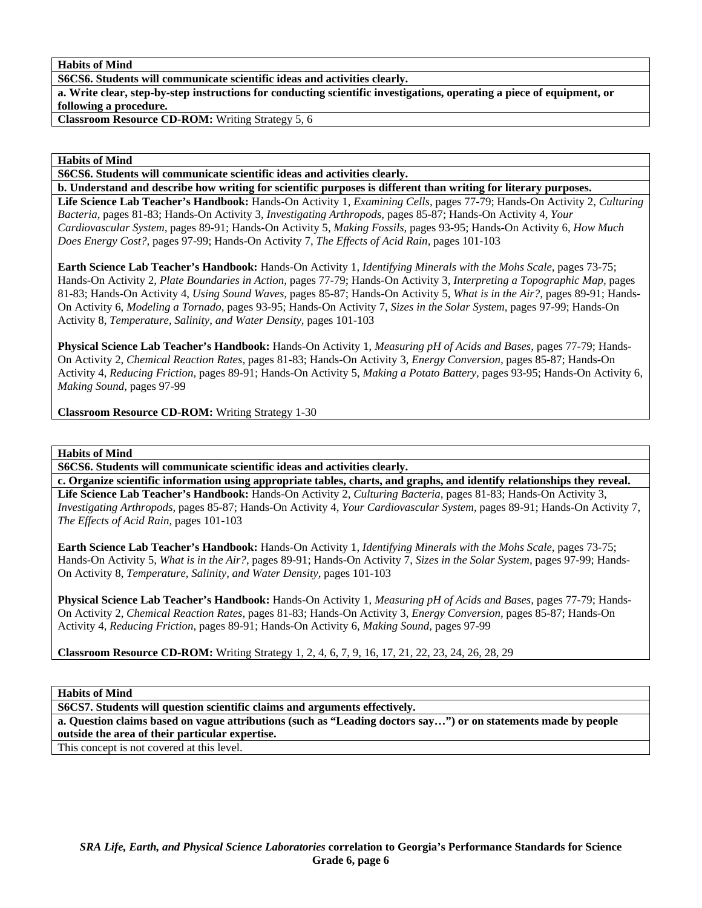**S6CS6. Students will communicate scientific ideas and activities clearly.** 

**a. Write clear, step-by-step instructions for conducting scientific investigations, operating a piece of equipment, or following a procedure.** 

**Classroom Resource CD-ROM:** Writing Strategy 5, 6

#### **Habits of Mind**

**S6CS6. Students will communicate scientific ideas and activities clearly.** 

**b. Understand and describe how writing for scientific purposes is different than writing for literary purposes.** 

**Life Science Lab Teacher's Handbook:** Hands-On Activity 1, *Examining Cells,* pages 77-79; Hands-On Activity 2, *Culturing Bacteria,* pages 81-83; Hands-On Activity 3, *Investigating Arthropods,* pages 85-87; Hands-On Activity 4, *Your Cardiovascular System,* pages 89-91; Hands-On Activity 5, *Making Fossils,* pages 93-95; Hands-On Activity 6, *How Much Does Energy Cost?,* pages 97-99; Hands-On Activity 7, *The Effects of Acid Rain,* pages 101-103

**Earth Science Lab Teacher's Handbook:** Hands-On Activity 1, *Identifying Minerals with the Mohs Scale,* pages 73-75; Hands-On Activity 2, *Plate Boundaries in Action,* pages 77-79; Hands-On Activity 3, *Interpreting a Topographic Map,* pages 81-83; Hands-On Activity 4, *Using Sound Waves,* pages 85-87; Hands-On Activity 5, *What is in the Air?,* pages 89-91; Hands-On Activity 6, *Modeling a Tornado,* pages 93-95; Hands-On Activity 7, *Sizes in the Solar System,* pages 97-99; Hands-On Activity 8, *Temperature, Salinity, and Water Density,* pages 101-103

**Physical Science Lab Teacher's Handbook:** Hands-On Activity 1, *Measuring pH of Acids and Bases,* pages 77-79; Hands-On Activity 2, *Chemical Reaction Rates,* pages 81-83; Hands-On Activity 3, *Energy Conversion,* pages 85-87; Hands-On Activity 4, *Reducing Friction,* pages 89-91; Hands-On Activity 5, *Making a Potato Battery,* pages 93-95; Hands-On Activity 6, *Making Sound,* pages 97-99

**Classroom Resource CD-ROM:** Writing Strategy 1-30

**Habits of Mind** 

**S6CS6. Students will communicate scientific ideas and activities clearly.** 

**c. Organize scientific information using appropriate tables, charts, and graphs, and identify relationships they reveal. Life Science Lab Teacher's Handbook:** Hands-On Activity 2, *Culturing Bacteria,* pages 81-83; Hands-On Activity 3, *Investigating Arthropods,* pages 85-87; Hands-On Activity 4, *Your Cardiovascular System,* pages 89-91; Hands-On Activity 7, *The Effects of Acid Rain,* pages 101-103

**Earth Science Lab Teacher's Handbook:** Hands-On Activity 1, *Identifying Minerals with the Mohs Scale,* pages 73-75; Hands-On Activity 5, *What is in the Air?,* pages 89-91; Hands-On Activity 7, *Sizes in the Solar System,* pages 97-99; Hands-On Activity 8, *Temperature, Salinity, and Water Density,* pages 101-103

**Physical Science Lab Teacher's Handbook:** Hands-On Activity 1, *Measuring pH of Acids and Bases,* pages 77-79; Hands-On Activity 2, *Chemical Reaction Rates,* pages 81-83; Hands-On Activity 3, *Energy Conversion,* pages 85-87; Hands-On Activity 4, *Reducing Friction,* pages 89-91; Hands-On Activity 6, *Making Sound,* pages 97-99

**Classroom Resource CD-ROM:** Writing Strategy 1, 2, 4, 6, 7, 9, 16, 17, 21, 22, 23, 24, 26, 28, 29

**Habits of Mind** 

**S6CS7. Students will question scientific claims and arguments effectively.** 

**a. Question claims based on vague attributions (such as "Leading doctors say…") or on statements made by people outside the area of their particular expertise.** 

This concept is not covered at this level.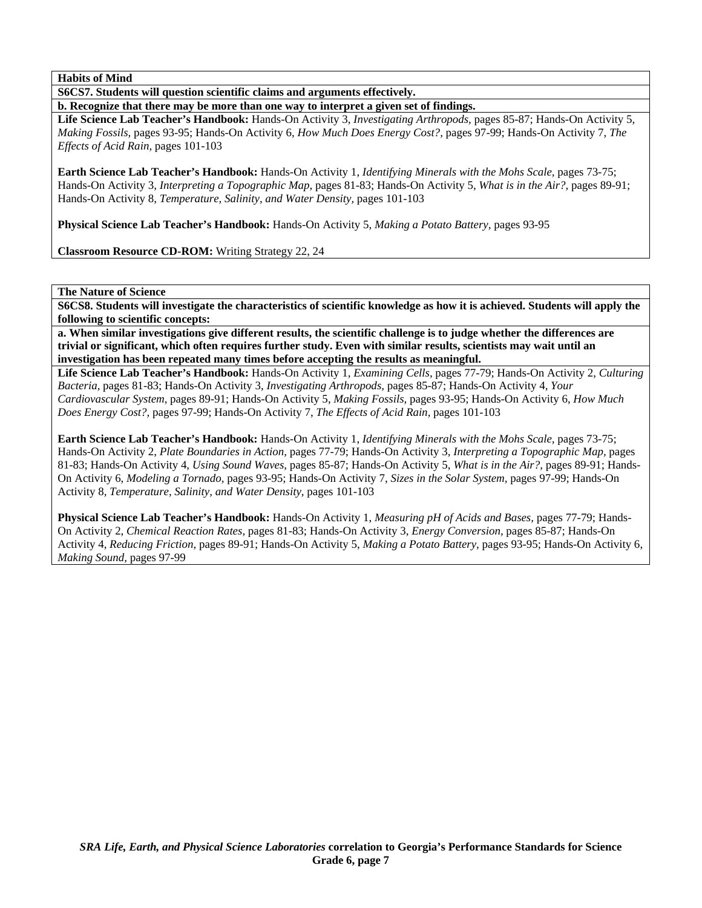**S6CS7. Students will question scientific claims and arguments effectively.** 

**b. Recognize that there may be more than one way to interpret a given set of findings.** 

**Life Science Lab Teacher's Handbook:** Hands-On Activity 3, *Investigating Arthropods,* pages 85-87; Hands-On Activity 5, *Making Fossils,* pages 93-95; Hands-On Activity 6, *How Much Does Energy Cost?,* pages 97-99; Hands-On Activity 7, *The Effects of Acid Rain,* pages 101-103

**Earth Science Lab Teacher's Handbook:** Hands-On Activity 1, *Identifying Minerals with the Mohs Scale,* pages 73-75; Hands-On Activity 3, *Interpreting a Topographic Map,* pages 81-83; Hands-On Activity 5, *What is in the Air?,* pages 89-91; Hands-On Activity 8, *Temperature, Salinity, and Water Density,* pages 101-103

**Physical Science Lab Teacher's Handbook:** Hands-On Activity 5, *Making a Potato Battery,* pages 93-95

**Classroom Resource CD-ROM:** Writing Strategy 22, 24

**The Nature of Science** 

**S6CS8. Students will investigate the characteristics of scientific knowledge as how it is achieved. Students will apply the following to scientific concepts:** 

**a. When similar investigations give different results, the scientific challenge is to judge whether the differences are trivial or significant, which often requires further study. Even with similar results, scientists may wait until an investigation has been repeated many times before accepting the results as meaningful.** 

**Life Science Lab Teacher's Handbook:** Hands-On Activity 1, *Examining Cells,* pages 77-79; Hands-On Activity 2, *Culturing Bacteria,* pages 81-83; Hands-On Activity 3, *Investigating Arthropods,* pages 85-87; Hands-On Activity 4, *Your Cardiovascular System,* pages 89-91; Hands-On Activity 5, *Making Fossils,* pages 93-95; Hands-On Activity 6, *How Much Does Energy Cost?,* pages 97-99; Hands-On Activity 7, *The Effects of Acid Rain,* pages 101-103

**Earth Science Lab Teacher's Handbook:** Hands-On Activity 1, *Identifying Minerals with the Mohs Scale,* pages 73-75; Hands-On Activity 2, *Plate Boundaries in Action,* pages 77-79; Hands-On Activity 3, *Interpreting a Topographic Map,* pages 81-83; Hands-On Activity 4, *Using Sound Waves,* pages 85-87; Hands-On Activity 5, *What is in the Air?,* pages 89-91; Hands-On Activity 6, *Modeling a Tornado,* pages 93-95; Hands-On Activity 7, *Sizes in the Solar System,* pages 97-99; Hands-On Activity 8, *Temperature, Salinity, and Water Density,* pages 101-103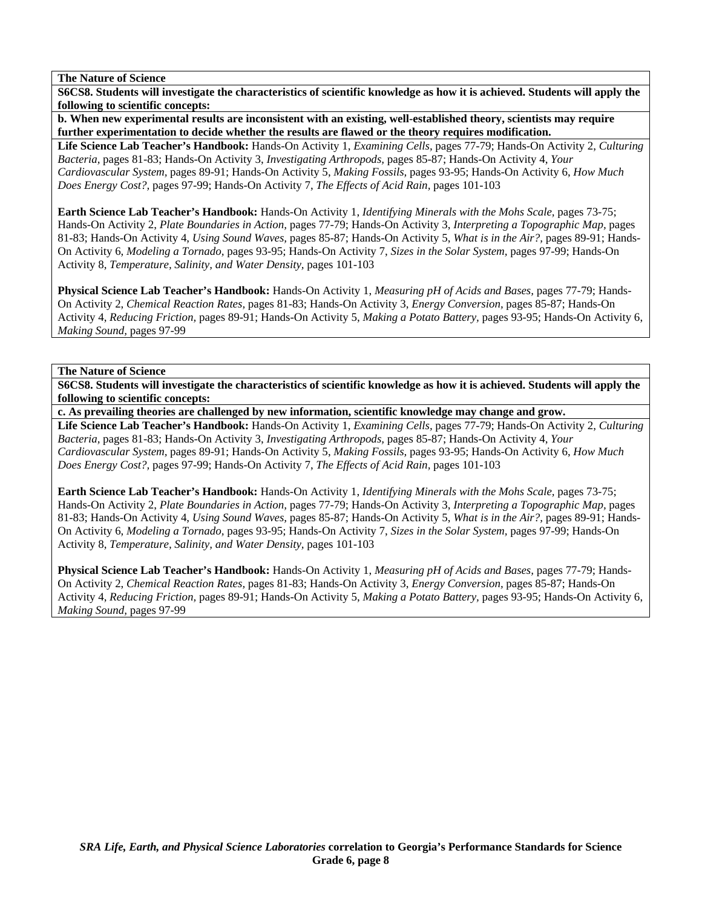**S6CS8. Students will investigate the characteristics of scientific knowledge as how it is achieved. Students will apply the following to scientific concepts:** 

**b. When new experimental results are inconsistent with an existing, well-established theory, scientists may require further experimentation to decide whether the results are flawed or the theory requires modification.** 

**Life Science Lab Teacher's Handbook:** Hands-On Activity 1, *Examining Cells,* pages 77-79; Hands-On Activity 2, *Culturing Bacteria,* pages 81-83; Hands-On Activity 3, *Investigating Arthropods,* pages 85-87; Hands-On Activity 4, *Your Cardiovascular System,* pages 89-91; Hands-On Activity 5, *Making Fossils,* pages 93-95; Hands-On Activity 6, *How Much Does Energy Cost?,* pages 97-99; Hands-On Activity 7, *The Effects of Acid Rain,* pages 101-103

**Earth Science Lab Teacher's Handbook:** Hands-On Activity 1, *Identifying Minerals with the Mohs Scale,* pages 73-75; Hands-On Activity 2, *Plate Boundaries in Action,* pages 77-79; Hands-On Activity 3, *Interpreting a Topographic Map,* pages 81-83; Hands-On Activity 4, *Using Sound Waves,* pages 85-87; Hands-On Activity 5, *What is in the Air?,* pages 89-91; Hands-On Activity 6, *Modeling a Tornado,* pages 93-95; Hands-On Activity 7, *Sizes in the Solar System,* pages 97-99; Hands-On Activity 8, *Temperature, Salinity, and Water Density,* pages 101-103

**Physical Science Lab Teacher's Handbook:** Hands-On Activity 1, *Measuring pH of Acids and Bases,* pages 77-79; Hands-On Activity 2, *Chemical Reaction Rates,* pages 81-83; Hands-On Activity 3, *Energy Conversion,* pages 85-87; Hands-On Activity 4, *Reducing Friction,* pages 89-91; Hands-On Activity 5, *Making a Potato Battery,* pages 93-95; Hands-On Activity 6, *Making Sound,* pages 97-99

#### **The Nature of Science**

**S6CS8. Students will investigate the characteristics of scientific knowledge as how it is achieved. Students will apply the following to scientific concepts:** 

**c. As prevailing theories are challenged by new information, scientific knowledge may change and grow.** 

**Life Science Lab Teacher's Handbook:** Hands-On Activity 1, *Examining Cells,* pages 77-79; Hands-On Activity 2, *Culturing Bacteria,* pages 81-83; Hands-On Activity 3, *Investigating Arthropods,* pages 85-87; Hands-On Activity 4, *Your Cardiovascular System,* pages 89-91; Hands-On Activity 5, *Making Fossils,* pages 93-95; Hands-On Activity 6, *How Much Does Energy Cost?,* pages 97-99; Hands-On Activity 7, *The Effects of Acid Rain,* pages 101-103

**Earth Science Lab Teacher's Handbook:** Hands-On Activity 1, *Identifying Minerals with the Mohs Scale,* pages 73-75; Hands-On Activity 2, *Plate Boundaries in Action,* pages 77-79; Hands-On Activity 3, *Interpreting a Topographic Map,* pages 81-83; Hands-On Activity 4, *Using Sound Waves,* pages 85-87; Hands-On Activity 5, *What is in the Air?,* pages 89-91; Hands-On Activity 6, *Modeling a Tornado,* pages 93-95; Hands-On Activity 7, *Sizes in the Solar System,* pages 97-99; Hands-On Activity 8, *Temperature, Salinity, and Water Density,* pages 101-103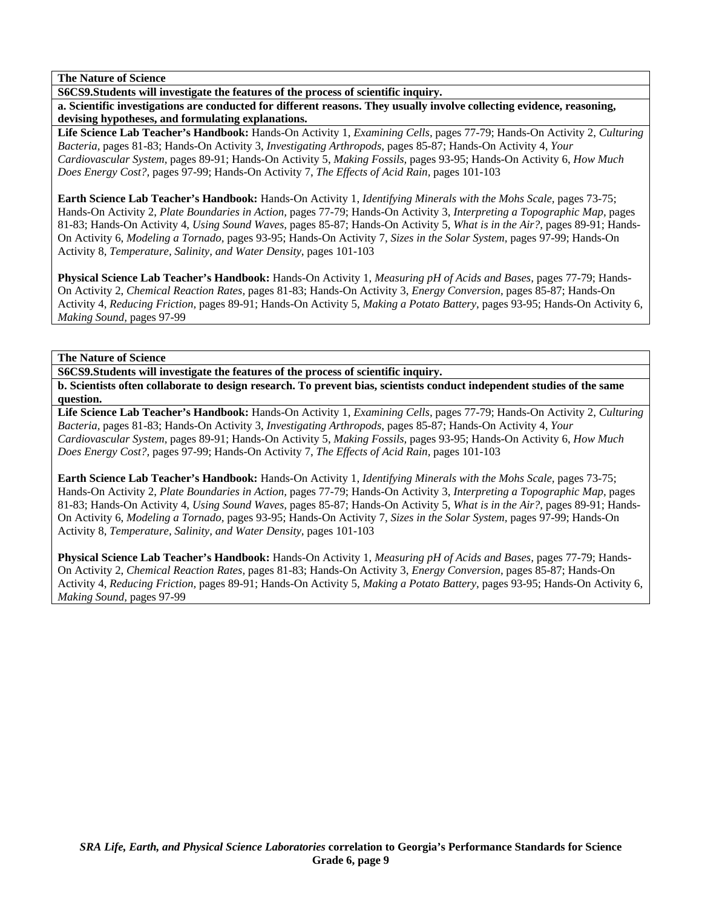**S6CS9.Students will investigate the features of the process of scientific inquiry.** 

**a. Scientific investigations are conducted for different reasons. They usually involve collecting evidence, reasoning, devising hypotheses, and formulating explanations.** 

**Life Science Lab Teacher's Handbook:** Hands-On Activity 1, *Examining Cells,* pages 77-79; Hands-On Activity 2, *Culturing Bacteria,* pages 81-83; Hands-On Activity 3, *Investigating Arthropods,* pages 85-87; Hands-On Activity 4, *Your Cardiovascular System,* pages 89-91; Hands-On Activity 5, *Making Fossils,* pages 93-95; Hands-On Activity 6, *How Much Does Energy Cost?,* pages 97-99; Hands-On Activity 7, *The Effects of Acid Rain,* pages 101-103

**Earth Science Lab Teacher's Handbook:** Hands-On Activity 1, *Identifying Minerals with the Mohs Scale,* pages 73-75; Hands-On Activity 2, *Plate Boundaries in Action,* pages 77-79; Hands-On Activity 3, *Interpreting a Topographic Map,* pages 81-83; Hands-On Activity 4, *Using Sound Waves,* pages 85-87; Hands-On Activity 5, *What is in the Air?,* pages 89-91; Hands-On Activity 6, *Modeling a Tornado,* pages 93-95; Hands-On Activity 7, *Sizes in the Solar System,* pages 97-99; Hands-On Activity 8, *Temperature, Salinity, and Water Density,* pages 101-103

**Physical Science Lab Teacher's Handbook:** Hands-On Activity 1, *Measuring pH of Acids and Bases,* pages 77-79; Hands-On Activity 2, *Chemical Reaction Rates,* pages 81-83; Hands-On Activity 3, *Energy Conversion,* pages 85-87; Hands-On Activity 4, *Reducing Friction,* pages 89-91; Hands-On Activity 5, *Making a Potato Battery,* pages 93-95; Hands-On Activity 6, *Making Sound,* pages 97-99

**The Nature of Science** 

**S6CS9.Students will investigate the features of the process of scientific inquiry.** 

**b. Scientists often collaborate to design research. To prevent bias, scientists conduct independent studies of the same question.** 

**Life Science Lab Teacher's Handbook:** Hands-On Activity 1, *Examining Cells,* pages 77-79; Hands-On Activity 2, *Culturing Bacteria,* pages 81-83; Hands-On Activity 3, *Investigating Arthropods,* pages 85-87; Hands-On Activity 4, *Your Cardiovascular System,* pages 89-91; Hands-On Activity 5, *Making Fossils,* pages 93-95; Hands-On Activity 6, *How Much Does Energy Cost?,* pages 97-99; Hands-On Activity 7, *The Effects of Acid Rain,* pages 101-103

**Earth Science Lab Teacher's Handbook:** Hands-On Activity 1, *Identifying Minerals with the Mohs Scale,* pages 73-75; Hands-On Activity 2, *Plate Boundaries in Action,* pages 77-79; Hands-On Activity 3, *Interpreting a Topographic Map,* pages 81-83; Hands-On Activity 4, *Using Sound Waves,* pages 85-87; Hands-On Activity 5, *What is in the Air?,* pages 89-91; Hands-On Activity 6, *Modeling a Tornado,* pages 93-95; Hands-On Activity 7, *Sizes in the Solar System,* pages 97-99; Hands-On Activity 8, *Temperature, Salinity, and Water Density,* pages 101-103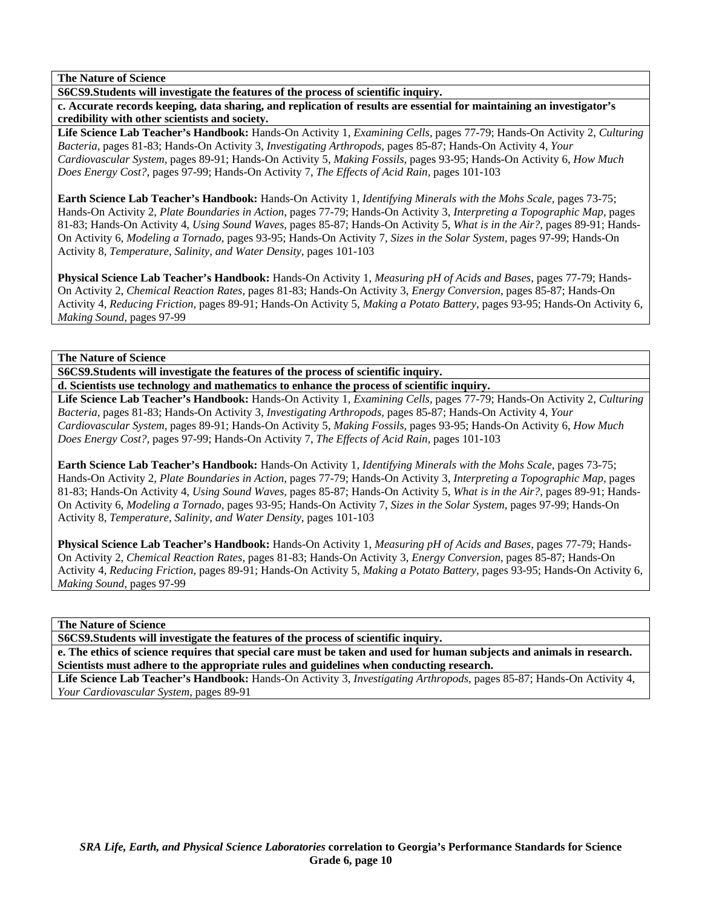**S6CS9.Students will investigate the features of the process of scientific inquiry.** 

**c. Accurate records keeping, data sharing, and replication of results are essential for maintaining an investigator's credibility with other scientists and society.** 

**Life Science Lab Teacher's Handbook:** Hands-On Activity 1, *Examining Cells,* pages 77-79; Hands-On Activity 2, *Culturing Bacteria,* pages 81-83; Hands-On Activity 3, *Investigating Arthropods,* pages 85-87; Hands-On Activity 4, *Your Cardiovascular System,* pages 89-91; Hands-On Activity 5, *Making Fossils,* pages 93-95; Hands-On Activity 6, *How Much Does Energy Cost?,* pages 97-99; Hands-On Activity 7, *The Effects of Acid Rain,* pages 101-103

**Earth Science Lab Teacher's Handbook:** Hands-On Activity 1, *Identifying Minerals with the Mohs Scale,* pages 73-75; Hands-On Activity 2, *Plate Boundaries in Action,* pages 77-79; Hands-On Activity 3, *Interpreting a Topographic Map,* pages 81-83; Hands-On Activity 4, *Using Sound Waves,* pages 85-87; Hands-On Activity 5, *What is in the Air?,* pages 89-91; Hands-On Activity 6, *Modeling a Tornado,* pages 93-95; Hands-On Activity 7, *Sizes in the Solar System,* pages 97-99; Hands-On Activity 8, *Temperature, Salinity, and Water Density,* pages 101-103

**Physical Science Lab Teacher's Handbook:** Hands-On Activity 1, *Measuring pH of Acids and Bases,* pages 77-79; Hands-On Activity 2, *Chemical Reaction Rates,* pages 81-83; Hands-On Activity 3, *Energy Conversion,* pages 85-87; Hands-On Activity 4, *Reducing Friction,* pages 89-91; Hands-On Activity 5, *Making a Potato Battery,* pages 93-95; Hands-On Activity 6, *Making Sound,* pages 97-99

## **The Nature of Science**

**S6CS9.Students will investigate the features of the process of scientific inquiry.** 

**d. Scientists use technology and mathematics to enhance the process of scientific inquiry.** 

**Life Science Lab Teacher's Handbook:** Hands-On Activity 1, *Examining Cells,* pages 77-79; Hands-On Activity 2, *Culturing Bacteria,* pages 81-83; Hands-On Activity 3, *Investigating Arthropods,* pages 85-87; Hands-On Activity 4, *Your Cardiovascular System,* pages 89-91; Hands-On Activity 5, *Making Fossils,* pages 93-95; Hands-On Activity 6, *How Much Does Energy Cost?,* pages 97-99; Hands-On Activity 7, *The Effects of Acid Rain,* pages 101-103

**Earth Science Lab Teacher's Handbook:** Hands-On Activity 1, *Identifying Minerals with the Mohs Scale,* pages 73-75; Hands-On Activity 2, *Plate Boundaries in Action,* pages 77-79; Hands-On Activity 3, *Interpreting a Topographic Map,* pages 81-83; Hands-On Activity 4, *Using Sound Waves,* pages 85-87; Hands-On Activity 5, *What is in the Air?,* pages 89-91; Hands-On Activity 6, *Modeling a Tornado,* pages 93-95; Hands-On Activity 7, *Sizes in the Solar System,* pages 97-99; Hands-On Activity 8, *Temperature, Salinity, and Water Density,* pages 101-103

**Physical Science Lab Teacher's Handbook:** Hands-On Activity 1, *Measuring pH of Acids and Bases,* pages 77-79; Hands-On Activity 2, *Chemical Reaction Rates,* pages 81-83; Hands-On Activity 3, *Energy Conversion,* pages 85-87; Hands-On Activity 4, *Reducing Friction,* pages 89-91; Hands-On Activity 5, *Making a Potato Battery,* pages 93-95; Hands-On Activity 6, *Making Sound,* pages 97-99

## **The Nature of Science**

**S6CS9.Students will investigate the features of the process of scientific inquiry.** 

**e. The ethics of science requires that special care must be taken and used for human subjects and animals in research. Scientists must adhere to the appropriate rules and guidelines when conducting research.** 

**Life Science Lab Teacher's Handbook:** Hands-On Activity 3, *Investigating Arthropods,* pages 85-87; Hands-On Activity 4, *Your Cardiovascular System,* pages 89-91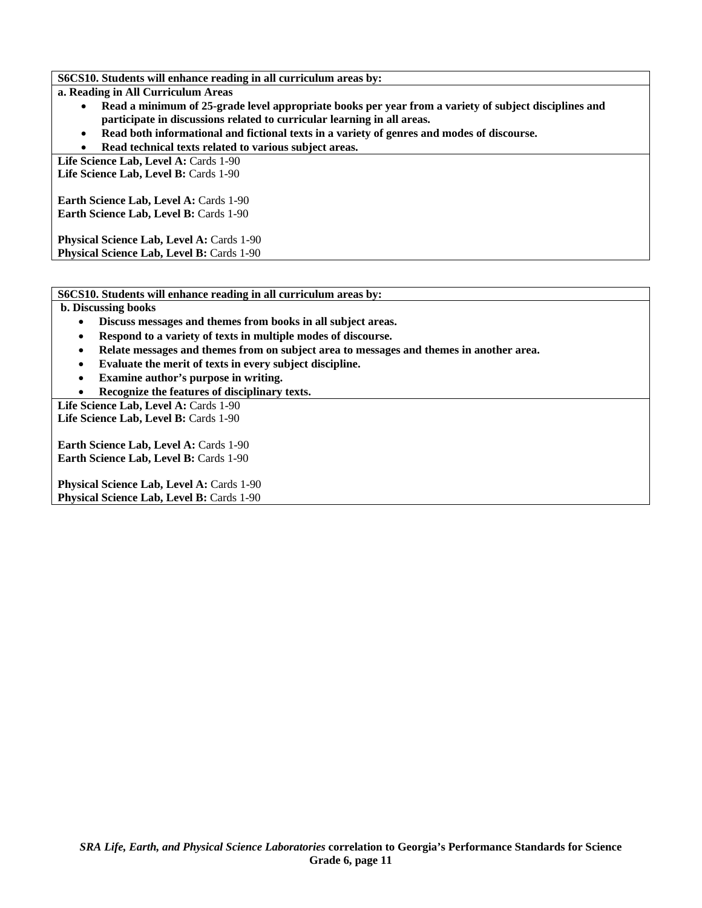# **S6CS10. Students will enhance reading in all curriculum areas by:**

**a. Reading in All Curriculum Areas** 

- **Read a minimum of 25-grade level appropriate books per year from a variety of subject disciplines and participate in discussions related to curricular learning in all areas.**
- **Read both informational and fictional texts in a variety of genres and modes of discourse.**
- **Read technical texts related to various subject areas.**

Life Science Lab, Level A: Cards 1-90 Life Science Lab, Level B: Cards 1-90

**Earth Science Lab, Level A: Cards 1-90 Earth Science Lab, Level B: Cards 1-90** 

Physical Science Lab, Level A: Cards 1-90 **Physical Science Lab, Level B: Cards 1-90** 

**S6CS10. Students will enhance reading in all curriculum areas by:** 

#### **b. Discussing books**

- **Discuss messages and themes from books in all subject areas.**
- **Respond to a variety of texts in multiple modes of discourse.**
- **Relate messages and themes from on subject area to messages and themes in another area.**
- **Evaluate the merit of texts in every subject discipline.**
- **Examine author's purpose in writing.** 
	- **Recognize the features of disciplinary texts.**

Life Science Lab, Level A: Cards 1-90 Life Science Lab, Level B: Cards 1-90

**Earth Science Lab, Level A: Cards 1-90 Earth Science Lab, Level B: Cards 1-90** 

Physical Science Lab, Level A: Cards 1-90 Physical Science Lab, Level B: Cards 1-90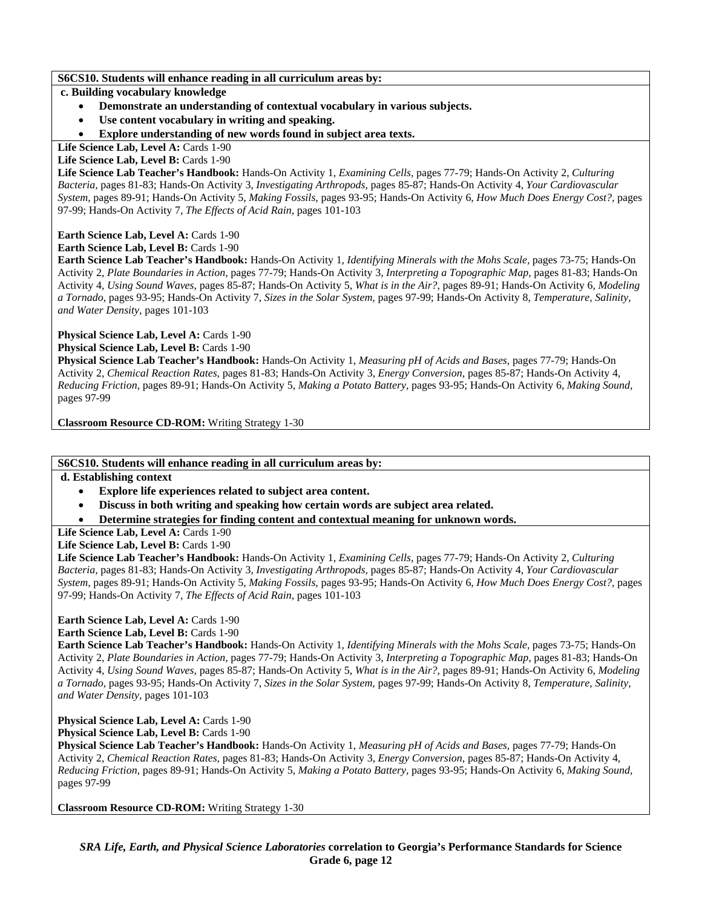# **S6CS10. Students will enhance reading in all curriculum areas by:**

# **c. Building vocabulary knowledge**

- **Demonstrate an understanding of contextual vocabulary in various subjects.**
- Use content vocabulary in writing and speaking.
- **Explore understanding of new words found in subject area texts.**

Life Science Lab, Level A: Cards 1-90

**Life Science Lab, Level B:** Cards 1-90

**Life Science Lab Teacher's Handbook:** Hands-On Activity 1, *Examining Cells,* pages 77-79; Hands-On Activity 2, *Culturing Bacteria,* pages 81-83; Hands-On Activity 3, *Investigating Arthropods,* pages 85-87; Hands-On Activity 4, *Your Cardiovascular System,* pages 89-91; Hands-On Activity 5, *Making Fossils,* pages 93-95; Hands-On Activity 6, *How Much Does Energy Cost?,* pages 97-99; Hands-On Activity 7, *The Effects of Acid Rain,* pages 101-103

# **Earth Science Lab, Level A: Cards 1-90**

#### **Earth Science Lab, Level B: Cards 1-90**

**Earth Science Lab Teacher's Handbook:** Hands-On Activity 1, *Identifying Minerals with the Mohs Scale,* pages 73-75; Hands-On Activity 2, *Plate Boundaries in Action,* pages 77-79; Hands-On Activity 3, *Interpreting a Topographic Map,* pages 81-83; Hands-On Activity 4, *Using Sound Waves,* pages 85-87; Hands-On Activity 5, *What is in the Air?,* pages 89-91; Hands-On Activity 6, *Modeling a Tornado,* pages 93-95; Hands-On Activity 7, *Sizes in the Solar System,* pages 97-99; Hands-On Activity 8, *Temperature, Salinity, and Water Density,* pages 101-103

# Physical Science Lab, Level A: Cards 1-90

## **Physical Science Lab, Level B: Cards 1-90**

**Physical Science Lab Teacher's Handbook:** Hands-On Activity 1, *Measuring pH of Acids and Bases,* pages 77-79; Hands-On Activity 2, *Chemical Reaction Rates,* pages 81-83; Hands-On Activity 3, *Energy Conversion,* pages 85-87; Hands-On Activity 4, *Reducing Friction,* pages 89-91; Hands-On Activity 5, *Making a Potato Battery,* pages 93-95; Hands-On Activity 6, *Making Sound,* pages 97-99

**Classroom Resource CD-ROM:** Writing Strategy 1-30

## **S6CS10. Students will enhance reading in all curriculum areas by:**

## **d. Establishing context**

- **Explore life experiences related to subject area content.**
- **Discuss in both writing and speaking how certain words are subject area related.**
- **Determine strategies for finding content and contextual meaning for unknown words.**

# Life Science Lab, Level A: Cards 1-90

**Life Science Lab, Level B: Cards 1-90** 

**Life Science Lab Teacher's Handbook:** Hands-On Activity 1, *Examining Cells,* pages 77-79; Hands-On Activity 2, *Culturing Bacteria,* pages 81-83; Hands-On Activity 3, *Investigating Arthropods,* pages 85-87; Hands-On Activity 4, *Your Cardiovascular System,* pages 89-91; Hands-On Activity 5, *Making Fossils,* pages 93-95; Hands-On Activity 6, *How Much Does Energy Cost?,* pages 97-99; Hands-On Activity 7, *The Effects of Acid Rain,* pages 101-103

# **Earth Science Lab, Level A: Cards 1-90**

# **Earth Science Lab, Level B: Cards 1-90**

**Earth Science Lab Teacher's Handbook:** Hands-On Activity 1, *Identifying Minerals with the Mohs Scale,* pages 73-75; Hands-On Activity 2, *Plate Boundaries in Action,* pages 77-79; Hands-On Activity 3, *Interpreting a Topographic Map,* pages 81-83; Hands-On Activity 4, *Using Sound Waves,* pages 85-87; Hands-On Activity 5, *What is in the Air?,* pages 89-91; Hands-On Activity 6, *Modeling a Tornado,* pages 93-95; Hands-On Activity 7, *Sizes in the Solar System,* pages 97-99; Hands-On Activity 8, *Temperature, Salinity, and Water Density,* pages 101-103

**Physical Science Lab, Level A: Cards 1-90** 

**Physical Science Lab, Level B: Cards 1-90** 

**Physical Science Lab Teacher's Handbook:** Hands-On Activity 1, *Measuring pH of Acids and Bases,* pages 77-79; Hands-On Activity 2, *Chemical Reaction Rates,* pages 81-83; Hands-On Activity 3, *Energy Conversion,* pages 85-87; Hands-On Activity 4, *Reducing Friction,* pages 89-91; Hands-On Activity 5, *Making a Potato Battery,* pages 93-95; Hands-On Activity 6, *Making Sound,* pages 97-99

**Classroom Resource CD-ROM:** Writing Strategy 1-30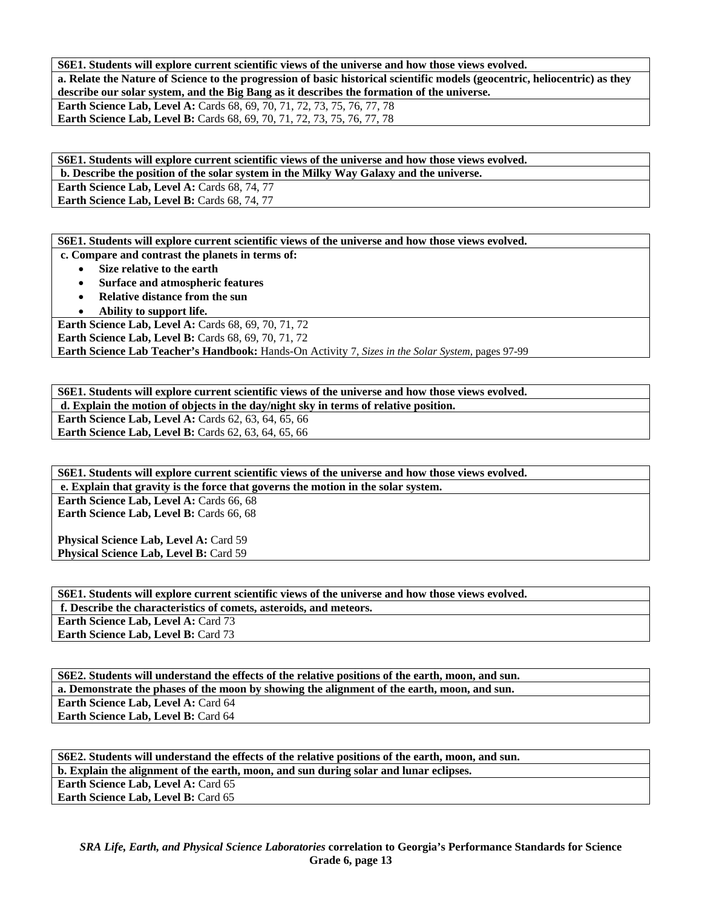**S6E1. Students will explore current scientific views of the universe and how those views evolved. a. Relate the Nature of Science to the progression of basic historical scientific models (geocentric, heliocentric) as they describe our solar system, and the Big Bang as it describes the formation of the universe. Earth Science Lab, Level A: Cards 68, 69, 70, 71, 72, 73, 75, 76, 77, 78 Earth Science Lab, Level B:** Cards 68, 69, 70, 71, 72, 73, 75, 76, 77, 78

**S6E1. Students will explore current scientific views of the universe and how those views evolved. b. Describe the position of the solar system in the Milky Way Galaxy and the universe.**  Earth Science Lab, Level A: Cards 68, 74, 77

Earth Science Lab, Level B: Cards 68, 74, 77

**S6E1. Students will explore current scientific views of the universe and how those views evolved.** 

 **c. Compare and contrast the planets in terms of:** 

- **Size relative to the earth**
- **Surface and atmospheric features**
- **Relative distance from the sun**
- **Ability to support life.**

**Earth Science Lab, Level A: Cards 68, 69, 70, 71, 72 Earth Science Lab, Level B: Cards 68, 69, 70, 71, 72 Earth Science Lab Teacher's Handbook:** Hands-On Activity 7, *Sizes in the Solar System,* pages 97-99

**S6E1. Students will explore current scientific views of the universe and how those views evolved. d. Explain the motion of objects in the day/night sky in terms of relative position. Earth Science Lab, Level A: Cards 62, 63, 64, 65, 66 Earth Science Lab, Level B:** Cards 62, 63, 64, 65, 66

**S6E1. Students will explore current scientific views of the universe and how those views evolved. e. Explain that gravity is the force that governs the motion in the solar system.** 

Earth Science Lab, Level A: Cards 66, 68 **Earth Science Lab, Level B: Cards 66, 68** 

**Physical Science Lab, Level A: Card 59 Physical Science Lab, Level B: Card 59** 

**S6E1. Students will explore current scientific views of the universe and how those views evolved. f. Describe the characteristics of comets, asteroids, and meteors. Earth Science Lab, Level A: Card 73 Earth Science Lab, Level B: Card 73** 

**S6E2. Students will understand the effects of the relative positions of the earth, moon, and sun. a. Demonstrate the phases of the moon by showing the alignment of the earth, moon, and sun. Earth Science Lab, Level A: Card 64 Earth Science Lab, Level B:** Card 64

**S6E2. Students will understand the effects of the relative positions of the earth, moon, and sun. b. Explain the alignment of the earth, moon, and sun during solar and lunar eclipses. Earth Science Lab, Level A: Card 65 Earth Science Lab, Level B: Card 65**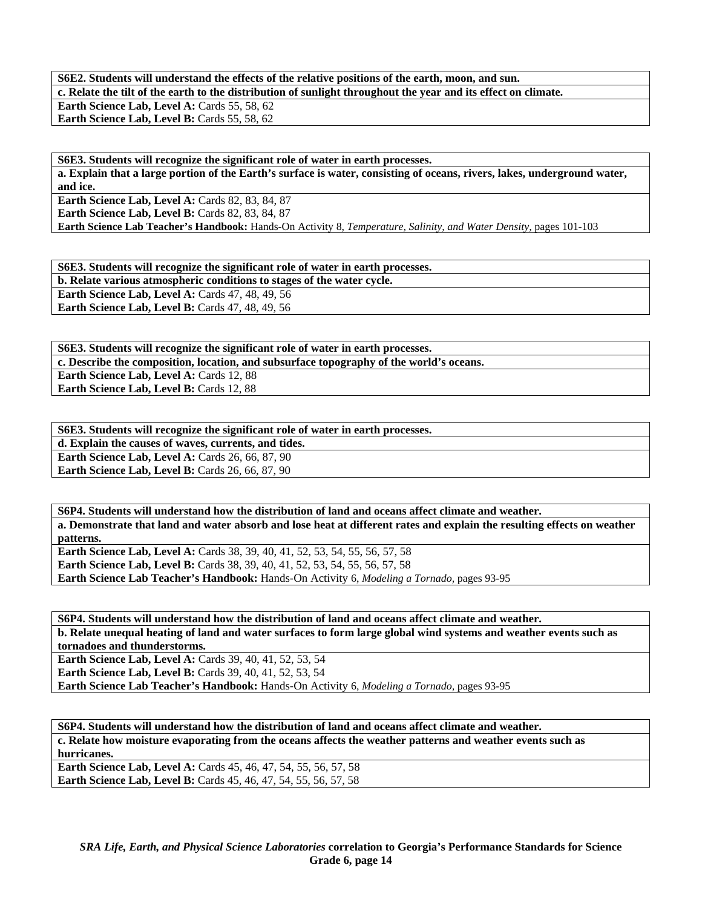**S6E2. Students will understand the effects of the relative positions of the earth, moon, and sun. c. Relate the tilt of the earth to the distribution of sunlight throughout the year and its effect on climate. Earth Science Lab, Level A: Cards 55, 58, 62** Earth Science Lab, Level B: Cards 55, 58, 62

**S6E3. Students will recognize the significant role of water in earth processes. a. Explain that a large portion of the Earth's surface is water, consisting of oceans, rivers, lakes, underground water, and ice.** 

**Earth Science Lab, Level A: Cards 82, 83, 84, 87** 

**Earth Science Lab, Level B: Cards 82, 83, 84, 87** 

**Earth Science Lab Teacher's Handbook:** Hands-On Activity 8, *Temperature, Salinity, and Water Density,* pages 101-103

**S6E3. Students will recognize the significant role of water in earth processes. b. Relate various atmospheric conditions to stages of the water cycle. Earth Science Lab, Level A: Cards 47, 48, 49, 56 Earth Science Lab, Level B: Cards 47, 48, 49, 56** 

**S6E3. Students will recognize the significant role of water in earth processes. c. Describe the composition, location, and subsurface topography of the world's oceans. Earth Science Lab, Level A: Cards 12, 88 Earth Science Lab, Level B: Cards 12, 88** 

**S6E3. Students will recognize the significant role of water in earth processes. d. Explain the causes of waves, currents, and tides. Earth Science Lab, Level A: Cards 26, 66, 87, 90 Earth Science Lab, Level B: Cards 26, 66, 87, 90** 

**S6P4. Students will understand how the distribution of land and oceans affect climate and weather. a. Demonstrate that land and water absorb and lose heat at different rates and explain the resulting effects on weather patterns. Earth Science Lab, Level A: Cards 38, 39, 40, 41, 52, 53, 54, 55, 56, 57, 58** 

**Earth Science Lab, Level B:** Cards 38, 39, 40, 41, 52, 53, 54, 55, 56, 57, 58 **Earth Science Lab Teacher's Handbook:** Hands-On Activity 6, *Modeling a Tornado,* pages 93-95

**S6P4. Students will understand how the distribution of land and oceans affect climate and weather. b. Relate unequal heating of land and water surfaces to form large global wind systems and weather events such as tornadoes and thunderstorms.** 

Earth Science Lab, Level A: Cards 39, 40, 41, 52, 53, 54 **Earth Science Lab, Level B:** Cards 39, 40, 41, 52, 53, 54 **Earth Science Lab Teacher's Handbook:** Hands-On Activity 6, *Modeling a Tornado,* pages 93-95

**S6P4. Students will understand how the distribution of land and oceans affect climate and weather. c. Relate how moisture evaporating from the oceans affects the weather patterns and weather events such as hurricanes.** 

**Earth Science Lab, Level A:** Cards 45, 46, 47, 54, 55, 56, 57, 58 **Earth Science Lab, Level B:** Cards 45, 46, 47, 54, 55, 56, 57, 58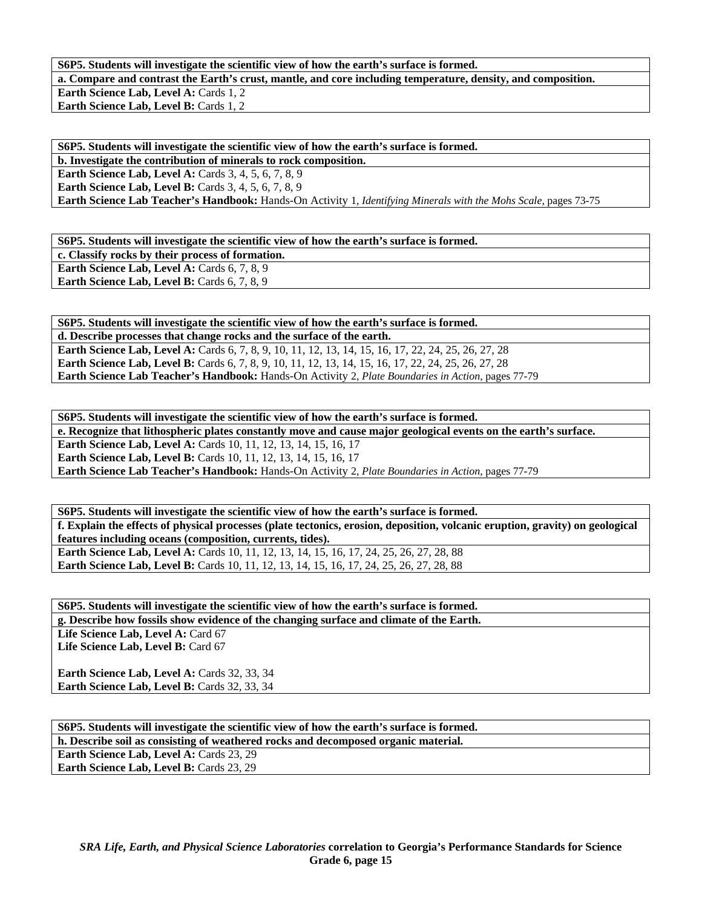# **S6P5. Students will investigate the scientific view of how the earth's surface is formed. a. Compare and contrast the Earth's crust, mantle, and core including temperature, density, and composition. Earth Science Lab, Level A: Cards 1, 2 Earth Science Lab, Level B: Cards 1, 2**

**S6P5. Students will investigate the scientific view of how the earth's surface is formed. b. Investigate the contribution of minerals to rock composition. Earth Science Lab, Level A: Cards 3, 4, 5, 6, 7, 8, 9 Earth Science Lab, Level B:** Cards 3, 4, 5, 6, 7, 8, 9 **Earth Science Lab Teacher's Handbook:** Hands-On Activity 1, *Identifying Minerals with the Mohs Scale,* pages 73-75

**S6P5. Students will investigate the scientific view of how the earth's surface is formed. c. Classify rocks by their process of formation. Earth Science Lab, Level A: Cards 6, 7, 8, 9** Earth Science Lab, Level B: Cards 6, 7, 8, 9

**S6P5. Students will investigate the scientific view of how the earth's surface is formed. d. Describe processes that change rocks and the surface of the earth. Earth Science Lab, Level A:** Cards 6, 7, 8, 9, 10, 11, 12, 13, 14, 15, 16, 17, 22, 24, 25, 26, 27, 28 **Earth Science Lab, Level B:** Cards 6, 7, 8, 9, 10, 11, 12, 13, 14, 15, 16, 17, 22, 24, 25, 26, 27, 28 **Earth Science Lab Teacher's Handbook:** Hands-On Activity 2, *Plate Boundaries in Action,* pages 77-79

**S6P5. Students will investigate the scientific view of how the earth's surface is formed. e. Recognize that lithospheric plates constantly move and cause major geological events on the earth's surface. Earth Science Lab, Level A: Cards 10, 11, 12, 13, 14, 15, 16, 17 Earth Science Lab, Level B:** Cards 10, 11, 12, 13, 14, 15, 16, 17 **Earth Science Lab Teacher's Handbook:** Hands-On Activity 2, *Plate Boundaries in Action,* pages 77-79

**S6P5. Students will investigate the scientific view of how the earth's surface is formed. f. Explain the effects of physical processes (plate tectonics, erosion, deposition, volcanic eruption, gravity) on geological features including oceans (composition, currents, tides). Earth Science Lab, Level A:** Cards 10, 11, 12, 13, 14, 15, 16, 17, 24, 25, 26, 27, 28, 88 **Earth Science Lab, Level B:** Cards 10, 11, 12, 13, 14, 15, 16, 17, 24, 25, 26, 27, 28, 88

**S6P5. Students will investigate the scientific view of how the earth's surface is formed. g. Describe how fossils show evidence of the changing surface and climate of the Earth.**  Life Science Lab, Level A: Card 67 Life Science Lab, Level B: Card 67

**Earth Science Lab, Level A: Cards 32, 33, 34 Earth Science Lab, Level B: Cards 32, 33, 34** 

**S6P5. Students will investigate the scientific view of how the earth's surface is formed. h. Describe soil as consisting of weathered rocks and decomposed organic material. Earth Science Lab, Level A: Cards 23, 29 Earth Science Lab, Level B: Cards 23, 29**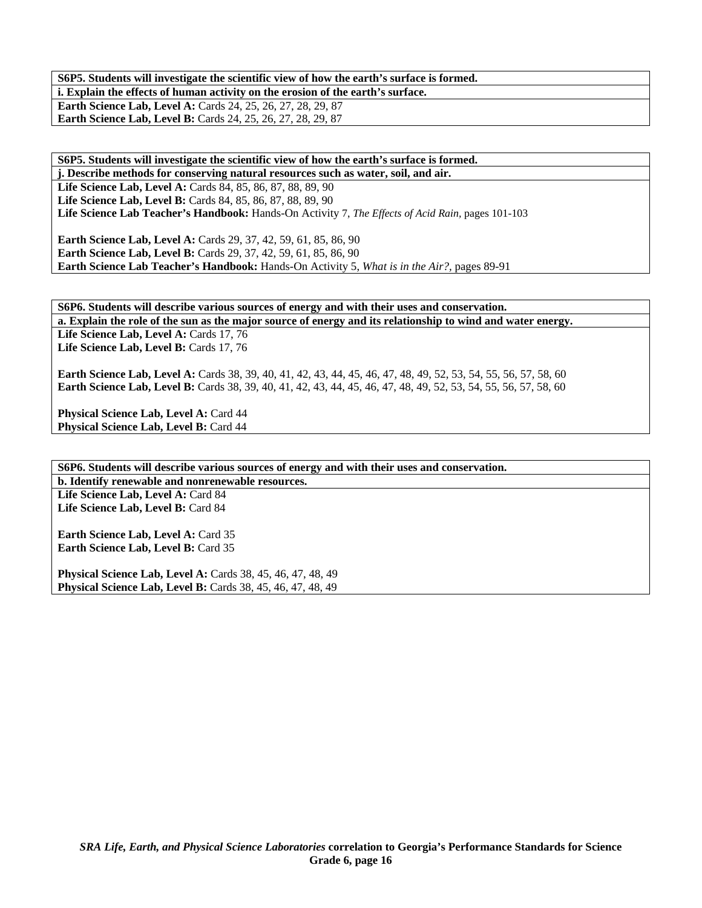**S6P5. Students will investigate the scientific view of how the earth's surface is formed. i. Explain the effects of human activity on the erosion of the earth's surface. Earth Science Lab, Level A:** Cards 24, 25, 26, 27, 28, 29, 87 **Earth Science Lab, Level B:** Cards 24, 25, 26, 27, 28, 29, 87

**S6P5. Students will investigate the scientific view of how the earth's surface is formed. j. Describe methods for conserving natural resources such as water, soil, and air. Life Science Lab, Level A:** Cards 84, 85, 86, 87, 88, 89, 90 **Life Science Lab, Level B:** Cards 84, 85, 86, 87, 88, 89, 90 **Life Science Lab Teacher's Handbook:** Hands-On Activity 7, *The Effects of Acid Rain,* pages 101-103

**Earth Science Lab, Level A:** Cards 29, 37, 42, 59, 61, 85, 86, 90 **Earth Science Lab, Level B:** Cards 29, 37, 42, 59, 61, 85, 86, 90 **Earth Science Lab Teacher's Handbook:** Hands-On Activity 5, *What is in the Air?,* pages 89-91

**S6P6. Students will describe various sources of energy and with their uses and conservation. a. Explain the role of the sun as the major source of energy and its relationship to wind and water energy.**  Life Science Lab, Level A: Cards 17, 76 Life Science Lab, Level B: Cards 17, 76 **Earth Science Lab, Level A:** Cards 38, 39, 40, 41, 42, 43, 44, 45, 46, 47, 48, 49, 52, 53, 54, 55, 56, 57, 58, 60 **Earth Science Lab, Level B:** Cards 38, 39, 40, 41, 42, 43, 44, 45, 46, 47, 48, 49, 52, 53, 54, 55, 56, 57, 58, 60

**Physical Science Lab, Level A: Card 44 Physical Science Lab, Level B: Card 44** 

**S6P6. Students will describe various sources of energy and with their uses and conservation. b. Identify renewable and nonrenewable resources.** 

Life Science Lab, Level A: Card 84 Life Science Lab, Level B: Card 84

**Earth Science Lab, Level A: Card 35 Earth Science Lab, Level B: Card 35** 

**Physical Science Lab, Level A:** Cards 38, 45, 46, 47, 48, 49 **Physical Science Lab, Level B:** Cards 38, 45, 46, 47, 48, 49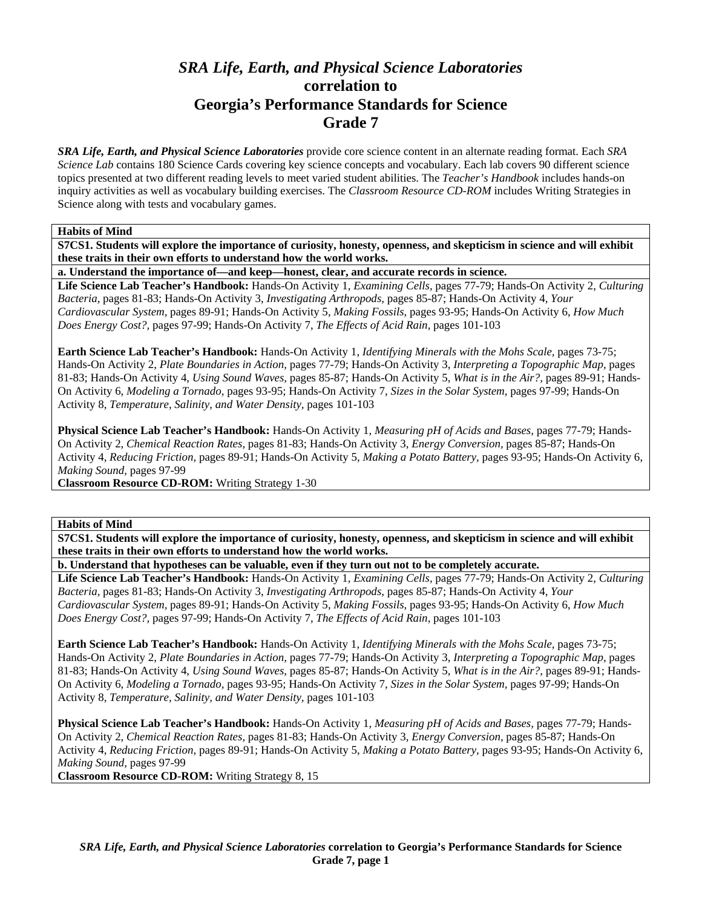# *SRA Life, Earth, and Physical Science Laboratories*  **correlation to Georgia's Performance Standards for Science Grade 7**

*SRA Life, Earth, and Physical Science Laboratories* provide core science content in an alternate reading format. Each *SRA Science Lab* contains 180 Science Cards covering key science concepts and vocabulary. Each lab covers 90 different science topics presented at two different reading levels to meet varied student abilities. The *Teacher's Handbook* includes hands-on inquiry activities as well as vocabulary building exercises. The *Classroom Resource CD-ROM* includes Writing Strategies in Science along with tests and vocabulary games.

#### **Habits of Mind**

**S7CS1. Students will explore the importance of curiosity, honesty, openness, and skepticism in science and will exhibit these traits in their own efforts to understand how the world works.** 

**a. Understand the importance of—and keep—honest, clear, and accurate records in science.** 

**Life Science Lab Teacher's Handbook:** Hands-On Activity 1, *Examining Cells,* pages 77-79; Hands-On Activity 2, *Culturing Bacteria,* pages 81-83; Hands-On Activity 3, *Investigating Arthropods,* pages 85-87; Hands-On Activity 4, *Your Cardiovascular System,* pages 89-91; Hands-On Activity 5, *Making Fossils,* pages 93-95; Hands-On Activity 6, *How Much Does Energy Cost?,* pages 97-99; Hands-On Activity 7, *The Effects of Acid Rain,* pages 101-103

**Earth Science Lab Teacher's Handbook:** Hands-On Activity 1, *Identifying Minerals with the Mohs Scale,* pages 73-75; Hands-On Activity 2, *Plate Boundaries in Action,* pages 77-79; Hands-On Activity 3, *Interpreting a Topographic Map,* pages 81-83; Hands-On Activity 4, *Using Sound Waves,* pages 85-87; Hands-On Activity 5, *What is in the Air?,* pages 89-91; Hands-On Activity 6, *Modeling a Tornado,* pages 93-95; Hands-On Activity 7, *Sizes in the Solar System,* pages 97-99; Hands-On Activity 8, *Temperature, Salinity, and Water Density,* pages 101-103

**Physical Science Lab Teacher's Handbook:** Hands-On Activity 1, *Measuring pH of Acids and Bases,* pages 77-79; Hands-On Activity 2, *Chemical Reaction Rates,* pages 81-83; Hands-On Activity 3, *Energy Conversion,* pages 85-87; Hands-On Activity 4, *Reducing Friction,* pages 89-91; Hands-On Activity 5, *Making a Potato Battery,* pages 93-95; Hands-On Activity 6, *Making Sound,* pages 97-99

**Classroom Resource CD-ROM:** Writing Strategy 1-30

#### **Habits of Mind**

**S7CS1. Students will explore the importance of curiosity, honesty, openness, and skepticism in science and will exhibit these traits in their own efforts to understand how the world works.** 

**b. Understand that hypotheses can be valuable, even if they turn out not to be completely accurate.** 

**Life Science Lab Teacher's Handbook:** Hands-On Activity 1, *Examining Cells,* pages 77-79; Hands-On Activity 2, *Culturing Bacteria,* pages 81-83; Hands-On Activity 3, *Investigating Arthropods,* pages 85-87; Hands-On Activity 4, *Your Cardiovascular System,* pages 89-91; Hands-On Activity 5, *Making Fossils,* pages 93-95; Hands-On Activity 6, *How Much Does Energy Cost?,* pages 97-99; Hands-On Activity 7, *The Effects of Acid Rain,* pages 101-103

**Earth Science Lab Teacher's Handbook:** Hands-On Activity 1, *Identifying Minerals with the Mohs Scale,* pages 73-75; Hands-On Activity 2, *Plate Boundaries in Action,* pages 77-79; Hands-On Activity 3, *Interpreting a Topographic Map,* pages 81-83; Hands-On Activity 4, *Using Sound Waves,* pages 85-87; Hands-On Activity 5, *What is in the Air?,* pages 89-91; Hands-On Activity 6, *Modeling a Tornado,* pages 93-95; Hands-On Activity 7, *Sizes in the Solar System,* pages 97-99; Hands-On Activity 8, *Temperature, Salinity, and Water Density,* pages 101-103

**Physical Science Lab Teacher's Handbook:** Hands-On Activity 1, *Measuring pH of Acids and Bases,* pages 77-79; Hands-On Activity 2, *Chemical Reaction Rates,* pages 81-83; Hands-On Activity 3, *Energy Conversion,* pages 85-87; Hands-On Activity 4, *Reducing Friction,* pages 89-91; Hands-On Activity 5, *Making a Potato Battery,* pages 93-95; Hands-On Activity 6, *Making Sound,* pages 97-99

**Classroom Resource CD-ROM:** Writing Strategy 8, 15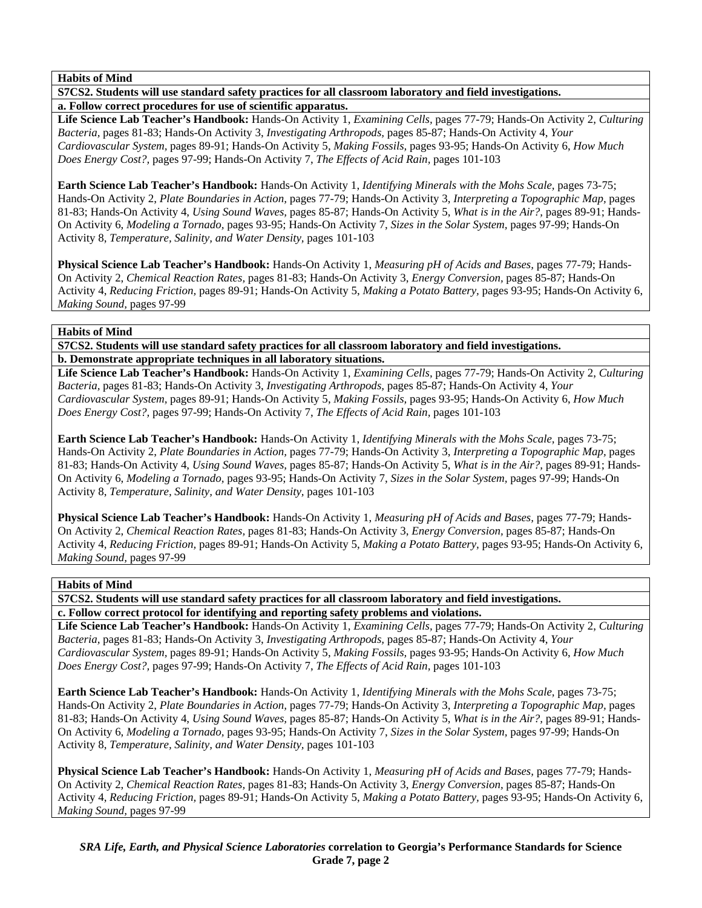**S7CS2. Students will use standard safety practices for all classroom laboratory and field investigations. a. Follow correct procedures for use of scientific apparatus.** 

**Life Science Lab Teacher's Handbook:** Hands-On Activity 1, *Examining Cells,* pages 77-79; Hands-On Activity 2, *Culturing Bacteria,* pages 81-83; Hands-On Activity 3, *Investigating Arthropods,* pages 85-87; Hands-On Activity 4, *Your Cardiovascular System,* pages 89-91; Hands-On Activity 5, *Making Fossils,* pages 93-95; Hands-On Activity 6, *How Much Does Energy Cost?,* pages 97-99; Hands-On Activity 7, *The Effects of Acid Rain,* pages 101-103

**Earth Science Lab Teacher's Handbook:** Hands-On Activity 1, *Identifying Minerals with the Mohs Scale,* pages 73-75; Hands-On Activity 2, *Plate Boundaries in Action,* pages 77-79; Hands-On Activity 3, *Interpreting a Topographic Map,* pages 81-83; Hands-On Activity 4, *Using Sound Waves,* pages 85-87; Hands-On Activity 5, *What is in the Air?,* pages 89-91; Hands-On Activity 6, *Modeling a Tornado,* pages 93-95; Hands-On Activity 7, *Sizes in the Solar System,* pages 97-99; Hands-On Activity 8, *Temperature, Salinity, and Water Density,* pages 101-103

**Physical Science Lab Teacher's Handbook:** Hands-On Activity 1, *Measuring pH of Acids and Bases,* pages 77-79; Hands-On Activity 2, *Chemical Reaction Rates,* pages 81-83; Hands-On Activity 3, *Energy Conversion,* pages 85-87; Hands-On Activity 4, *Reducing Friction,* pages 89-91; Hands-On Activity 5, *Making a Potato Battery,* pages 93-95; Hands-On Activity 6, *Making Sound,* pages 97-99

# **Habits of Mind**

**S7CS2. Students will use standard safety practices for all classroom laboratory and field investigations. b. Demonstrate appropriate techniques in all laboratory situations.** 

**Life Science Lab Teacher's Handbook:** Hands-On Activity 1, *Examining Cells,* pages 77-79; Hands-On Activity 2, *Culturing Bacteria,* pages 81-83; Hands-On Activity 3, *Investigating Arthropods,* pages 85-87; Hands-On Activity 4, *Your Cardiovascular System,* pages 89-91; Hands-On Activity 5, *Making Fossils,* pages 93-95; Hands-On Activity 6, *How Much Does Energy Cost?,* pages 97-99; Hands-On Activity 7, *The Effects of Acid Rain,* pages 101-103

**Earth Science Lab Teacher's Handbook:** Hands-On Activity 1, *Identifying Minerals with the Mohs Scale,* pages 73-75; Hands-On Activity 2, *Plate Boundaries in Action,* pages 77-79; Hands-On Activity 3, *Interpreting a Topographic Map,* pages 81-83; Hands-On Activity 4, *Using Sound Waves,* pages 85-87; Hands-On Activity 5, *What is in the Air?,* pages 89-91; Hands-On Activity 6, *Modeling a Tornado,* pages 93-95; Hands-On Activity 7, *Sizes in the Solar System,* pages 97-99; Hands-On Activity 8, *Temperature, Salinity, and Water Density,* pages 101-103

**Physical Science Lab Teacher's Handbook:** Hands-On Activity 1, *Measuring pH of Acids and Bases,* pages 77-79; Hands-On Activity 2, *Chemical Reaction Rates,* pages 81-83; Hands-On Activity 3, *Energy Conversion,* pages 85-87; Hands-On Activity 4, *Reducing Friction,* pages 89-91; Hands-On Activity 5, *Making a Potato Battery,* pages 93-95; Hands-On Activity 6, *Making Sound,* pages 97-99

## **Habits of Mind**

**S7CS2. Students will use standard safety practices for all classroom laboratory and field investigations. c. Follow correct protocol for identifying and reporting safety problems and violations.** 

**Life Science Lab Teacher's Handbook:** Hands-On Activity 1, *Examining Cells,* pages 77-79; Hands-On Activity 2, *Culturing Bacteria,* pages 81-83; Hands-On Activity 3, *Investigating Arthropods,* pages 85-87; Hands-On Activity 4, *Your Cardiovascular System,* pages 89-91; Hands-On Activity 5, *Making Fossils,* pages 93-95; Hands-On Activity 6, *How Much Does Energy Cost?,* pages 97-99; Hands-On Activity 7, *The Effects of Acid Rain,* pages 101-103

**Earth Science Lab Teacher's Handbook:** Hands-On Activity 1, *Identifying Minerals with the Mohs Scale,* pages 73-75; Hands-On Activity 2, *Plate Boundaries in Action,* pages 77-79; Hands-On Activity 3, *Interpreting a Topographic Map,* pages 81-83; Hands-On Activity 4, *Using Sound Waves,* pages 85-87; Hands-On Activity 5, *What is in the Air?,* pages 89-91; Hands-On Activity 6, *Modeling a Tornado,* pages 93-95; Hands-On Activity 7, *Sizes in the Solar System,* pages 97-99; Hands-On Activity 8, *Temperature, Salinity, and Water Density,* pages 101-103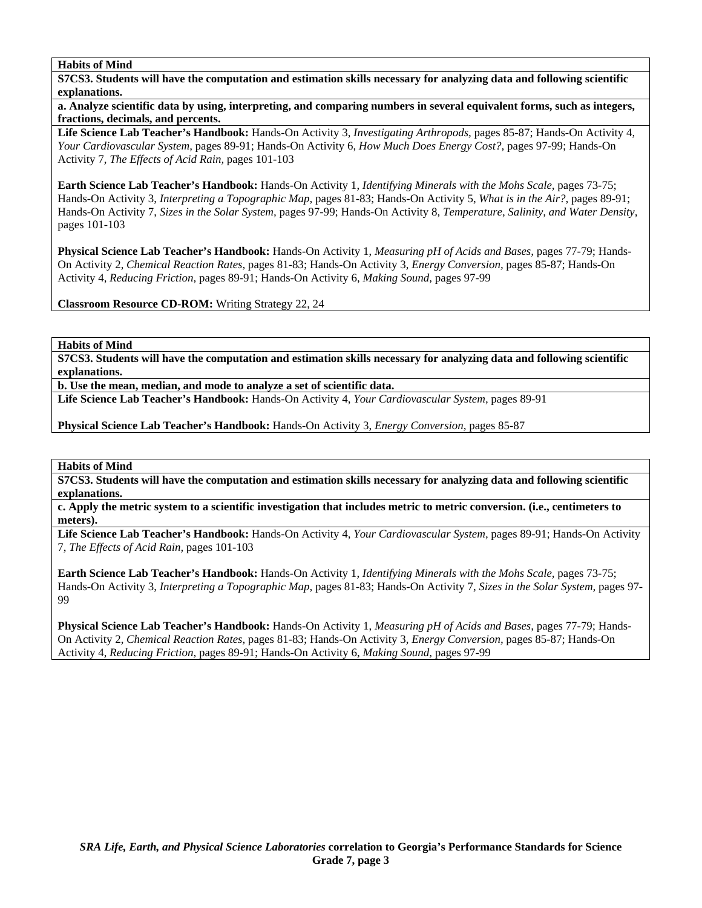**S7CS3. Students will have the computation and estimation skills necessary for analyzing data and following scientific explanations.** 

**a. Analyze scientific data by using, interpreting, and comparing numbers in several equivalent forms, such as integers, fractions, decimals, and percents.** 

**Life Science Lab Teacher's Handbook:** Hands-On Activity 3, *Investigating Arthropods,* pages 85-87; Hands-On Activity 4, *Your Cardiovascular System,* pages 89-91; Hands-On Activity 6, *How Much Does Energy Cost?,* pages 97-99; Hands-On Activity 7, *The Effects of Acid Rain,* pages 101-103

**Earth Science Lab Teacher's Handbook:** Hands-On Activity 1, *Identifying Minerals with the Mohs Scale,* pages 73-75; Hands-On Activity 3, *Interpreting a Topographic Map,* pages 81-83; Hands-On Activity 5, *What is in the Air?,* pages 89-91; Hands-On Activity 7, *Sizes in the Solar System,* pages 97-99; Hands-On Activity 8, *Temperature, Salinity, and Water Density,* pages 101-103

**Physical Science Lab Teacher's Handbook:** Hands-On Activity 1, *Measuring pH of Acids and Bases,* pages 77-79; Hands-On Activity 2, *Chemical Reaction Rates,* pages 81-83; Hands-On Activity 3, *Energy Conversion,* pages 85-87; Hands-On Activity 4, *Reducing Friction,* pages 89-91; Hands-On Activity 6, *Making Sound,* pages 97-99

**Classroom Resource CD-ROM:** Writing Strategy 22, 24

**Habits of Mind** 

**S7CS3. Students will have the computation and estimation skills necessary for analyzing data and following scientific explanations.** 

**b. Use the mean, median, and mode to analyze a set of scientific data.** 

**Life Science Lab Teacher's Handbook:** Hands-On Activity 4, *Your Cardiovascular System,* pages 89-91

**Physical Science Lab Teacher's Handbook:** Hands-On Activity 3, *Energy Conversion,* pages 85-87

#### **Habits of Mind**

**S7CS3. Students will have the computation and estimation skills necessary for analyzing data and following scientific explanations.** 

**c. Apply the metric system to a scientific investigation that includes metric to metric conversion. (i.e., centimeters to meters).** 

**Life Science Lab Teacher's Handbook:** Hands-On Activity 4, *Your Cardiovascular System,* pages 89-91; Hands-On Activity 7, *The Effects of Acid Rain,* pages 101-103

**Earth Science Lab Teacher's Handbook:** Hands-On Activity 1, *Identifying Minerals with the Mohs Scale,* pages 73-75; Hands-On Activity 3, *Interpreting a Topographic Map,* pages 81-83; Hands-On Activity 7, *Sizes in the Solar System,* pages 97- 99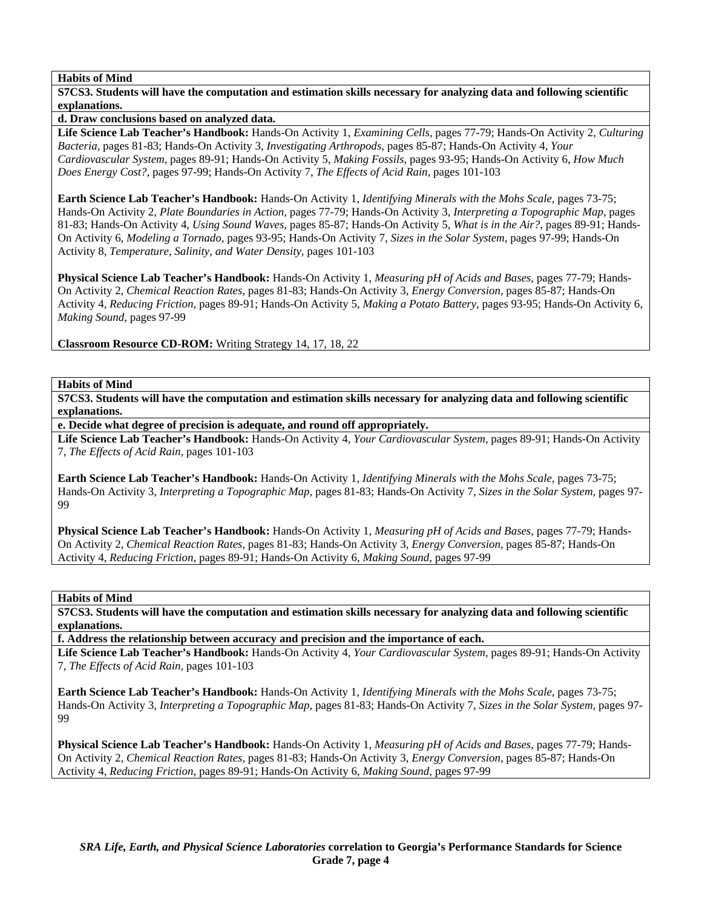**S7CS3. Students will have the computation and estimation skills necessary for analyzing data and following scientific explanations.** 

**d. Draw conclusions based on analyzed data.** 

**Life Science Lab Teacher's Handbook:** Hands-On Activity 1, *Examining Cells,* pages 77-79; Hands-On Activity 2, *Culturing Bacteria,* pages 81-83; Hands-On Activity 3, *Investigating Arthropods,* pages 85-87; Hands-On Activity 4, *Your Cardiovascular System,* pages 89-91; Hands-On Activity 5, *Making Fossils,* pages 93-95; Hands-On Activity 6, *How Much Does Energy Cost?,* pages 97-99; Hands-On Activity 7, *The Effects of Acid Rain,* pages 101-103

**Earth Science Lab Teacher's Handbook:** Hands-On Activity 1, *Identifying Minerals with the Mohs Scale,* pages 73-75; Hands-On Activity 2, *Plate Boundaries in Action,* pages 77-79; Hands-On Activity 3, *Interpreting a Topographic Map,* pages 81-83; Hands-On Activity 4, *Using Sound Waves,* pages 85-87; Hands-On Activity 5, *What is in the Air?,* pages 89-91; Hands-On Activity 6, *Modeling a Tornado,* pages 93-95; Hands-On Activity 7, *Sizes in the Solar System,* pages 97-99; Hands-On Activity 8, *Temperature, Salinity, and Water Density,* pages 101-103

**Physical Science Lab Teacher's Handbook:** Hands-On Activity 1, *Measuring pH of Acids and Bases,* pages 77-79; Hands-On Activity 2, *Chemical Reaction Rates,* pages 81-83; Hands-On Activity 3, *Energy Conversion,* pages 85-87; Hands-On Activity 4, *Reducing Friction,* pages 89-91; Hands-On Activity 5, *Making a Potato Battery,* pages 93-95; Hands-On Activity 6, *Making Sound,* pages 97-99

**Classroom Resource CD-ROM:** Writing Strategy 14, 17, 18, 22

**Habits of Mind** 

**S7CS3. Students will have the computation and estimation skills necessary for analyzing data and following scientific explanations.** 

**e. Decide what degree of precision is adequate, and round off appropriately.** 

**Life Science Lab Teacher's Handbook:** Hands-On Activity 4, *Your Cardiovascular System,* pages 89-91; Hands-On Activity 7, *The Effects of Acid Rain,* pages 101-103

**Earth Science Lab Teacher's Handbook:** Hands-On Activity 1, *Identifying Minerals with the Mohs Scale,* pages 73-75; Hands-On Activity 3, *Interpreting a Topographic Map,* pages 81-83; Hands-On Activity 7, *Sizes in the Solar System,* pages 97- 99

**Physical Science Lab Teacher's Handbook:** Hands-On Activity 1, *Measuring pH of Acids and Bases,* pages 77-79; Hands-On Activity 2, *Chemical Reaction Rates,* pages 81-83; Hands-On Activity 3, *Energy Conversion,* pages 85-87; Hands-On Activity 4, *Reducing Friction,* pages 89-91; Hands-On Activity 6, *Making Sound,* pages 97-99

## **Habits of Mind**

**S7CS3. Students will have the computation and estimation skills necessary for analyzing data and following scientific explanations.** 

**f. Address the relationship between accuracy and precision and the importance of each.** 

**Life Science Lab Teacher's Handbook:** Hands-On Activity 4, *Your Cardiovascular System,* pages 89-91; Hands-On Activity 7, *The Effects of Acid Rain,* pages 101-103

**Earth Science Lab Teacher's Handbook:** Hands-On Activity 1, *Identifying Minerals with the Mohs Scale,* pages 73-75; Hands-On Activity 3, *Interpreting a Topographic Map,* pages 81-83; Hands-On Activity 7, *Sizes in the Solar System,* pages 97- 99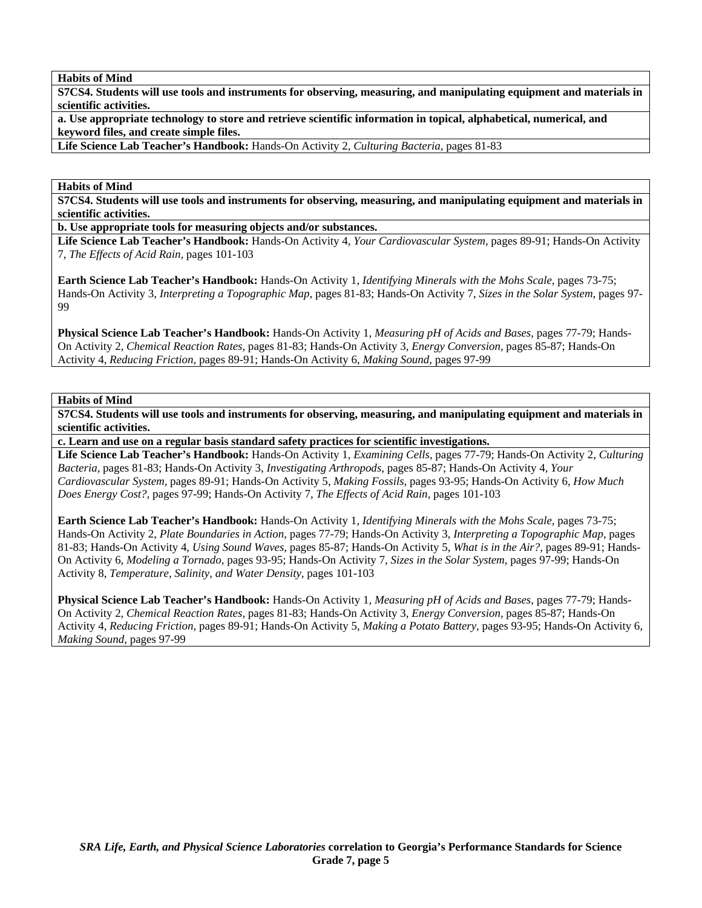**S7CS4. Students will use tools and instruments for observing, measuring, and manipulating equipment and materials in scientific activities.** 

**a. Use appropriate technology to store and retrieve scientific information in topical, alphabetical, numerical, and keyword files, and create simple files.** 

**Life Science Lab Teacher's Handbook:** Hands-On Activity 2, *Culturing Bacteria,* pages 81-83

**Habits of Mind** 

**S7CS4. Students will use tools and instruments for observing, measuring, and manipulating equipment and materials in scientific activities.** 

**b. Use appropriate tools for measuring objects and/or substances.** 

**Life Science Lab Teacher's Handbook:** Hands-On Activity 4, *Your Cardiovascular System,* pages 89-91; Hands-On Activity 7, *The Effects of Acid Rain,* pages 101-103

**Earth Science Lab Teacher's Handbook:** Hands-On Activity 1, *Identifying Minerals with the Mohs Scale,* pages 73-75; Hands-On Activity 3, *Interpreting a Topographic Map,* pages 81-83; Hands-On Activity 7, *Sizes in the Solar System,* pages 97- 99

**Physical Science Lab Teacher's Handbook:** Hands-On Activity 1, *Measuring pH of Acids and Bases,* pages 77-79; Hands-On Activity 2, *Chemical Reaction Rates,* pages 81-83; Hands-On Activity 3, *Energy Conversion,* pages 85-87; Hands-On Activity 4, *Reducing Friction,* pages 89-91; Hands-On Activity 6, *Making Sound,* pages 97-99

### **Habits of Mind**

**S7CS4. Students will use tools and instruments for observing, measuring, and manipulating equipment and materials in scientific activities.** 

**c. Learn and use on a regular basis standard safety practices for scientific investigations.** 

**Life Science Lab Teacher's Handbook:** Hands-On Activity 1, *Examining Cells,* pages 77-79; Hands-On Activity 2, *Culturing Bacteria,* pages 81-83; Hands-On Activity 3, *Investigating Arthropods,* pages 85-87; Hands-On Activity 4, *Your Cardiovascular System,* pages 89-91; Hands-On Activity 5, *Making Fossils,* pages 93-95; Hands-On Activity 6, *How Much Does Energy Cost?,* pages 97-99; Hands-On Activity 7, *The Effects of Acid Rain,* pages 101-103

**Earth Science Lab Teacher's Handbook:** Hands-On Activity 1, *Identifying Minerals with the Mohs Scale,* pages 73-75; Hands-On Activity 2, *Plate Boundaries in Action,* pages 77-79; Hands-On Activity 3, *Interpreting a Topographic Map,* pages 81-83; Hands-On Activity 4, *Using Sound Waves,* pages 85-87; Hands-On Activity 5, *What is in the Air?,* pages 89-91; Hands-On Activity 6, *Modeling a Tornado,* pages 93-95; Hands-On Activity 7, *Sizes in the Solar System,* pages 97-99; Hands-On Activity 8, *Temperature, Salinity, and Water Density,* pages 101-103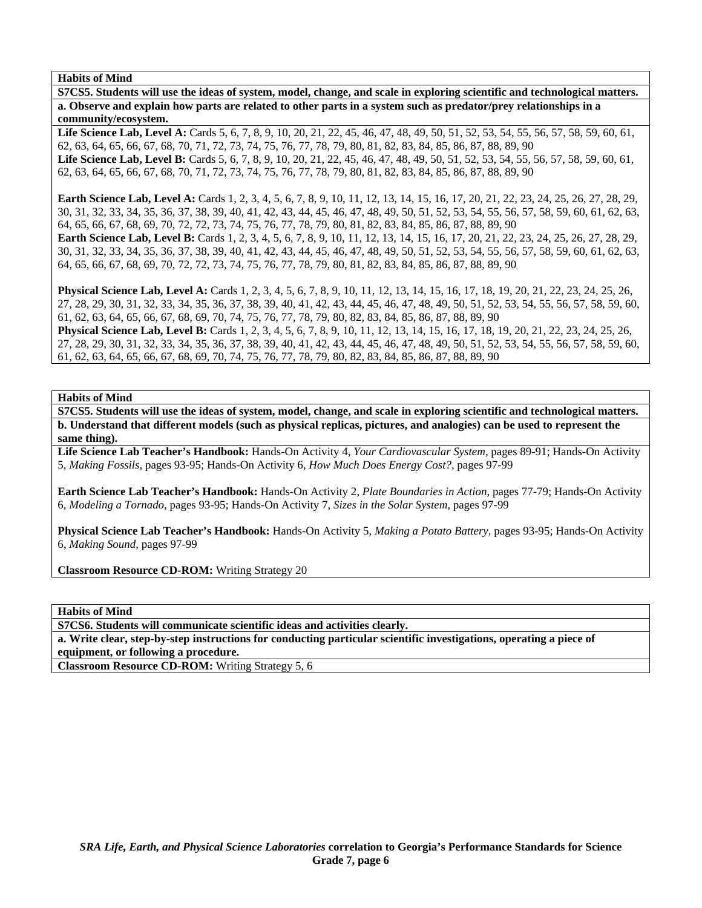**S7CS5. Students will use the ideas of system, model, change, and scale in exploring scientific and technological matters. a. Observe and explain how parts are related to other parts in a system such as predator/prey relationships in a community/ecosystem.** 

Life Science Lab, Level A: Cards 5, 6, 7, 8, 9, 10, 20, 21, 22, 45, 46, 47, 48, 49, 50, 51, 52, 53, 54, 55, 56, 57, 58, 59, 60, 61, 62, 63, 64, 65, 66, 67, 68, 70, 71, 72, 73, 74, 75, 76, 77, 78, 79, 80, 81, 82, 83, 84, 85, 86, 87, 88, 89, 90 Life Science Lab, Level B: Cards 5, 6, 7, 8, 9, 10, 20, 21, 22, 45, 46, 47, 48, 49, 50, 51, 52, 53, 54, 55, 56, 57, 58, 59, 60, 61, 62, 63, 64, 65, 66, 67, 68, 70, 71, 72, 73, 74, 75, 76, 77, 78, 79, 80, 81, 82, 83, 84, 85, 86, 87, 88, 89, 90

**Earth Science Lab, Level A:** Cards 1, 2, 3, 4, 5, 6, 7, 8, 9, 10, 11, 12, 13, 14, 15, 16, 17, 20, 21, 22, 23, 24, 25, 26, 27, 28, 29, 30, 31, 32, 33, 34, 35, 36, 37, 38, 39, 40, 41, 42, 43, 44, 45, 46, 47, 48, 49, 50, 51, 52, 53, 54, 55, 56, 57, 58, 59, 60, 61, 62, 63, 64, 65, 66, 67, 68, 69, 70, 72, 72, 73, 74, 75, 76, 77, 78, 79, 80, 81, 82, 83, 84, 85, 86, 87, 88, 89, 90 **Earth Science Lab, Level B:** Cards 1, 2, 3, 4, 5, 6, 7, 8, 9, 10, 11, 12, 13, 14, 15, 16, 17, 20, 21, 22, 23, 24, 25, 26, 27, 28, 29, 30, 31, 32, 33, 34, 35, 36, 37, 38, 39, 40, 41, 42, 43, 44, 45, 46, 47, 48, 49, 50, 51, 52, 53, 54, 55, 56, 57, 58, 59, 60, 61, 62, 63, 64, 65, 66, 67, 68, 69, 70, 72, 72, 73, 74, 75, 76, 77, 78, 79, 80, 81, 82, 83, 84, 85, 86, 87, 88, 89, 90

**Physical Science Lab, Level A:** Cards 1, 2, 3, 4, 5, 6, 7, 8, 9, 10, 11, 12, 13, 14, 15, 16, 17, 18, 19, 20, 21, 22, 23, 24, 25, 26, 27, 28, 29, 30, 31, 32, 33, 34, 35, 36, 37, 38, 39, 40, 41, 42, 43, 44, 45, 46, 47, 48, 49, 50, 51, 52, 53, 54, 55, 56, 57, 58, 59, 60, 61, 62, 63, 64, 65, 66, 67, 68, 69, 70, 74, 75, 76, 77, 78, 79, 80, 82, 83, 84, 85, 86, 87, 88, 89, 90 **Physical Science Lab, Level B:** Cards 1, 2, 3, 4, 5, 6, 7, 8, 9, 10, 11, 12, 13, 14, 15, 16, 17, 18, 19, 20, 21, 22, 23, 24, 25, 26, 27, 28, 29, 30, 31, 32, 33, 34, 35, 36, 37, 38, 39, 40, 41, 42, 43, 44, 45, 46, 47, 48, 49, 50, 51, 52, 53, 54, 55, 56, 57, 58, 59, 60, 61, 62, 63, 64, 65, 66, 67, 68, 69, 70, 74, 75, 76, 77, 78, 79, 80, 82, 83, 84, 85, 86, 87, 88, 89, 90

# **Habits of Mind**

**S7CS5. Students will use the ideas of system, model, change, and scale in exploring scientific and technological matters. b. Understand that different models (such as physical replicas, pictures, and analogies) can be used to represent the same thing).** 

**Life Science Lab Teacher's Handbook:** Hands-On Activity 4, *Your Cardiovascular System,* pages 89-91; Hands-On Activity 5, *Making Fossils,* pages 93-95; Hands-On Activity 6, *How Much Does Energy Cost?,* pages 97-99

**Earth Science Lab Teacher's Handbook:** Hands-On Activity 2, *Plate Boundaries in Action,* pages 77-79; Hands-On Activity 6, *Modeling a Tornado,* pages 93-95; Hands-On Activity 7, *Sizes in the Solar System,* pages 97-99

**Physical Science Lab Teacher's Handbook:** Hands-On Activity 5, *Making a Potato Battery,* pages 93-95; Hands-On Activity 6, *Making Sound,* pages 97-99

**Classroom Resource CD-ROM:** Writing Strategy 20

**Habits of Mind** 

**S7CS6. Students will communicate scientific ideas and activities clearly.** 

**a. Write clear, step-by-step instructions for conducting particular scientific investigations, operating a piece of equipment, or following a procedure.** 

**Classroom Resource CD-ROM:** Writing Strategy 5, 6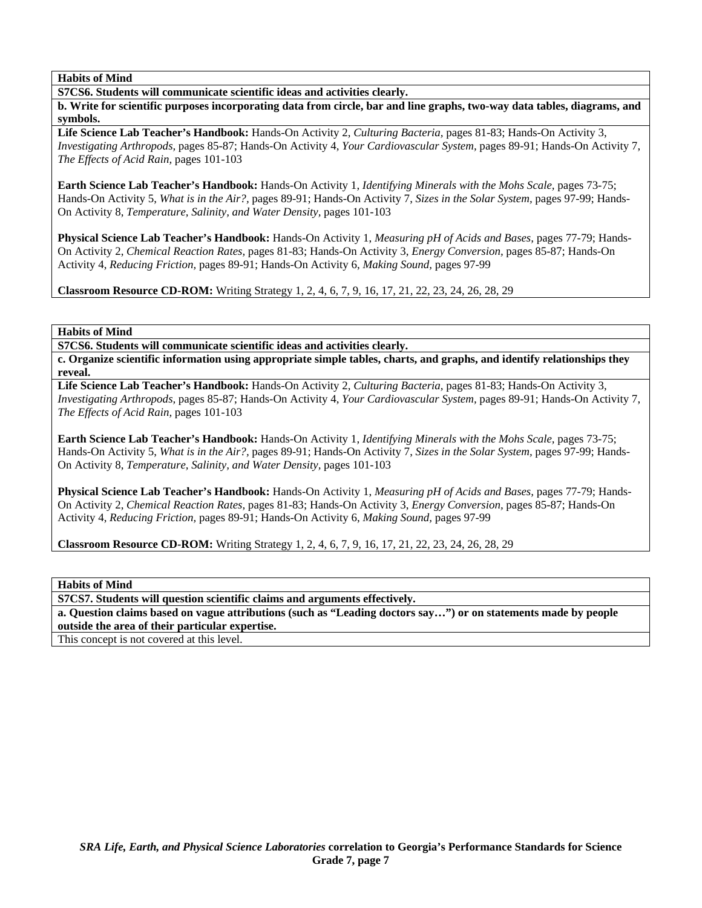**S7CS6. Students will communicate scientific ideas and activities clearly.** 

**b. Write for scientific purposes incorporating data from circle, bar and line graphs, two-way data tables, diagrams, and symbols.** 

**Life Science Lab Teacher's Handbook:** Hands-On Activity 2, *Culturing Bacteria,* pages 81-83; Hands-On Activity 3, *Investigating Arthropods,* pages 85-87; Hands-On Activity 4, *Your Cardiovascular System,* pages 89-91; Hands-On Activity 7, *The Effects of Acid Rain,* pages 101-103

**Earth Science Lab Teacher's Handbook:** Hands-On Activity 1, *Identifying Minerals with the Mohs Scale,* pages 73-75; Hands-On Activity 5, *What is in the Air?,* pages 89-91; Hands-On Activity 7, *Sizes in the Solar System,* pages 97-99; Hands-On Activity 8, *Temperature, Salinity, and Water Density,* pages 101-103

**Physical Science Lab Teacher's Handbook:** Hands-On Activity 1, *Measuring pH of Acids and Bases,* pages 77-79; Hands-On Activity 2, *Chemical Reaction Rates,* pages 81-83; Hands-On Activity 3, *Energy Conversion,* pages 85-87; Hands-On Activity 4, *Reducing Friction,* pages 89-91; Hands-On Activity 6, *Making Sound,* pages 97-99

**Classroom Resource CD-ROM:** Writing Strategy 1, 2, 4, 6, 7, 9, 16, 17, 21, 22, 23, 24, 26, 28, 29

## **Habits of Mind**

**S7CS6. Students will communicate scientific ideas and activities clearly.** 

**c. Organize scientific information using appropriate simple tables, charts, and graphs, and identify relationships they reveal.** 

**Life Science Lab Teacher's Handbook:** Hands-On Activity 2, *Culturing Bacteria,* pages 81-83; Hands-On Activity 3, *Investigating Arthropods,* pages 85-87; Hands-On Activity 4, *Your Cardiovascular System,* pages 89-91; Hands-On Activity 7, *The Effects of Acid Rain,* pages 101-103

**Earth Science Lab Teacher's Handbook:** Hands-On Activity 1, *Identifying Minerals with the Mohs Scale,* pages 73-75; Hands-On Activity 5, *What is in the Air?,* pages 89-91; Hands-On Activity 7, *Sizes in the Solar System,* pages 97-99; Hands-On Activity 8, *Temperature, Salinity, and Water Density,* pages 101-103

**Physical Science Lab Teacher's Handbook:** Hands-On Activity 1, *Measuring pH of Acids and Bases,* pages 77-79; Hands-On Activity 2, *Chemical Reaction Rates,* pages 81-83; Hands-On Activity 3, *Energy Conversion,* pages 85-87; Hands-On Activity 4, *Reducing Friction,* pages 89-91; Hands-On Activity 6, *Making Sound,* pages 97-99

**Classroom Resource CD-ROM:** Writing Strategy 1, 2, 4, 6, 7, 9, 16, 17, 21, 22, 23, 24, 26, 28, 29

**Habits of Mind** 

**S7CS7. Students will question scientific claims and arguments effectively.** 

**a. Question claims based on vague attributions (such as "Leading doctors say…") or on statements made by people outside the area of their particular expertise.** 

This concept is not covered at this level.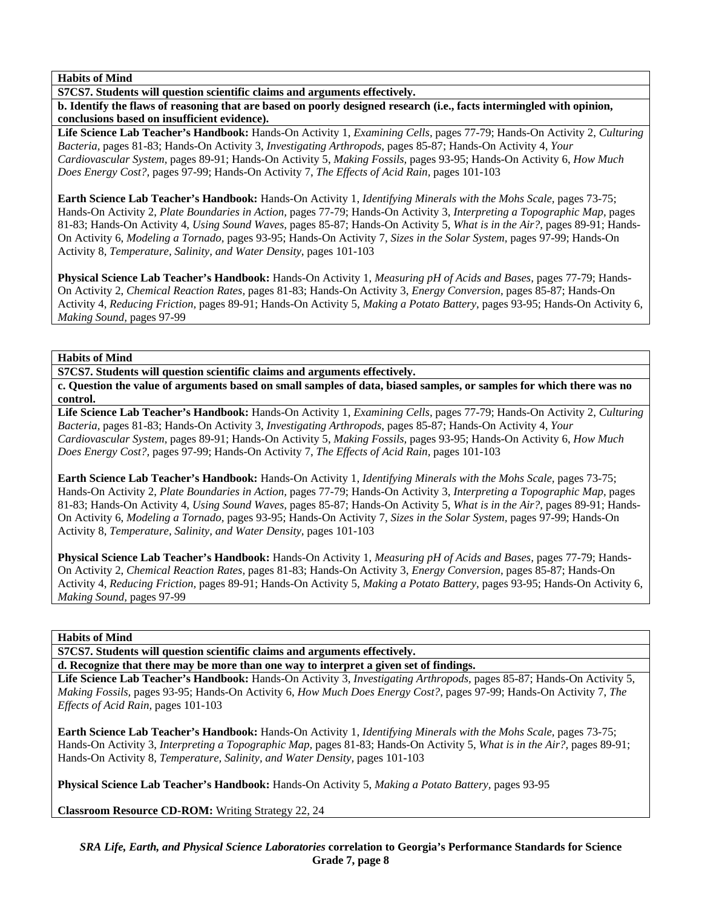**S7CS7. Students will question scientific claims and arguments effectively.** 

**b. Identify the flaws of reasoning that are based on poorly designed research (i.e., facts intermingled with opinion, conclusions based on insufficient evidence).** 

**Life Science Lab Teacher's Handbook:** Hands-On Activity 1, *Examining Cells,* pages 77-79; Hands-On Activity 2, *Culturing Bacteria,* pages 81-83; Hands-On Activity 3, *Investigating Arthropods,* pages 85-87; Hands-On Activity 4, *Your Cardiovascular System,* pages 89-91; Hands-On Activity 5, *Making Fossils,* pages 93-95; Hands-On Activity 6, *How Much Does Energy Cost?,* pages 97-99; Hands-On Activity 7, *The Effects of Acid Rain,* pages 101-103

**Earth Science Lab Teacher's Handbook:** Hands-On Activity 1, *Identifying Minerals with the Mohs Scale,* pages 73-75; Hands-On Activity 2, *Plate Boundaries in Action,* pages 77-79; Hands-On Activity 3, *Interpreting a Topographic Map,* pages 81-83; Hands-On Activity 4, *Using Sound Waves,* pages 85-87; Hands-On Activity 5, *What is in the Air?,* pages 89-91; Hands-On Activity 6, *Modeling a Tornado,* pages 93-95; Hands-On Activity 7, *Sizes in the Solar System,* pages 97-99; Hands-On Activity 8, *Temperature, Salinity, and Water Density,* pages 101-103

**Physical Science Lab Teacher's Handbook:** Hands-On Activity 1, *Measuring pH of Acids and Bases,* pages 77-79; Hands-On Activity 2, *Chemical Reaction Rates,* pages 81-83; Hands-On Activity 3, *Energy Conversion,* pages 85-87; Hands-On Activity 4, *Reducing Friction,* pages 89-91; Hands-On Activity 5, *Making a Potato Battery,* pages 93-95; Hands-On Activity 6, *Making Sound,* pages 97-99

## **Habits of Mind**

**S7CS7. Students will question scientific claims and arguments effectively.** 

**c. Question the value of arguments based on small samples of data, biased samples, or samples for which there was no control.** 

**Life Science Lab Teacher's Handbook:** Hands-On Activity 1, *Examining Cells,* pages 77-79; Hands-On Activity 2, *Culturing Bacteria,* pages 81-83; Hands-On Activity 3, *Investigating Arthropods,* pages 85-87; Hands-On Activity 4, *Your Cardiovascular System,* pages 89-91; Hands-On Activity 5, *Making Fossils,* pages 93-95; Hands-On Activity 6, *How Much Does Energy Cost?,* pages 97-99; Hands-On Activity 7, *The Effects of Acid Rain,* pages 101-103

**Earth Science Lab Teacher's Handbook:** Hands-On Activity 1, *Identifying Minerals with the Mohs Scale,* pages 73-75; Hands-On Activity 2, *Plate Boundaries in Action,* pages 77-79; Hands-On Activity 3, *Interpreting a Topographic Map,* pages 81-83; Hands-On Activity 4, *Using Sound Waves,* pages 85-87; Hands-On Activity 5, *What is in the Air?,* pages 89-91; Hands-On Activity 6, *Modeling a Tornado,* pages 93-95; Hands-On Activity 7, *Sizes in the Solar System,* pages 97-99; Hands-On Activity 8, *Temperature, Salinity, and Water Density,* pages 101-103

**Physical Science Lab Teacher's Handbook:** Hands-On Activity 1, *Measuring pH of Acids and Bases,* pages 77-79; Hands-On Activity 2, *Chemical Reaction Rates,* pages 81-83; Hands-On Activity 3, *Energy Conversion,* pages 85-87; Hands-On Activity 4, *Reducing Friction,* pages 89-91; Hands-On Activity 5, *Making a Potato Battery,* pages 93-95; Hands-On Activity 6, *Making Sound,* pages 97-99

## **Habits of Mind**

**S7CS7. Students will question scientific claims and arguments effectively.** 

**d. Recognize that there may be more than one way to interpret a given set of findings.** 

**Life Science Lab Teacher's Handbook:** Hands-On Activity 3, *Investigating Arthropods,* pages 85-87; Hands-On Activity 5, *Making Fossils,* pages 93-95; Hands-On Activity 6, *How Much Does Energy Cost?,* pages 97-99; Hands-On Activity 7, *The Effects of Acid Rain,* pages 101-103

**Earth Science Lab Teacher's Handbook:** Hands-On Activity 1, *Identifying Minerals with the Mohs Scale,* pages 73-75; Hands-On Activity 3, *Interpreting a Topographic Map,* pages 81-83; Hands-On Activity 5, *What is in the Air?,* pages 89-91; Hands-On Activity 8, *Temperature, Salinity, and Water Density,* pages 101-103

**Physical Science Lab Teacher's Handbook:** Hands-On Activity 5, *Making a Potato Battery,* pages 93-95

**Classroom Resource CD-ROM:** Writing Strategy 22, 24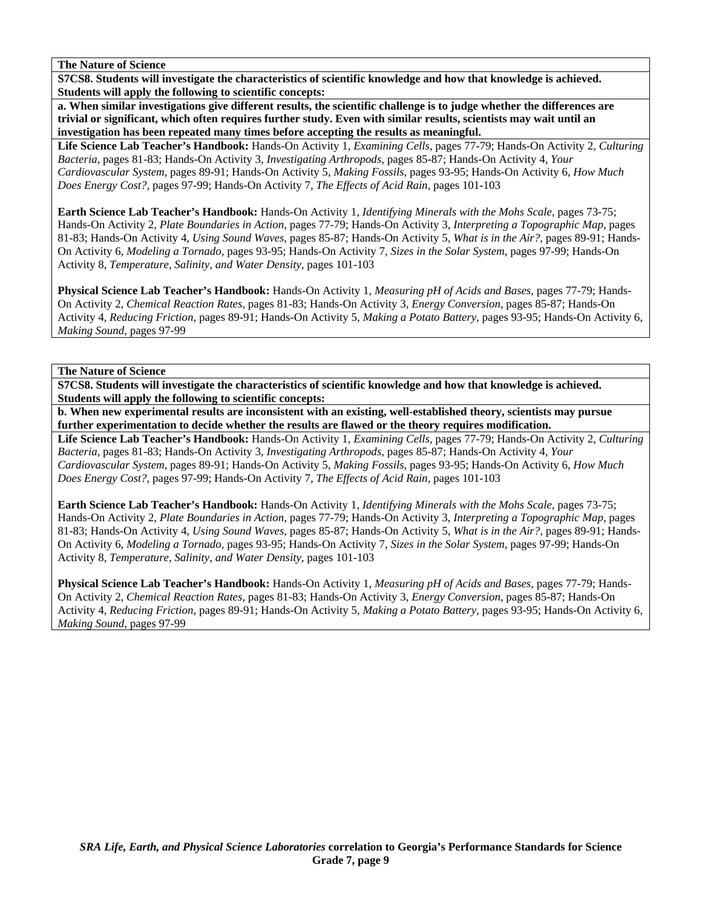**S7CS8. Students will investigate the characteristics of scientific knowledge and how that knowledge is achieved. Students will apply the following to scientific concepts:** 

**a. When similar investigations give different results, the scientific challenge is to judge whether the differences are trivial or significant, which often requires further study. Even with similar results, scientists may wait until an investigation has been repeated many times before accepting the results as meaningful.** 

**Life Science Lab Teacher's Handbook:** Hands-On Activity 1, *Examining Cells,* pages 77-79; Hands-On Activity 2, *Culturing Bacteria,* pages 81-83; Hands-On Activity 3, *Investigating Arthropods,* pages 85-87; Hands-On Activity 4, *Your Cardiovascular System,* pages 89-91; Hands-On Activity 5, *Making Fossils,* pages 93-95; Hands-On Activity 6, *How Much Does Energy Cost?,* pages 97-99; Hands-On Activity 7, *The Effects of Acid Rain,* pages 101-103

**Earth Science Lab Teacher's Handbook:** Hands-On Activity 1, *Identifying Minerals with the Mohs Scale,* pages 73-75; Hands-On Activity 2, *Plate Boundaries in Action,* pages 77-79; Hands-On Activity 3, *Interpreting a Topographic Map,* pages 81-83; Hands-On Activity 4, *Using Sound Waves,* pages 85-87; Hands-On Activity 5, *What is in the Air?,* pages 89-91; Hands-On Activity 6, *Modeling a Tornado,* pages 93-95; Hands-On Activity 7, *Sizes in the Solar System,* pages 97-99; Hands-On Activity 8, *Temperature, Salinity, and Water Density,* pages 101-103

**Physical Science Lab Teacher's Handbook:** Hands-On Activity 1, *Measuring pH of Acids and Bases,* pages 77-79; Hands-On Activity 2, *Chemical Reaction Rates,* pages 81-83; Hands-On Activity 3, *Energy Conversion,* pages 85-87; Hands-On Activity 4, *Reducing Friction,* pages 89-91; Hands-On Activity 5, *Making a Potato Battery,* pages 93-95; Hands-On Activity 6, *Making Sound,* pages 97-99

**The Nature of Science** 

**S7CS8. Students will investigate the characteristics of scientific knowledge and how that knowledge is achieved. Students will apply the following to scientific concepts:** 

**b. When new experimental results are inconsistent with an existing, well-established theory, scientists may pursue further experimentation to decide whether the results are flawed or the theory requires modification.** 

**Life Science Lab Teacher's Handbook:** Hands-On Activity 1, *Examining Cells,* pages 77-79; Hands-On Activity 2, *Culturing Bacteria,* pages 81-83; Hands-On Activity 3, *Investigating Arthropods,* pages 85-87; Hands-On Activity 4, *Your Cardiovascular System,* pages 89-91; Hands-On Activity 5, *Making Fossils,* pages 93-95; Hands-On Activity 6, *How Much Does Energy Cost?,* pages 97-99; Hands-On Activity 7, *The Effects of Acid Rain,* pages 101-103

**Earth Science Lab Teacher's Handbook:** Hands-On Activity 1, *Identifying Minerals with the Mohs Scale,* pages 73-75; Hands-On Activity 2, *Plate Boundaries in Action,* pages 77-79; Hands-On Activity 3, *Interpreting a Topographic Map,* pages 81-83; Hands-On Activity 4, *Using Sound Waves,* pages 85-87; Hands-On Activity 5, *What is in the Air?,* pages 89-91; Hands-On Activity 6, *Modeling a Tornado,* pages 93-95; Hands-On Activity 7, *Sizes in the Solar System,* pages 97-99; Hands-On Activity 8, *Temperature, Salinity, and Water Density,* pages 101-103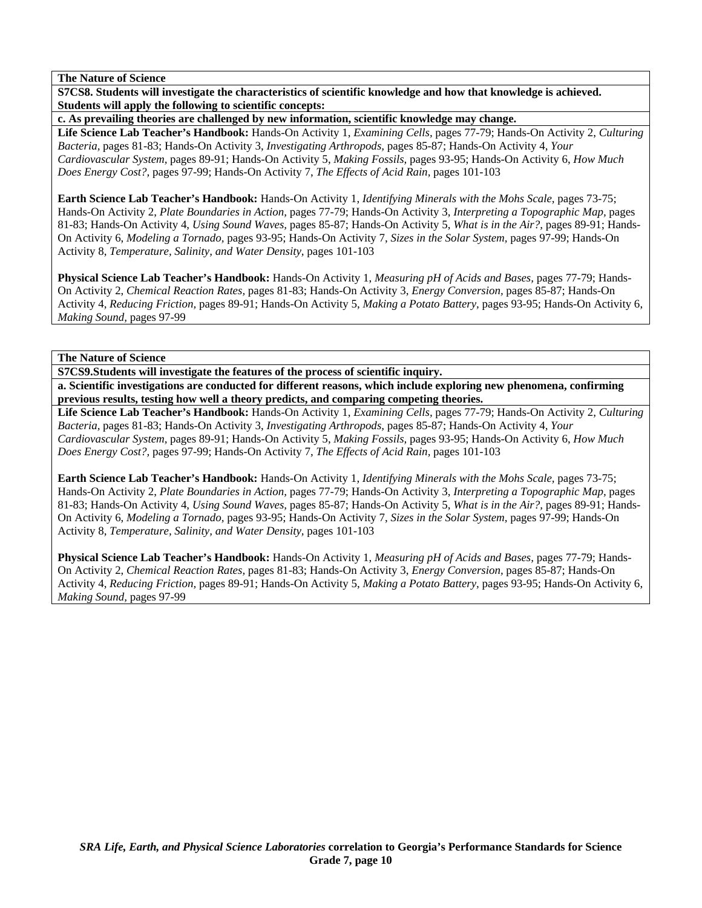**S7CS8. Students will investigate the characteristics of scientific knowledge and how that knowledge is achieved. Students will apply the following to scientific concepts:** 

**c. As prevailing theories are challenged by new information, scientific knowledge may change.** 

**Life Science Lab Teacher's Handbook:** Hands-On Activity 1, *Examining Cells,* pages 77-79; Hands-On Activity 2, *Culturing Bacteria,* pages 81-83; Hands-On Activity 3, *Investigating Arthropods,* pages 85-87; Hands-On Activity 4, *Your Cardiovascular System,* pages 89-91; Hands-On Activity 5, *Making Fossils,* pages 93-95; Hands-On Activity 6, *How Much Does Energy Cost?,* pages 97-99; Hands-On Activity 7, *The Effects of Acid Rain,* pages 101-103

**Earth Science Lab Teacher's Handbook:** Hands-On Activity 1, *Identifying Minerals with the Mohs Scale,* pages 73-75; Hands-On Activity 2, *Plate Boundaries in Action,* pages 77-79; Hands-On Activity 3, *Interpreting a Topographic Map,* pages 81-83; Hands-On Activity 4, *Using Sound Waves,* pages 85-87; Hands-On Activity 5, *What is in the Air?,* pages 89-91; Hands-On Activity 6, *Modeling a Tornado,* pages 93-95; Hands-On Activity 7, *Sizes in the Solar System,* pages 97-99; Hands-On Activity 8, *Temperature, Salinity, and Water Density,* pages 101-103

**Physical Science Lab Teacher's Handbook:** Hands-On Activity 1, *Measuring pH of Acids and Bases,* pages 77-79; Hands-On Activity 2, *Chemical Reaction Rates,* pages 81-83; Hands-On Activity 3, *Energy Conversion,* pages 85-87; Hands-On Activity 4, *Reducing Friction,* pages 89-91; Hands-On Activity 5, *Making a Potato Battery,* pages 93-95; Hands-On Activity 6, *Making Sound,* pages 97-99

**The Nature of Science** 

**S7CS9.Students will investigate the features of the process of scientific inquiry.** 

**a. Scientific investigations are conducted for different reasons, which include exploring new phenomena, confirming previous results, testing how well a theory predicts, and comparing competing theories.** 

**Life Science Lab Teacher's Handbook:** Hands-On Activity 1, *Examining Cells,* pages 77-79; Hands-On Activity 2, *Culturing Bacteria,* pages 81-83; Hands-On Activity 3, *Investigating Arthropods,* pages 85-87; Hands-On Activity 4, *Your Cardiovascular System,* pages 89-91; Hands-On Activity 5, *Making Fossils,* pages 93-95; Hands-On Activity 6, *How Much Does Energy Cost?,* pages 97-99; Hands-On Activity 7, *The Effects of Acid Rain,* pages 101-103

**Earth Science Lab Teacher's Handbook:** Hands-On Activity 1, *Identifying Minerals with the Mohs Scale,* pages 73-75; Hands-On Activity 2, *Plate Boundaries in Action,* pages 77-79; Hands-On Activity 3, *Interpreting a Topographic Map,* pages 81-83; Hands-On Activity 4, *Using Sound Waves,* pages 85-87; Hands-On Activity 5, *What is in the Air?,* pages 89-91; Hands-On Activity 6, *Modeling a Tornado,* pages 93-95; Hands-On Activity 7, *Sizes in the Solar System,* pages 97-99; Hands-On Activity 8, *Temperature, Salinity, and Water Density,* pages 101-103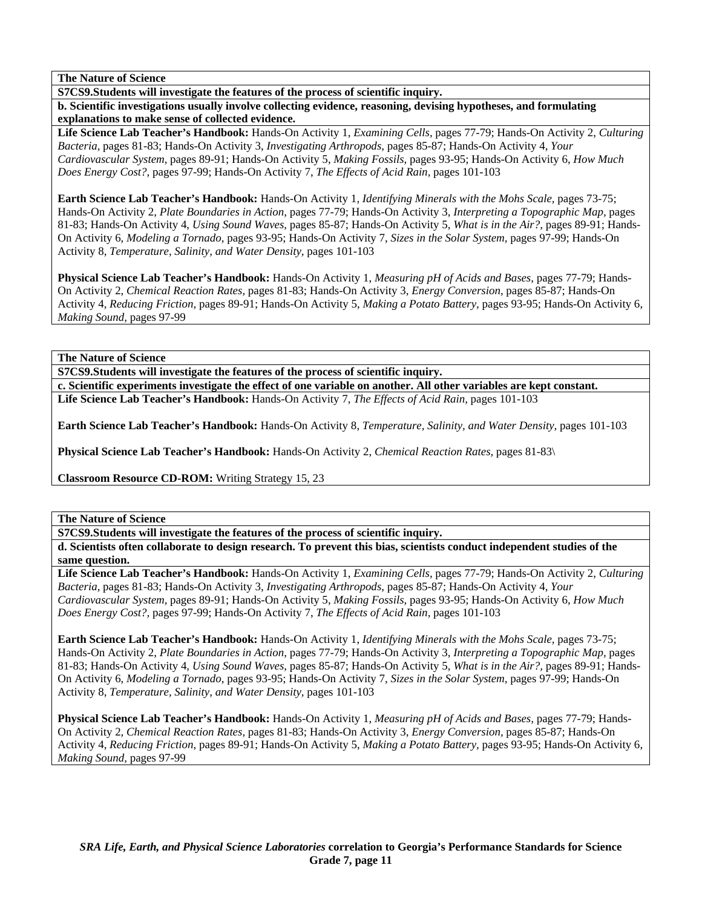**S7CS9.Students will investigate the features of the process of scientific inquiry.** 

**b. Scientific investigations usually involve collecting evidence, reasoning, devising hypotheses, and formulating explanations to make sense of collected evidence.** 

**Life Science Lab Teacher's Handbook:** Hands-On Activity 1, *Examining Cells,* pages 77-79; Hands-On Activity 2, *Culturing Bacteria,* pages 81-83; Hands-On Activity 3, *Investigating Arthropods,* pages 85-87; Hands-On Activity 4, *Your Cardiovascular System,* pages 89-91; Hands-On Activity 5, *Making Fossils,* pages 93-95; Hands-On Activity 6, *How Much Does Energy Cost?,* pages 97-99; Hands-On Activity 7, *The Effects of Acid Rain,* pages 101-103

**Earth Science Lab Teacher's Handbook:** Hands-On Activity 1, *Identifying Minerals with the Mohs Scale,* pages 73-75; Hands-On Activity 2, *Plate Boundaries in Action,* pages 77-79; Hands-On Activity 3, *Interpreting a Topographic Map,* pages 81-83; Hands-On Activity 4, *Using Sound Waves,* pages 85-87; Hands-On Activity 5, *What is in the Air?,* pages 89-91; Hands-On Activity 6, *Modeling a Tornado,* pages 93-95; Hands-On Activity 7, *Sizes in the Solar System,* pages 97-99; Hands-On Activity 8, *Temperature, Salinity, and Water Density,* pages 101-103

**Physical Science Lab Teacher's Handbook:** Hands-On Activity 1, *Measuring pH of Acids and Bases,* pages 77-79; Hands-On Activity 2, *Chemical Reaction Rates,* pages 81-83; Hands-On Activity 3, *Energy Conversion,* pages 85-87; Hands-On Activity 4, *Reducing Friction,* pages 89-91; Hands-On Activity 5, *Making a Potato Battery,* pages 93-95; Hands-On Activity 6, *Making Sound,* pages 97-99

**The Nature of Science** 

**S7CS9.Students will investigate the features of the process of scientific inquiry.** 

**c. Scientific experiments investigate the effect of one variable on another. All other variables are kept constant. Life Science Lab Teacher's Handbook:** Hands-On Activity 7, *The Effects of Acid Rain,* pages 101-103

**Earth Science Lab Teacher's Handbook:** Hands-On Activity 8, *Temperature, Salinity, and Water Density,* pages 101-103

**Physical Science Lab Teacher's Handbook:** Hands-On Activity 2, *Chemical Reaction Rates,* pages 81-83\

**Classroom Resource CD-ROM:** Writing Strategy 15, 23

**The Nature of Science** 

**S7CS9.Students will investigate the features of the process of scientific inquiry.** 

**d. Scientists often collaborate to design research. To prevent this bias, scientists conduct independent studies of the same question.** 

**Life Science Lab Teacher's Handbook:** Hands-On Activity 1, *Examining Cells,* pages 77-79; Hands-On Activity 2, *Culturing Bacteria,* pages 81-83; Hands-On Activity 3, *Investigating Arthropods,* pages 85-87; Hands-On Activity 4, *Your Cardiovascular System,* pages 89-91; Hands-On Activity 5, *Making Fossils,* pages 93-95; Hands-On Activity 6, *How Much Does Energy Cost?,* pages 97-99; Hands-On Activity 7, *The Effects of Acid Rain,* pages 101-103

**Earth Science Lab Teacher's Handbook:** Hands-On Activity 1, *Identifying Minerals with the Mohs Scale,* pages 73-75; Hands-On Activity 2, *Plate Boundaries in Action,* pages 77-79; Hands-On Activity 3, *Interpreting a Topographic Map,* pages 81-83; Hands-On Activity 4, *Using Sound Waves,* pages 85-87; Hands-On Activity 5, *What is in the Air?,* pages 89-91; Hands-On Activity 6, *Modeling a Tornado,* pages 93-95; Hands-On Activity 7, *Sizes in the Solar System,* pages 97-99; Hands-On Activity 8, *Temperature, Salinity, and Water Density,* pages 101-103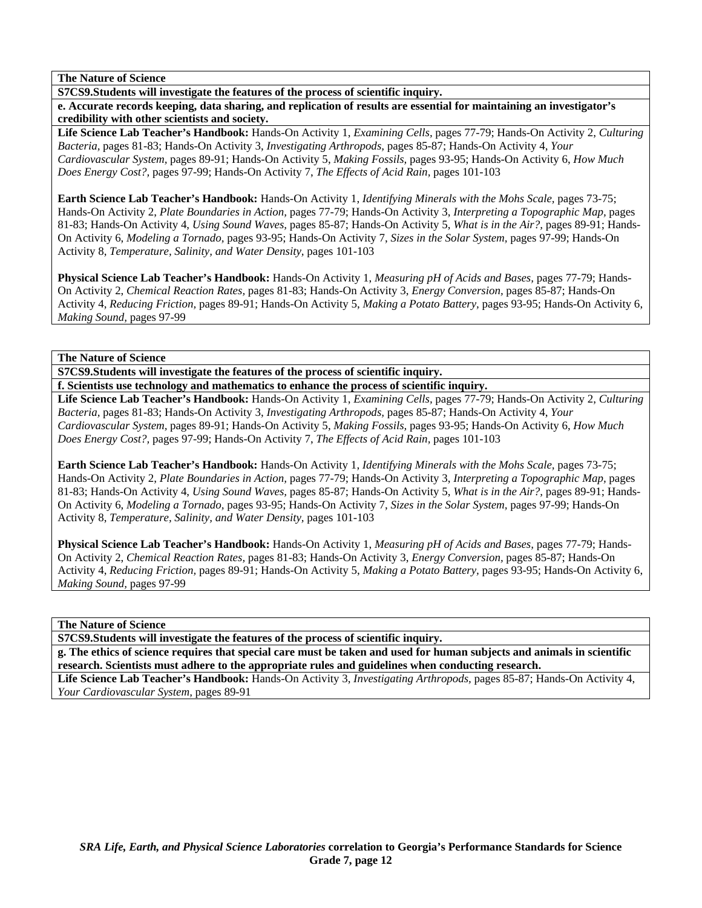**S7CS9.Students will investigate the features of the process of scientific inquiry.** 

**e. Accurate records keeping, data sharing, and replication of results are essential for maintaining an investigator's credibility with other scientists and society.** 

**Life Science Lab Teacher's Handbook:** Hands-On Activity 1, *Examining Cells,* pages 77-79; Hands-On Activity 2, *Culturing Bacteria,* pages 81-83; Hands-On Activity 3, *Investigating Arthropods,* pages 85-87; Hands-On Activity 4, *Your Cardiovascular System,* pages 89-91; Hands-On Activity 5, *Making Fossils,* pages 93-95; Hands-On Activity 6, *How Much Does Energy Cost?,* pages 97-99; Hands-On Activity 7, *The Effects of Acid Rain,* pages 101-103

**Earth Science Lab Teacher's Handbook:** Hands-On Activity 1, *Identifying Minerals with the Mohs Scale,* pages 73-75; Hands-On Activity 2, *Plate Boundaries in Action,* pages 77-79; Hands-On Activity 3, *Interpreting a Topographic Map,* pages 81-83; Hands-On Activity 4, *Using Sound Waves,* pages 85-87; Hands-On Activity 5, *What is in the Air?,* pages 89-91; Hands-On Activity 6, *Modeling a Tornado,* pages 93-95; Hands-On Activity 7, *Sizes in the Solar System,* pages 97-99; Hands-On Activity 8, *Temperature, Salinity, and Water Density,* pages 101-103

**Physical Science Lab Teacher's Handbook:** Hands-On Activity 1, *Measuring pH of Acids and Bases,* pages 77-79; Hands-On Activity 2, *Chemical Reaction Rates,* pages 81-83; Hands-On Activity 3, *Energy Conversion,* pages 85-87; Hands-On Activity 4, *Reducing Friction,* pages 89-91; Hands-On Activity 5, *Making a Potato Battery,* pages 93-95; Hands-On Activity 6, *Making Sound,* pages 97-99

## **The Nature of Science**

**S7CS9.Students will investigate the features of the process of scientific inquiry.** 

**f. Scientists use technology and mathematics to enhance the process of scientific inquiry.** 

**Life Science Lab Teacher's Handbook:** Hands-On Activity 1, *Examining Cells,* pages 77-79; Hands-On Activity 2, *Culturing Bacteria,* pages 81-83; Hands-On Activity 3, *Investigating Arthropods,* pages 85-87; Hands-On Activity 4, *Your Cardiovascular System,* pages 89-91; Hands-On Activity 5, *Making Fossils,* pages 93-95; Hands-On Activity 6, *How Much Does Energy Cost?,* pages 97-99; Hands-On Activity 7, *The Effects of Acid Rain,* pages 101-103

**Earth Science Lab Teacher's Handbook:** Hands-On Activity 1, *Identifying Minerals with the Mohs Scale,* pages 73-75; Hands-On Activity 2, *Plate Boundaries in Action,* pages 77-79; Hands-On Activity 3, *Interpreting a Topographic Map,* pages 81-83; Hands-On Activity 4, *Using Sound Waves,* pages 85-87; Hands-On Activity 5, *What is in the Air?,* pages 89-91; Hands-On Activity 6, *Modeling a Tornado,* pages 93-95; Hands-On Activity 7, *Sizes in the Solar System,* pages 97-99; Hands-On Activity 8, *Temperature, Salinity, and Water Density,* pages 101-103

**Physical Science Lab Teacher's Handbook:** Hands-On Activity 1, *Measuring pH of Acids and Bases,* pages 77-79; Hands-On Activity 2, *Chemical Reaction Rates,* pages 81-83; Hands-On Activity 3, *Energy Conversion,* pages 85-87; Hands-On Activity 4, *Reducing Friction,* pages 89-91; Hands-On Activity 5, *Making a Potato Battery,* pages 93-95; Hands-On Activity 6, *Making Sound,* pages 97-99

## **The Nature of Science**

**S7CS9.Students will investigate the features of the process of scientific inquiry.** 

**g. The ethics of science requires that special care must be taken and used for human subjects and animals in scientific research. Scientists must adhere to the appropriate rules and guidelines when conducting research.** 

**Life Science Lab Teacher's Handbook:** Hands-On Activity 3, *Investigating Arthropods,* pages 85-87; Hands-On Activity 4, *Your Cardiovascular System,* pages 89-91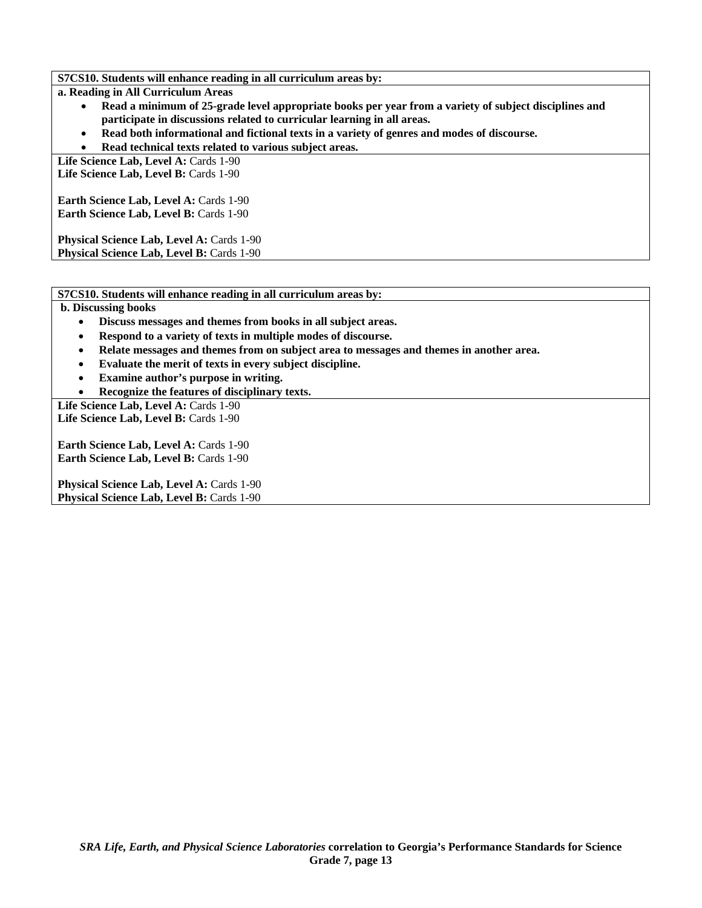# **S7CS10. Students will enhance reading in all curriculum areas by:**

**a. Reading in All Curriculum Areas** 

- **Read a minimum of 25-grade level appropriate books per year from a variety of subject disciplines and participate in discussions related to curricular learning in all areas.**
- **Read both informational and fictional texts in a variety of genres and modes of discourse.**
- **Read technical texts related to various subject areas.**

Life Science Lab, Level A: Cards 1-90 Life Science Lab, Level B: Cards 1-90

**Earth Science Lab, Level A: Cards 1-90 Earth Science Lab, Level B: Cards 1-90** 

Physical Science Lab, Level A: Cards 1-90 **Physical Science Lab, Level B: Cards 1-90** 

**S7CS10. Students will enhance reading in all curriculum areas by:** 

#### **b. Discussing books**

- **Discuss messages and themes from books in all subject areas.**
- **Respond to a variety of texts in multiple modes of discourse.**
- **Relate messages and themes from on subject area to messages and themes in another area.**
- **Evaluate the merit of texts in every subject discipline.**
- **Examine author's purpose in writing.** 
	- **Recognize the features of disciplinary texts.**

Life Science Lab, Level A: Cards 1-90 Life Science Lab, Level B: Cards 1-90

**Earth Science Lab, Level A: Cards 1-90 Earth Science Lab, Level B: Cards 1-90** 

Physical Science Lab, Level A: Cards 1-90 Physical Science Lab, Level B: Cards 1-90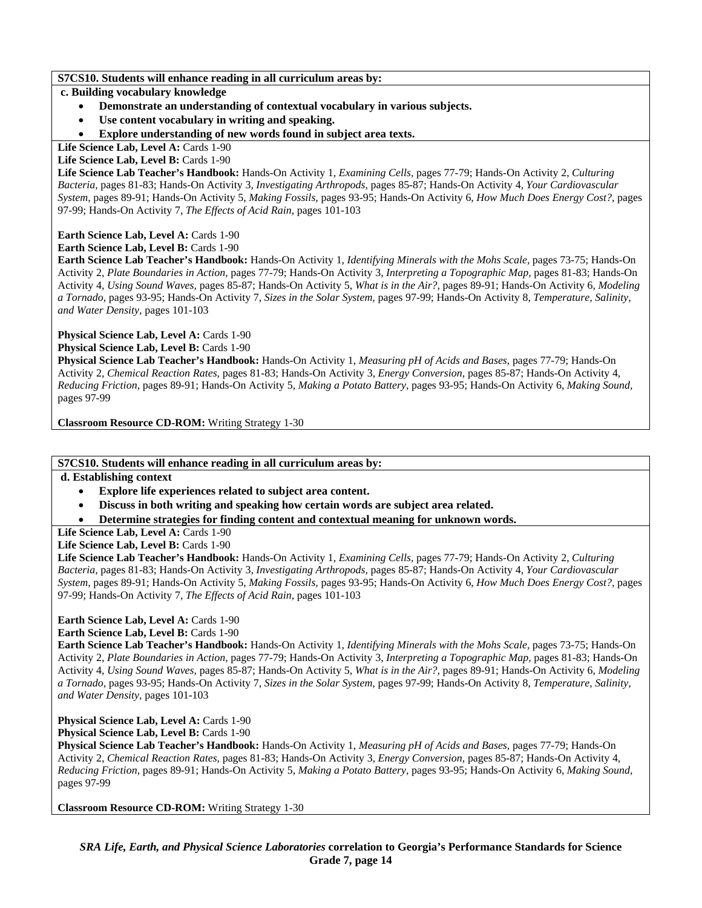# **S7CS10. Students will enhance reading in all curriculum areas by:**

# **c. Building vocabulary knowledge**

- **Demonstrate an understanding of contextual vocabulary in various subjects.**
- Use content vocabulary in writing and speaking.
- **Explore understanding of new words found in subject area texts.**

Life Science Lab, Level A: Cards 1-90

**Life Science Lab, Level B:** Cards 1-90

**Life Science Lab Teacher's Handbook:** Hands-On Activity 1, *Examining Cells,* pages 77-79; Hands-On Activity 2, *Culturing Bacteria,* pages 81-83; Hands-On Activity 3, *Investigating Arthropods,* pages 85-87; Hands-On Activity 4, *Your Cardiovascular System,* pages 89-91; Hands-On Activity 5, *Making Fossils,* pages 93-95; Hands-On Activity 6, *How Much Does Energy Cost?,* pages 97-99; Hands-On Activity 7, *The Effects of Acid Rain,* pages 101-103

# **Earth Science Lab, Level A: Cards 1-90**

#### **Earth Science Lab, Level B: Cards 1-90**

**Earth Science Lab Teacher's Handbook:** Hands-On Activity 1, *Identifying Minerals with the Mohs Scale,* pages 73-75; Hands-On Activity 2, *Plate Boundaries in Action,* pages 77-79; Hands-On Activity 3, *Interpreting a Topographic Map,* pages 81-83; Hands-On Activity 4, *Using Sound Waves,* pages 85-87; Hands-On Activity 5, *What is in the Air?,* pages 89-91; Hands-On Activity 6, *Modeling a Tornado,* pages 93-95; Hands-On Activity 7, *Sizes in the Solar System,* pages 97-99; Hands-On Activity 8, *Temperature, Salinity, and Water Density,* pages 101-103

# Physical Science Lab, Level A: Cards 1-90

## **Physical Science Lab, Level B: Cards 1-90**

**Physical Science Lab Teacher's Handbook:** Hands-On Activity 1, *Measuring pH of Acids and Bases,* pages 77-79; Hands-On Activity 2, *Chemical Reaction Rates,* pages 81-83; Hands-On Activity 3, *Energy Conversion,* pages 85-87; Hands-On Activity 4, *Reducing Friction,* pages 89-91; Hands-On Activity 5, *Making a Potato Battery,* pages 93-95; Hands-On Activity 6, *Making Sound,* pages 97-99

**Classroom Resource CD-ROM:** Writing Strategy 1-30

## **S7CS10. Students will enhance reading in all curriculum areas by:**

## **d. Establishing context**

- **Explore life experiences related to subject area content.**
- **Discuss in both writing and speaking how certain words are subject area related.**
- **Determine strategies for finding content and contextual meaning for unknown words.**

# Life Science Lab, Level A: Cards 1-90

**Life Science Lab, Level B: Cards 1-90** 

**Life Science Lab Teacher's Handbook:** Hands-On Activity 1, *Examining Cells,* pages 77-79; Hands-On Activity 2, *Culturing Bacteria,* pages 81-83; Hands-On Activity 3, *Investigating Arthropods,* pages 85-87; Hands-On Activity 4, *Your Cardiovascular System,* pages 89-91; Hands-On Activity 5, *Making Fossils,* pages 93-95; Hands-On Activity 6, *How Much Does Energy Cost?,* pages 97-99; Hands-On Activity 7, *The Effects of Acid Rain,* pages 101-103

# **Earth Science Lab, Level A: Cards 1-90**

# **Earth Science Lab, Level B: Cards 1-90**

**Earth Science Lab Teacher's Handbook:** Hands-On Activity 1, *Identifying Minerals with the Mohs Scale,* pages 73-75; Hands-On Activity 2, *Plate Boundaries in Action,* pages 77-79; Hands-On Activity 3, *Interpreting a Topographic Map,* pages 81-83; Hands-On Activity 4, *Using Sound Waves,* pages 85-87; Hands-On Activity 5, *What is in the Air?,* pages 89-91; Hands-On Activity 6, *Modeling a Tornado,* pages 93-95; Hands-On Activity 7, *Sizes in the Solar System,* pages 97-99; Hands-On Activity 8, *Temperature, Salinity, and Water Density,* pages 101-103

**Physical Science Lab, Level A: Cards 1-90** 

**Physical Science Lab, Level B: Cards 1-90** 

**Physical Science Lab Teacher's Handbook:** Hands-On Activity 1, *Measuring pH of Acids and Bases,* pages 77-79; Hands-On Activity 2, *Chemical Reaction Rates,* pages 81-83; Hands-On Activity 3, *Energy Conversion,* pages 85-87; Hands-On Activity 4, *Reducing Friction,* pages 89-91; Hands-On Activity 5, *Making a Potato Battery,* pages 93-95; Hands-On Activity 6, *Making Sound,* pages 97-99

**Classroom Resource CD-ROM:** Writing Strategy 1-30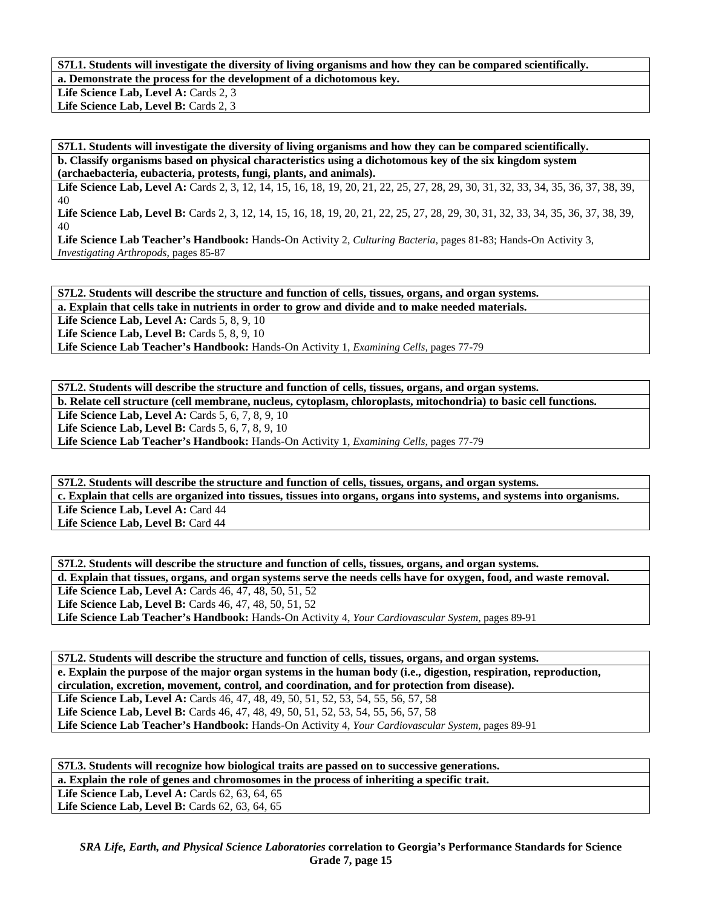#### **S7L1. Students will investigate the diversity of living organisms and how they can be compared scientifically. a. Demonstrate the process for the development of a dichotomous key.**

Life Science Lab, Level A: Cards 2, 3 Life Science Lab, Level B: Cards 2, 3

**S7L1. Students will investigate the diversity of living organisms and how they can be compared scientifically. b. Classify organisms based on physical characteristics using a dichotomous key of the six kingdom system (archaebacteria, eubacteria, protests, fungi, plants, and animals).** 

Life Science Lab, Level A: Cards 2, 3, 12, 14, 15, 16, 18, 19, 20, 21, 22, 25, 27, 28, 29, 30, 31, 32, 33, 34, 35, 36, 37, 38, 39, 40

Life Science Lab, Level B: Cards 2, 3, 12, 14, 15, 16, 18, 19, 20, 21, 22, 25, 27, 28, 29, 30, 31, 32, 33, 34, 35, 36, 37, 38, 39, 40

**Life Science Lab Teacher's Handbook:** Hands-On Activity 2, *Culturing Bacteria,* pages 81-83; Hands-On Activity 3, *Investigating Arthropods,* pages 85-87

**S7L2. Students will describe the structure and function of cells, tissues, organs, and organ systems. a. Explain that cells take in nutrients in order to grow and divide and to make needed materials. Life Science Lab, Level A: Cards 5, 8, 9, 10 Life Science Lab, Level B:** Cards 5, 8, 9, 10 **Life Science Lab Teacher's Handbook:** Hands-On Activity 1, *Examining Cells,* pages 77-79

**S7L2. Students will describe the structure and function of cells, tissues, organs, and organ systems. b. Relate cell structure (cell membrane, nucleus, cytoplasm, chloroplasts, mitochondria) to basic cell functions. Life Science Lab, Level A: Cards 5, 6, 7, 8, 9, 10 Life Science Lab, Level B:** Cards 5, 6, 7, 8, 9, 10 **Life Science Lab Teacher's Handbook:** Hands-On Activity 1, *Examining Cells,* pages 77-79

**S7L2. Students will describe the structure and function of cells, tissues, organs, and organ systems. c. Explain that cells are organized into tissues, tissues into organs, organs into systems, and systems into organisms.**  Life Science Lab, Level A: Card 44 Life Science Lab, Level B: Card 44

**S7L2. Students will describe the structure and function of cells, tissues, organs, and organ systems. d. Explain that tissues, organs, and organ systems serve the needs cells have for oxygen, food, and waste removal.**  Life Science Lab, Level A: Cards 46, 47, 48, 50, 51, 52 **Life Science Lab, Level B:** Cards 46, 47, 48, 50, 51, 52 **Life Science Lab Teacher's Handbook:** Hands-On Activity 4, *Your Cardiovascular System,* pages 89-91

**S7L2. Students will describe the structure and function of cells, tissues, organs, and organ systems. e. Explain the purpose of the major organ systems in the human body (i.e., digestion, respiration, reproduction, circulation, excretion, movement, control, and coordination, and for protection from disease). Life Science Lab, Level A:** Cards 46, 47, 48, 49, 50, 51, 52, 53, 54, 55, 56, 57, 58 **Life Science Lab, Level B:** Cards 46, 47, 48, 49, 50, 51, 52, 53, 54, 55, 56, 57, 58

**Life Science Lab Teacher's Handbook:** Hands-On Activity 4, *Your Cardiovascular System,* pages 89-91

**S7L3. Students will recognize how biological traits are passed on to successive generations. a. Explain the role of genes and chromosomes in the process of inheriting a specific trait.**  Life Science Lab, Level A: Cards 62, 63, 64, 65 Life Science Lab, Level B: Cards 62, 63, 64, 65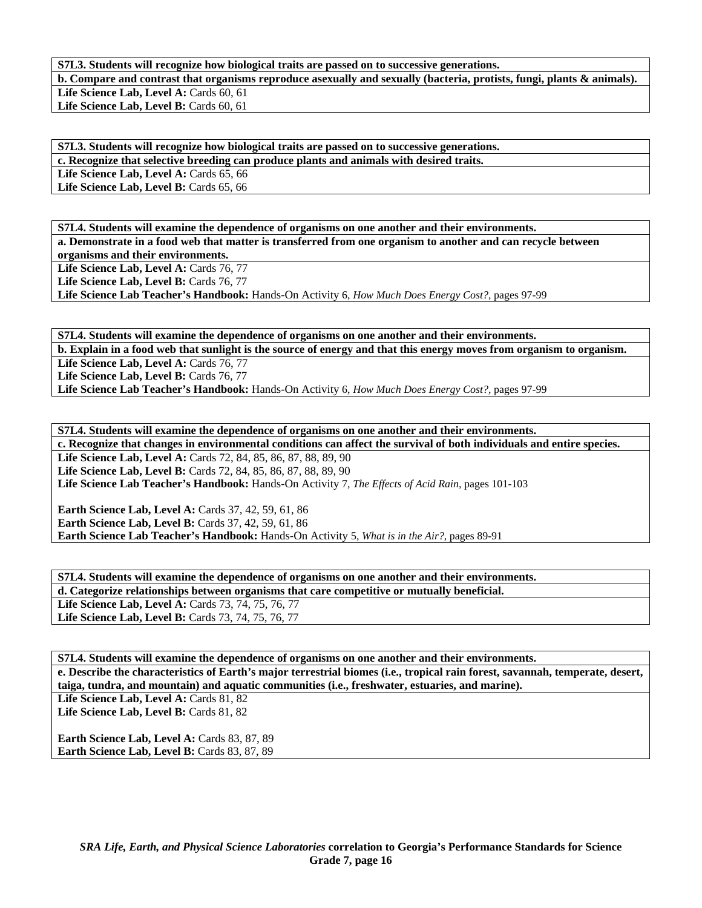# **S7L3. Students will recognize how biological traits are passed on to successive generations. b. Compare and contrast that organisms reproduce asexually and sexually (bacteria, protists, fungi, plants & animals).**  Life Science Lab, Level A: Cards 60, 61

Life Science Lab, Level B: Cards 60, 61

**S7L3. Students will recognize how biological traits are passed on to successive generations.** 

**c. Recognize that selective breeding can produce plants and animals with desired traits.** 

Life Science Lab, Level A: Cards 65, 66

Life Science Lab, Level B: Cards 65, 66

**S7L4. Students will examine the dependence of organisms on one another and their environments. a. Demonstrate in a food web that matter is transferred from one organism to another and can recycle between organisms and their environments.** 

Life Science Lab, Level A: Cards 76, 77

Life Science Lab, Level B: Cards 76, 77

**Life Science Lab Teacher's Handbook:** Hands-On Activity 6, *How Much Does Energy Cost?,* pages 97-99

**S7L4. Students will examine the dependence of organisms on one another and their environments. b. Explain in a food web that sunlight is the source of energy and that this energy moves from organism to organism.**  Life Science Lab, Level A: Cards 76, 77 Life Science Lab, Level B: Cards 76, 77 **Life Science Lab Teacher's Handbook:** Hands-On Activity 6, *How Much Does Energy Cost?,* pages 97-99

**S7L4. Students will examine the dependence of organisms on one another and their environments. c. Recognize that changes in environmental conditions can affect the survival of both individuals and entire species. Life Science Lab, Level A:** Cards 72, 84, 85, 86, 87, 88, 89, 90 **Life Science Lab, Level B:** Cards 72, 84, 85, 86, 87, 88, 89, 90 **Life Science Lab Teacher's Handbook:** Hands-On Activity 7, *The Effects of Acid Rain,* pages 101-103

Earth Science Lab, Level A: Cards 37, 42, 59, 61, 86 **Earth Science Lab, Level B: Cards 37, 42, 59, 61, 86 Earth Science Lab Teacher's Handbook:** Hands-On Activity 5, *What is in the Air?,* pages 89-91

**S7L4. Students will examine the dependence of organisms on one another and their environments. d. Categorize relationships between organisms that care competitive or mutually beneficial. Life Science Lab, Level A:** Cards 73, 74, 75, 76, 77 Life Science Lab, Level B: Cards 73, 74, 75, 76, 77

**S7L4. Students will examine the dependence of organisms on one another and their environments. e. Describe the characteristics of Earth's major terrestrial biomes (i.e., tropical rain forest, savannah, temperate, desert, taiga, tundra, and mountain) and aquatic communities (i.e., freshwater, estuaries, and marine).** 

Life Science Lab, Level A: Cards 81, 82 Life Science Lab, Level B: Cards 81, 82

**Earth Science Lab, Level A: Cards 83, 87, 89** Earth Science Lab, Level B: Cards 83, 87, 89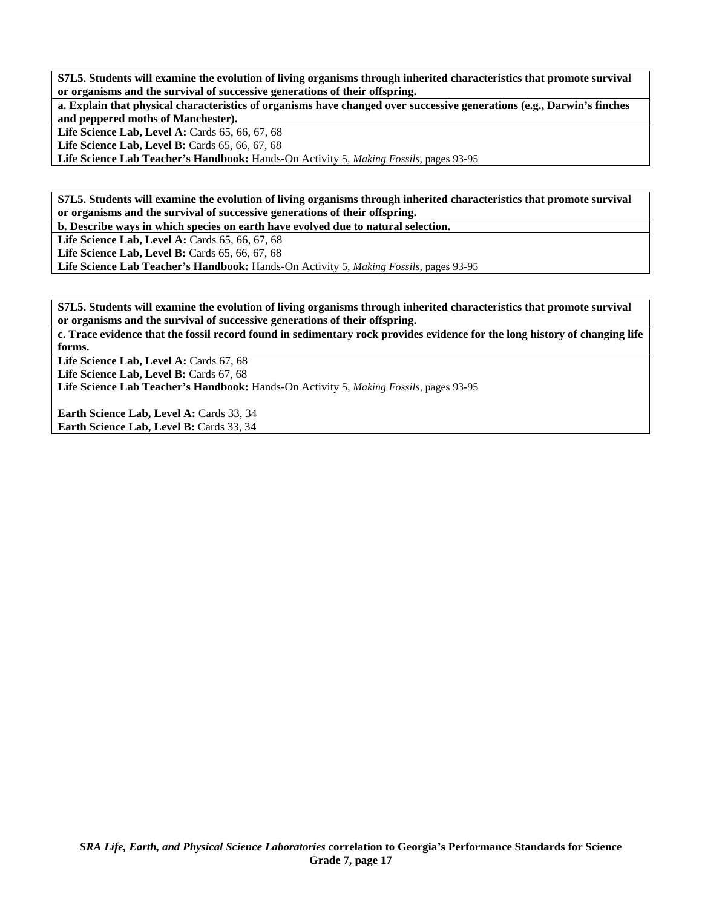**S7L5. Students will examine the evolution of living organisms through inherited characteristics that promote survival or organisms and the survival of successive generations of their offspring.** 

**a. Explain that physical characteristics of organisms have changed over successive generations (e.g., Darwin's finches and peppered moths of Manchester).** 

Life Science Lab, Level A: Cards 65, 66, 67, 68 **Life Science Lab, Level B:** Cards 65, 66, 67, 68

**Life Science Lab Teacher's Handbook:** Hands-On Activity 5, *Making Fossils,* pages 93-95

**S7L5. Students will examine the evolution of living organisms through inherited characteristics that promote survival or organisms and the survival of successive generations of their offspring.** 

**b. Describe ways in which species on earth have evolved due to natural selection.** 

Life Science Lab, Level A: Cards **65**, **66**, **67**, **68** 

Life Science Lab, Level B: Cards 65, 66, 67, 68

**Life Science Lab Teacher's Handbook:** Hands-On Activity 5, *Making Fossils,* pages 93-95

**S7L5. Students will examine the evolution of living organisms through inherited characteristics that promote survival or organisms and the survival of successive generations of their offspring.** 

**c. Trace evidence that the fossil record found in sedimentary rock provides evidence for the long history of changing life forms.** 

Life Science Lab, Level A: Cards 67, 68 Life Science Lab, Level B: Cards 67, 68

**Life Science Lab Teacher's Handbook:** Hands-On Activity 5, *Making Fossils,* pages 93-95

**Earth Science Lab, Level A: Cards 33, 34 Earth Science Lab, Level B: Cards 33, 34**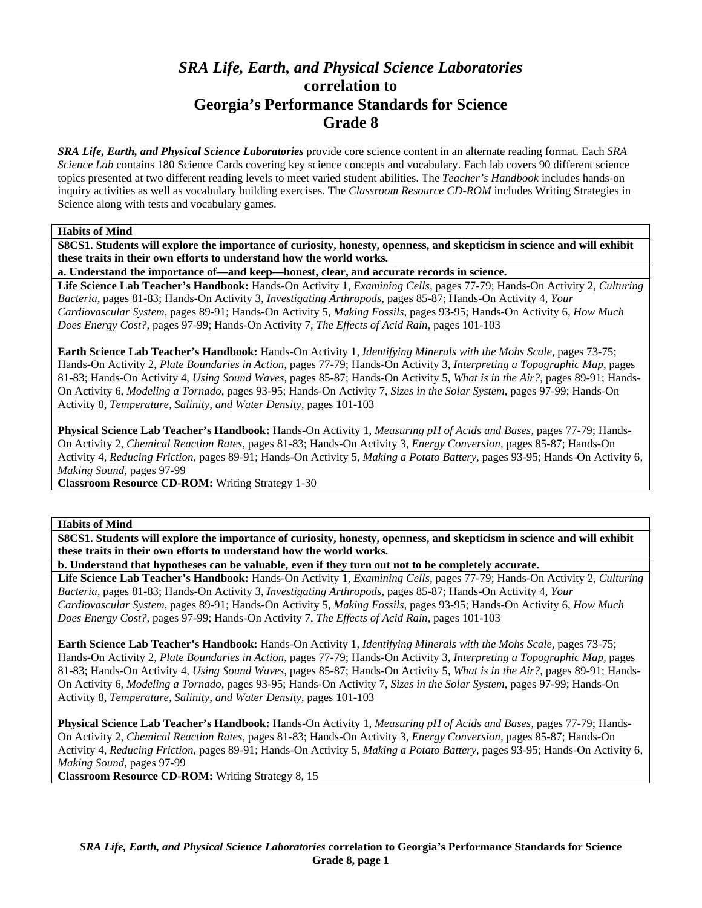# *SRA Life, Earth, and Physical Science Laboratories*  **correlation to Georgia's Performance Standards for Science Grade 8**

*SRA Life, Earth, and Physical Science Laboratories* provide core science content in an alternate reading format. Each *SRA Science Lab* contains 180 Science Cards covering key science concepts and vocabulary. Each lab covers 90 different science topics presented at two different reading levels to meet varied student abilities. The *Teacher's Handbook* includes hands-on inquiry activities as well as vocabulary building exercises. The *Classroom Resource CD-ROM* includes Writing Strategies in Science along with tests and vocabulary games.

#### **Habits of Mind**

**S8CS1. Students will explore the importance of curiosity, honesty, openness, and skepticism in science and will exhibit these traits in their own efforts to understand how the world works.** 

**a. Understand the importance of—and keep—honest, clear, and accurate records in science.** 

**Life Science Lab Teacher's Handbook:** Hands-On Activity 1, *Examining Cells,* pages 77-79; Hands-On Activity 2, *Culturing Bacteria,* pages 81-83; Hands-On Activity 3, *Investigating Arthropods,* pages 85-87; Hands-On Activity 4, *Your Cardiovascular System,* pages 89-91; Hands-On Activity 5, *Making Fossils,* pages 93-95; Hands-On Activity 6, *How Much Does Energy Cost?,* pages 97-99; Hands-On Activity 7, *The Effects of Acid Rain,* pages 101-103

**Earth Science Lab Teacher's Handbook:** Hands-On Activity 1, *Identifying Minerals with the Mohs Scale,* pages 73-75; Hands-On Activity 2, *Plate Boundaries in Action,* pages 77-79; Hands-On Activity 3, *Interpreting a Topographic Map,* pages 81-83; Hands-On Activity 4, *Using Sound Waves,* pages 85-87; Hands-On Activity 5, *What is in the Air?,* pages 89-91; Hands-On Activity 6, *Modeling a Tornado,* pages 93-95; Hands-On Activity 7, *Sizes in the Solar System,* pages 97-99; Hands-On Activity 8, *Temperature, Salinity, and Water Density,* pages 101-103

**Physical Science Lab Teacher's Handbook:** Hands-On Activity 1, *Measuring pH of Acids and Bases,* pages 77-79; Hands-On Activity 2, *Chemical Reaction Rates,* pages 81-83; Hands-On Activity 3, *Energy Conversion,* pages 85-87; Hands-On Activity 4, *Reducing Friction,* pages 89-91; Hands-On Activity 5, *Making a Potato Battery,* pages 93-95; Hands-On Activity 6, *Making Sound,* pages 97-99

**Classroom Resource CD-ROM:** Writing Strategy 1-30

#### **Habits of Mind**

**S8CS1. Students will explore the importance of curiosity, honesty, openness, and skepticism in science and will exhibit these traits in their own efforts to understand how the world works.** 

**b. Understand that hypotheses can be valuable, even if they turn out not to be completely accurate.** 

**Life Science Lab Teacher's Handbook:** Hands-On Activity 1, *Examining Cells,* pages 77-79; Hands-On Activity 2, *Culturing Bacteria,* pages 81-83; Hands-On Activity 3, *Investigating Arthropods,* pages 85-87; Hands-On Activity 4, *Your Cardiovascular System,* pages 89-91; Hands-On Activity 5, *Making Fossils,* pages 93-95; Hands-On Activity 6, *How Much Does Energy Cost?,* pages 97-99; Hands-On Activity 7, *The Effects of Acid Rain,* pages 101-103

**Earth Science Lab Teacher's Handbook:** Hands-On Activity 1, *Identifying Minerals with the Mohs Scale,* pages 73-75; Hands-On Activity 2, *Plate Boundaries in Action,* pages 77-79; Hands-On Activity 3, *Interpreting a Topographic Map,* pages 81-83; Hands-On Activity 4, *Using Sound Waves,* pages 85-87; Hands-On Activity 5, *What is in the Air?,* pages 89-91; Hands-On Activity 6, *Modeling a Tornado,* pages 93-95; Hands-On Activity 7, *Sizes in the Solar System,* pages 97-99; Hands-On Activity 8, *Temperature, Salinity, and Water Density,* pages 101-103

**Physical Science Lab Teacher's Handbook:** Hands-On Activity 1, *Measuring pH of Acids and Bases,* pages 77-79; Hands-On Activity 2, *Chemical Reaction Rates,* pages 81-83; Hands-On Activity 3, *Energy Conversion,* pages 85-87; Hands-On Activity 4, *Reducing Friction,* pages 89-91; Hands-On Activity 5, *Making a Potato Battery,* pages 93-95; Hands-On Activity 6, *Making Sound,* pages 97-99

**Classroom Resource CD-ROM:** Writing Strategy 8, 15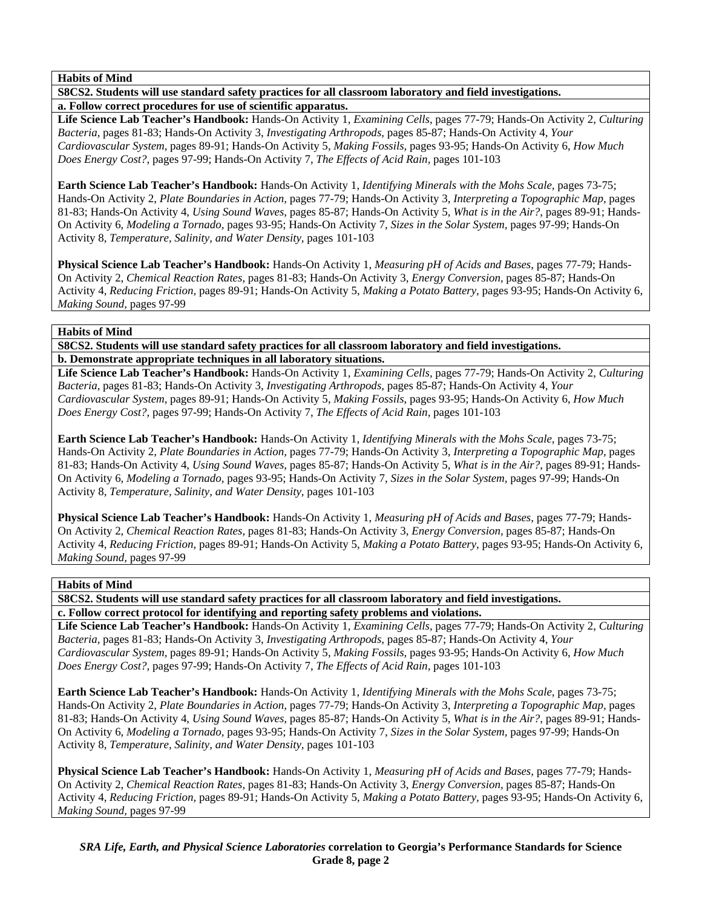**S8CS2. Students will use standard safety practices for all classroom laboratory and field investigations. a. Follow correct procedures for use of scientific apparatus.** 

**Life Science Lab Teacher's Handbook:** Hands-On Activity 1, *Examining Cells,* pages 77-79; Hands-On Activity 2, *Culturing Bacteria,* pages 81-83; Hands-On Activity 3, *Investigating Arthropods,* pages 85-87; Hands-On Activity 4, *Your Cardiovascular System,* pages 89-91; Hands-On Activity 5, *Making Fossils,* pages 93-95; Hands-On Activity 6, *How Much Does Energy Cost?,* pages 97-99; Hands-On Activity 7, *The Effects of Acid Rain,* pages 101-103

**Earth Science Lab Teacher's Handbook:** Hands-On Activity 1, *Identifying Minerals with the Mohs Scale,* pages 73-75; Hands-On Activity 2, *Plate Boundaries in Action,* pages 77-79; Hands-On Activity 3, *Interpreting a Topographic Map,* pages 81-83; Hands-On Activity 4, *Using Sound Waves,* pages 85-87; Hands-On Activity 5, *What is in the Air?,* pages 89-91; Hands-On Activity 6, *Modeling a Tornado,* pages 93-95; Hands-On Activity 7, *Sizes in the Solar System,* pages 97-99; Hands-On Activity 8, *Temperature, Salinity, and Water Density,* pages 101-103

**Physical Science Lab Teacher's Handbook:** Hands-On Activity 1, *Measuring pH of Acids and Bases,* pages 77-79; Hands-On Activity 2, *Chemical Reaction Rates,* pages 81-83; Hands-On Activity 3, *Energy Conversion,* pages 85-87; Hands-On Activity 4, *Reducing Friction,* pages 89-91; Hands-On Activity 5, *Making a Potato Battery,* pages 93-95; Hands-On Activity 6, *Making Sound,* pages 97-99

## **Habits of Mind**

**S8CS2. Students will use standard safety practices for all classroom laboratory and field investigations. b. Demonstrate appropriate techniques in all laboratory situations.** 

**Life Science Lab Teacher's Handbook:** Hands-On Activity 1, *Examining Cells,* pages 77-79; Hands-On Activity 2, *Culturing Bacteria,* pages 81-83; Hands-On Activity 3, *Investigating Arthropods,* pages 85-87; Hands-On Activity 4, *Your Cardiovascular System,* pages 89-91; Hands-On Activity 5, *Making Fossils,* pages 93-95; Hands-On Activity 6, *How Much Does Energy Cost?,* pages 97-99; Hands-On Activity 7, *The Effects of Acid Rain,* pages 101-103

**Earth Science Lab Teacher's Handbook:** Hands-On Activity 1, *Identifying Minerals with the Mohs Scale,* pages 73-75; Hands-On Activity 2, *Plate Boundaries in Action,* pages 77-79; Hands-On Activity 3, *Interpreting a Topographic Map,* pages 81-83; Hands-On Activity 4, *Using Sound Waves,* pages 85-87; Hands-On Activity 5, *What is in the Air?,* pages 89-91; Hands-On Activity 6, *Modeling a Tornado,* pages 93-95; Hands-On Activity 7, *Sizes in the Solar System,* pages 97-99; Hands-On Activity 8, *Temperature, Salinity, and Water Density,* pages 101-103

**Physical Science Lab Teacher's Handbook:** Hands-On Activity 1, *Measuring pH of Acids and Bases,* pages 77-79; Hands-On Activity 2, *Chemical Reaction Rates,* pages 81-83; Hands-On Activity 3, *Energy Conversion,* pages 85-87; Hands-On Activity 4, *Reducing Friction,* pages 89-91; Hands-On Activity 5, *Making a Potato Battery,* pages 93-95; Hands-On Activity 6, *Making Sound,* pages 97-99

## **Habits of Mind**

**S8CS2. Students will use standard safety practices for all classroom laboratory and field investigations. c. Follow correct protocol for identifying and reporting safety problems and violations.** 

**Life Science Lab Teacher's Handbook:** Hands-On Activity 1, *Examining Cells,* pages 77-79; Hands-On Activity 2, *Culturing Bacteria,* pages 81-83; Hands-On Activity 3, *Investigating Arthropods,* pages 85-87; Hands-On Activity 4, *Your Cardiovascular System,* pages 89-91; Hands-On Activity 5, *Making Fossils,* pages 93-95; Hands-On Activity 6, *How Much Does Energy Cost?,* pages 97-99; Hands-On Activity 7, *The Effects of Acid Rain,* pages 101-103

**Earth Science Lab Teacher's Handbook:** Hands-On Activity 1, *Identifying Minerals with the Mohs Scale,* pages 73-75; Hands-On Activity 2, *Plate Boundaries in Action,* pages 77-79; Hands-On Activity 3, *Interpreting a Topographic Map,* pages 81-83; Hands-On Activity 4, *Using Sound Waves,* pages 85-87; Hands-On Activity 5, *What is in the Air?,* pages 89-91; Hands-On Activity 6, *Modeling a Tornado,* pages 93-95; Hands-On Activity 7, *Sizes in the Solar System,* pages 97-99; Hands-On Activity 8, *Temperature, Salinity, and Water Density,* pages 101-103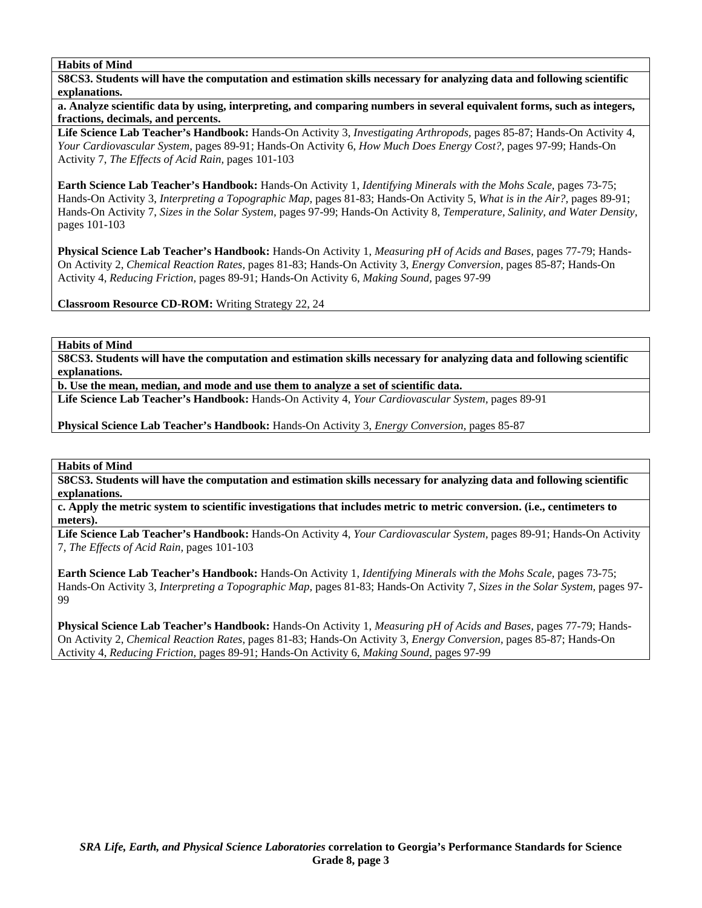**S8CS3. Students will have the computation and estimation skills necessary for analyzing data and following scientific explanations.** 

**a. Analyze scientific data by using, interpreting, and comparing numbers in several equivalent forms, such as integers, fractions, decimals, and percents.** 

**Life Science Lab Teacher's Handbook:** Hands-On Activity 3, *Investigating Arthropods,* pages 85-87; Hands-On Activity 4, *Your Cardiovascular System,* pages 89-91; Hands-On Activity 6, *How Much Does Energy Cost?,* pages 97-99; Hands-On Activity 7, *The Effects of Acid Rain,* pages 101-103

**Earth Science Lab Teacher's Handbook:** Hands-On Activity 1, *Identifying Minerals with the Mohs Scale,* pages 73-75; Hands-On Activity 3, *Interpreting a Topographic Map,* pages 81-83; Hands-On Activity 5, *What is in the Air?,* pages 89-91; Hands-On Activity 7, *Sizes in the Solar System,* pages 97-99; Hands-On Activity 8, *Temperature, Salinity, and Water Density,* pages 101-103

**Physical Science Lab Teacher's Handbook:** Hands-On Activity 1, *Measuring pH of Acids and Bases,* pages 77-79; Hands-On Activity 2, *Chemical Reaction Rates,* pages 81-83; Hands-On Activity 3, *Energy Conversion,* pages 85-87; Hands-On Activity 4, *Reducing Friction,* pages 89-91; Hands-On Activity 6, *Making Sound,* pages 97-99

**Classroom Resource CD-ROM:** Writing Strategy 22, 24

**Habits of Mind** 

**S8CS3. Students will have the computation and estimation skills necessary for analyzing data and following scientific explanations.** 

**b. Use the mean, median, and mode and use them to analyze a set of scientific data. Life Science Lab Teacher's Handbook:** Hands-On Activity 4, *Your Cardiovascular System,* pages 89-91

**Physical Science Lab Teacher's Handbook:** Hands-On Activity 3, *Energy Conversion,* pages 85-87

#### **Habits of Mind**

**S8CS3. Students will have the computation and estimation skills necessary for analyzing data and following scientific explanations.** 

**c. Apply the metric system to scientific investigations that includes metric to metric conversion. (i.e., centimeters to meters).** 

**Life Science Lab Teacher's Handbook:** Hands-On Activity 4, *Your Cardiovascular System,* pages 89-91; Hands-On Activity 7, *The Effects of Acid Rain,* pages 101-103

**Earth Science Lab Teacher's Handbook:** Hands-On Activity 1, *Identifying Minerals with the Mohs Scale,* pages 73-75; Hands-On Activity 3, *Interpreting a Topographic Map,* pages 81-83; Hands-On Activity 7, *Sizes in the Solar System,* pages 97- 99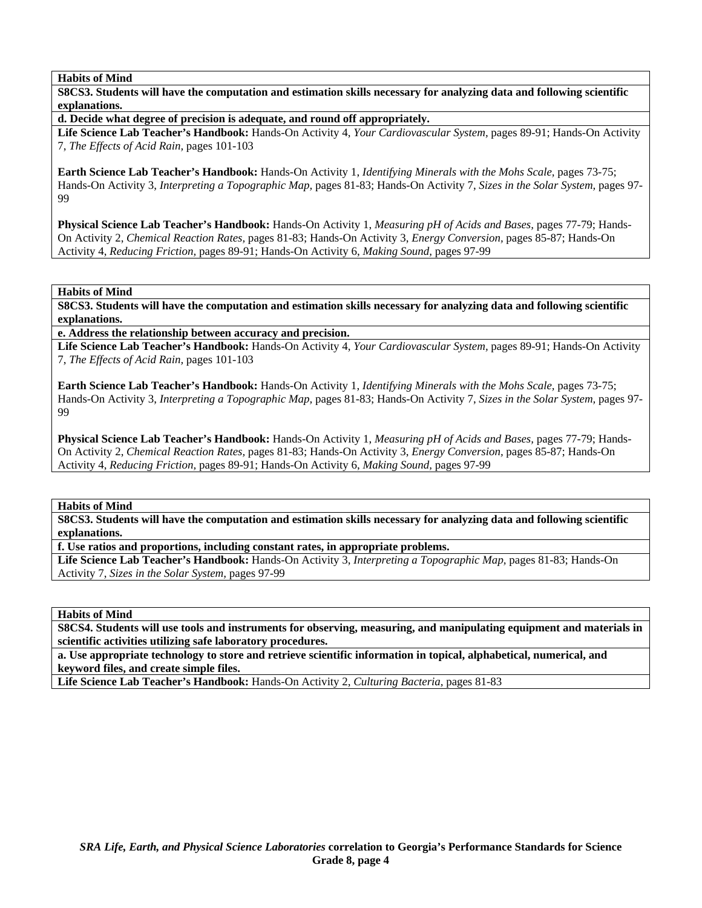**S8CS3. Students will have the computation and estimation skills necessary for analyzing data and following scientific explanations.** 

**d. Decide what degree of precision is adequate, and round off appropriately.** 

**Life Science Lab Teacher's Handbook:** Hands-On Activity 4, *Your Cardiovascular System,* pages 89-91; Hands-On Activity 7, *The Effects of Acid Rain,* pages 101-103

**Earth Science Lab Teacher's Handbook:** Hands-On Activity 1, *Identifying Minerals with the Mohs Scale,* pages 73-75; Hands-On Activity 3, *Interpreting a Topographic Map,* pages 81-83; Hands-On Activity 7, *Sizes in the Solar System,* pages 97- 99

**Physical Science Lab Teacher's Handbook:** Hands-On Activity 1, *Measuring pH of Acids and Bases,* pages 77-79; Hands-On Activity 2, *Chemical Reaction Rates,* pages 81-83; Hands-On Activity 3, *Energy Conversion,* pages 85-87; Hands-On Activity 4, *Reducing Friction,* pages 89-91; Hands-On Activity 6, *Making Sound,* pages 97-99

**Habits of Mind** 

**S8CS3. Students will have the computation and estimation skills necessary for analyzing data and following scientific explanations.** 

**e. Address the relationship between accuracy and precision.** 

**Life Science Lab Teacher's Handbook:** Hands-On Activity 4, *Your Cardiovascular System,* pages 89-91; Hands-On Activity 7, *The Effects of Acid Rain,* pages 101-103

**Earth Science Lab Teacher's Handbook:** Hands-On Activity 1, *Identifying Minerals with the Mohs Scale,* pages 73-75; Hands-On Activity 3, *Interpreting a Topographic Map,* pages 81-83; Hands-On Activity 7, *Sizes in the Solar System,* pages 97- 99

**Physical Science Lab Teacher's Handbook:** Hands-On Activity 1, *Measuring pH of Acids and Bases,* pages 77-79; Hands-On Activity 2, *Chemical Reaction Rates,* pages 81-83; Hands-On Activity 3, *Energy Conversion,* pages 85-87; Hands-On Activity 4, *Reducing Friction,* pages 89-91; Hands-On Activity 6, *Making Sound,* pages 97-99

**Habits of Mind** 

**S8CS3. Students will have the computation and estimation skills necessary for analyzing data and following scientific explanations.** 

**f. Use ratios and proportions, including constant rates, in appropriate problems.** 

**Life Science Lab Teacher's Handbook:** Hands-On Activity 3, *Interpreting a Topographic Map,* pages 81-83; Hands-On Activity 7, *Sizes in the Solar System,* pages 97-99

**Habits of Mind** 

**S8CS4. Students will use tools and instruments for observing, measuring, and manipulating equipment and materials in scientific activities utilizing safe laboratory procedures.** 

**a. Use appropriate technology to store and retrieve scientific information in topical, alphabetical, numerical, and keyword files, and create simple files.** 

**Life Science Lab Teacher's Handbook:** Hands-On Activity 2, *Culturing Bacteria,* pages 81-83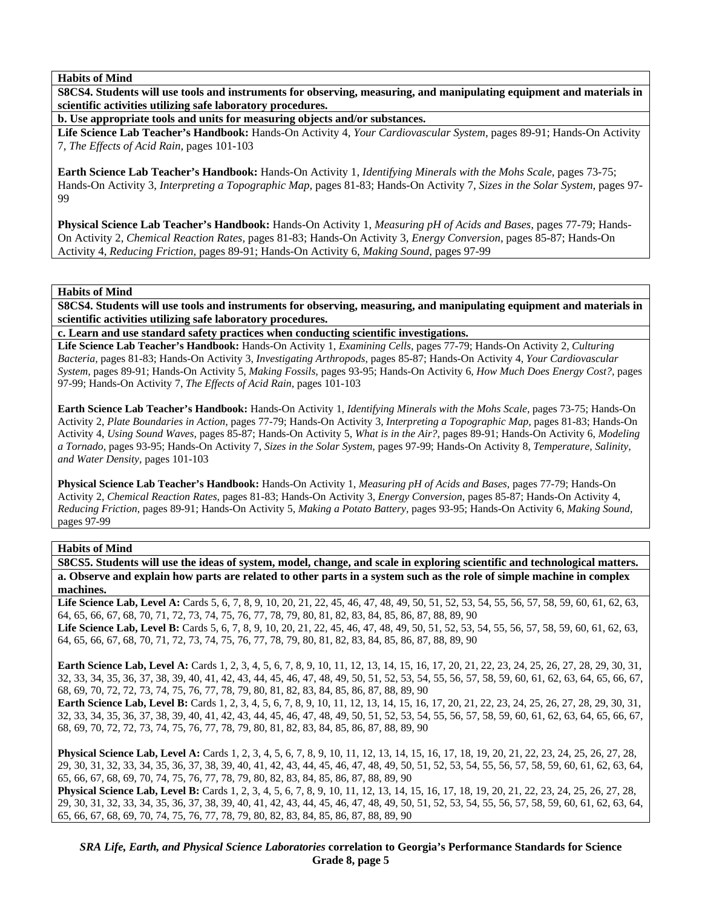**S8CS4. Students will use tools and instruments for observing, measuring, and manipulating equipment and materials in scientific activities utilizing safe laboratory procedures.** 

**b. Use appropriate tools and units for measuring objects and/or substances.** 

**Life Science Lab Teacher's Handbook:** Hands-On Activity 4, *Your Cardiovascular System,* pages 89-91; Hands-On Activity 7, *The Effects of Acid Rain,* pages 101-103

**Earth Science Lab Teacher's Handbook:** Hands-On Activity 1, *Identifying Minerals with the Mohs Scale,* pages 73-75; Hands-On Activity 3, *Interpreting a Topographic Map,* pages 81-83; Hands-On Activity 7, *Sizes in the Solar System,* pages 97- 99

**Physical Science Lab Teacher's Handbook:** Hands-On Activity 1, *Measuring pH of Acids and Bases,* pages 77-79; Hands-On Activity 2, *Chemical Reaction Rates,* pages 81-83; Hands-On Activity 3, *Energy Conversion,* pages 85-87; Hands-On Activity 4, *Reducing Friction,* pages 89-91; Hands-On Activity 6, *Making Sound,* pages 97-99

**Habits of Mind** 

**S8CS4. Students will use tools and instruments for observing, measuring, and manipulating equipment and materials in scientific activities utilizing safe laboratory procedures.** 

**c. Learn and use standard safety practices when conducting scientific investigations.** 

**Life Science Lab Teacher's Handbook:** Hands-On Activity 1, *Examining Cells,* pages 77-79; Hands-On Activity 2, *Culturing Bacteria,* pages 81-83; Hands-On Activity 3, *Investigating Arthropods,* pages 85-87; Hands-On Activity 4, *Your Cardiovascular System,* pages 89-91; Hands-On Activity 5, *Making Fossils,* pages 93-95; Hands-On Activity 6, *How Much Does Energy Cost?,* pages 97-99; Hands-On Activity 7, *The Effects of Acid Rain,* pages 101-103

**Earth Science Lab Teacher's Handbook:** Hands-On Activity 1, *Identifying Minerals with the Mohs Scale,* pages 73-75; Hands-On Activity 2, *Plate Boundaries in Action,* pages 77-79; Hands-On Activity 3, *Interpreting a Topographic Map,* pages 81-83; Hands-On Activity 4, *Using Sound Waves,* pages 85-87; Hands-On Activity 5, *What is in the Air?,* pages 89-91; Hands-On Activity 6, *Modeling a Tornado,* pages 93-95; Hands-On Activity 7, *Sizes in the Solar System,* pages 97-99; Hands-On Activity 8, *Temperature, Salinity, and Water Density,* pages 101-103

**Physical Science Lab Teacher's Handbook:** Hands-On Activity 1, *Measuring pH of Acids and Bases,* pages 77-79; Hands-On Activity 2, *Chemical Reaction Rates,* pages 81-83; Hands-On Activity 3, *Energy Conversion,* pages 85-87; Hands-On Activity 4, *Reducing Friction,* pages 89-91; Hands-On Activity 5, *Making a Potato Battery,* pages 93-95; Hands-On Activity 6, *Making Sound,* pages 97-99

# **Habits of Mind**

**S8CS5. Students will use the ideas of system, model, change, and scale in exploring scientific and technological matters. a. Observe and explain how parts are related to other parts in a system such as the role of simple machine in complex machines.** 

**Life Science Lab, Level A:** Cards 5, 6, 7, 8, 9, 10, 20, 21, 22, 45, 46, 47, 48, 49, 50, 51, 52, 53, 54, 55, 56, 57, 58, 59, 60, 61, 62, 63, 64, 65, 66, 67, 68, 70, 71, 72, 73, 74, 75, 76, 77, 78, 79, 80, 81, 82, 83, 84, 85, 86, 87, 88, 89, 90 Life Science Lab, Level B: Cards 5, 6, 7, 8, 9, 10, 20, 21, 22, 45, 46, 47, 48, 49, 50, 51, 52, 53, 54, 55, 56, 57, 58, 59, 60, 61, 62, 63, 64, 65, 66, 67, 68, 70, 71, 72, 73, 74, 75, 76, 77, 78, 79, 80, 81, 82, 83, 84, 85, 86, 87, 88, 89, 90

**Earth Science Lab, Level A:** Cards 1, 2, 3, 4, 5, 6, 7, 8, 9, 10, 11, 12, 13, 14, 15, 16, 17, 20, 21, 22, 23, 24, 25, 26, 27, 28, 29, 30, 31, 32, 33, 34, 35, 36, 37, 38, 39, 40, 41, 42, 43, 44, 45, 46, 47, 48, 49, 50, 51, 52, 53, 54, 55, 56, 57, 58, 59, 60, 61, 62, 63, 64, 65, 66, 67, 68, 69, 70, 72, 72, 73, 74, 75, 76, 77, 78, 79, 80, 81, 82, 83, 84, 85, 86, 87, 88, 89, 90

**Earth Science Lab, Level B:** Cards 1, 2, 3, 4, 5, 6, 7, 8, 9, 10, 11, 12, 13, 14, 15, 16, 17, 20, 21, 22, 23, 24, 25, 26, 27, 28, 29, 30, 31, 32, 33, 34, 35, 36, 37, 38, 39, 40, 41, 42, 43, 44, 45, 46, 47, 48, 49, 50, 51, 52, 53, 54, 55, 56, 57, 58, 59, 60, 61, 62, 63, 64, 65, 66, 67, 68, 69, 70, 72, 72, 73, 74, 75, 76, 77, 78, 79, 80, 81, 82, 83, 84, 85, 86, 87, 88, 89, 90

**Physical Science Lab, Level A:** Cards 1, 2, 3, 4, 5, 6, 7, 8, 9, 10, 11, 12, 13, 14, 15, 16, 17, 18, 19, 20, 21, 22, 23, 24, 25, 26, 27, 28, 29, 30, 31, 32, 33, 34, 35, 36, 37, 38, 39, 40, 41, 42, 43, 44, 45, 46, 47, 48, 49, 50, 51, 52, 53, 54, 55, 56, 57, 58, 59, 60, 61, 62, 63, 64, 65, 66, 67, 68, 69, 70, 74, 75, 76, 77, 78, 79, 80, 82, 83, 84, 85, 86, 87, 88, 89, 90

**Physical Science Lab, Level B:** Cards 1, 2, 3, 4, 5, 6, 7, 8, 9, 10, 11, 12, 13, 14, 15, 16, 17, 18, 19, 20, 21, 22, 23, 24, 25, 26, 27, 28, 29, 30, 31, 32, 33, 34, 35, 36, 37, 38, 39, 40, 41, 42, 43, 44, 45, 46, 47, 48, 49, 50, 51, 52, 53, 54, 55, 56, 57, 58, 59, 60, 61, 62, 63, 64, 65, 66, 67, 68, 69, 70, 74, 75, 76, 77, 78, 79, 80, 82, 83, 84, 85, 86, 87, 88, 89, 90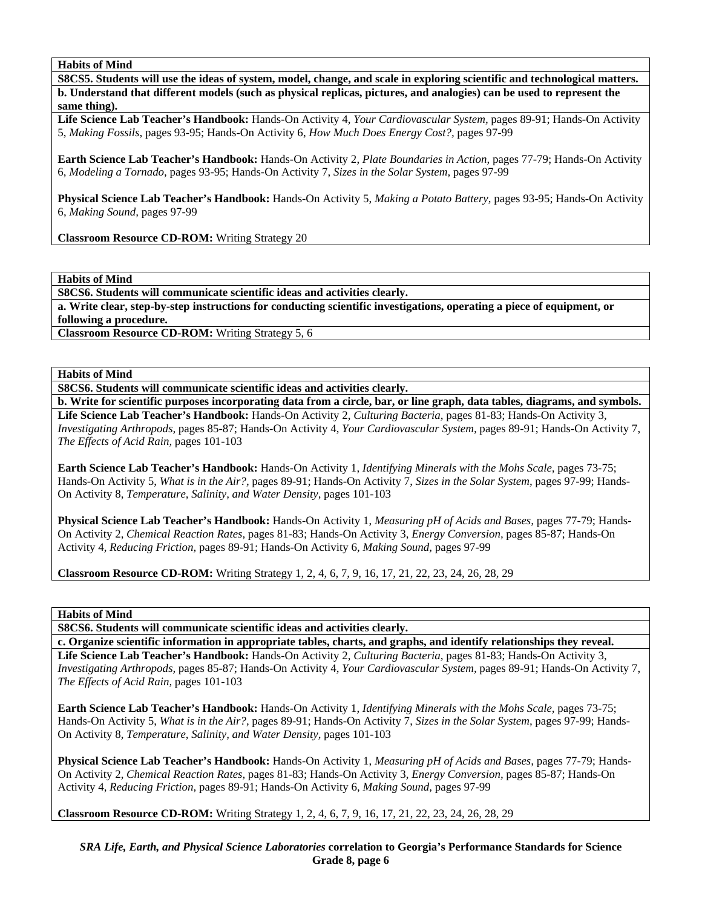**S8CS5. Students will use the ideas of system, model, change, and scale in exploring scientific and technological matters. b. Understand that different models (such as physical replicas, pictures, and analogies) can be used to represent the same thing).** 

**Life Science Lab Teacher's Handbook:** Hands-On Activity 4, *Your Cardiovascular System,* pages 89-91; Hands-On Activity 5, *Making Fossils,* pages 93-95; Hands-On Activity 6, *How Much Does Energy Cost?,* pages 97-99

**Earth Science Lab Teacher's Handbook:** Hands-On Activity 2, *Plate Boundaries in Action,* pages 77-79; Hands-On Activity 6, *Modeling a Tornado,* pages 93-95; Hands-On Activity 7, *Sizes in the Solar System,* pages 97-99

**Physical Science Lab Teacher's Handbook:** Hands-On Activity 5, *Making a Potato Battery,* pages 93-95; Hands-On Activity 6, *Making Sound,* pages 97-99

**Classroom Resource CD-ROM:** Writing Strategy 20

**Habits of Mind** 

**S8CS6. Students will communicate scientific ideas and activities clearly.** 

**a. Write clear, step-by-step instructions for conducting scientific investigations, operating a piece of equipment, or following a procedure.** 

**Classroom Resource CD-ROM:** Writing Strategy 5, 6

**Habits of Mind** 

**S8CS6. Students will communicate scientific ideas and activities clearly.** 

**b. Write for scientific purposes incorporating data from a circle, bar, or line graph, data tables, diagrams, and symbols. Life Science Lab Teacher's Handbook:** Hands-On Activity 2, *Culturing Bacteria,* pages 81-83; Hands-On Activity 3, *Investigating Arthropods,* pages 85-87; Hands-On Activity 4, *Your Cardiovascular System,* pages 89-91; Hands-On Activity 7, *The Effects of Acid Rain,* pages 101-103

**Earth Science Lab Teacher's Handbook:** Hands-On Activity 1, *Identifying Minerals with the Mohs Scale,* pages 73-75; Hands-On Activity 5, *What is in the Air?,* pages 89-91; Hands-On Activity 7, *Sizes in the Solar System,* pages 97-99; Hands-On Activity 8, *Temperature, Salinity, and Water Density,* pages 101-103

**Physical Science Lab Teacher's Handbook:** Hands-On Activity 1, *Measuring pH of Acids and Bases,* pages 77-79; Hands-On Activity 2, *Chemical Reaction Rates,* pages 81-83; Hands-On Activity 3, *Energy Conversion,* pages 85-87; Hands-On Activity 4, *Reducing Friction,* pages 89-91; Hands-On Activity 6, *Making Sound,* pages 97-99

**Classroom Resource CD-ROM:** Writing Strategy 1, 2, 4, 6, 7, 9, 16, 17, 21, 22, 23, 24, 26, 28, 29

**Habits of Mind** 

**S8CS6. Students will communicate scientific ideas and activities clearly.** 

**c. Organize scientific information in appropriate tables, charts, and graphs, and identify relationships they reveal.** 

**Life Science Lab Teacher's Handbook:** Hands-On Activity 2, *Culturing Bacteria,* pages 81-83; Hands-On Activity 3, *Investigating Arthropods,* pages 85-87; Hands-On Activity 4, *Your Cardiovascular System,* pages 89-91; Hands-On Activity 7, *The Effects of Acid Rain,* pages 101-103

**Earth Science Lab Teacher's Handbook:** Hands-On Activity 1, *Identifying Minerals with the Mohs Scale,* pages 73-75; Hands-On Activity 5, *What is in the Air?,* pages 89-91; Hands-On Activity 7, *Sizes in the Solar System,* pages 97-99; Hands-On Activity 8, *Temperature, Salinity, and Water Density,* pages 101-103

**Physical Science Lab Teacher's Handbook:** Hands-On Activity 1, *Measuring pH of Acids and Bases,* pages 77-79; Hands-On Activity 2, *Chemical Reaction Rates,* pages 81-83; Hands-On Activity 3, *Energy Conversion,* pages 85-87; Hands-On Activity 4, *Reducing Friction,* pages 89-91; Hands-On Activity 6, *Making Sound,* pages 97-99

**Classroom Resource CD-ROM:** Writing Strategy 1, 2, 4, 6, 7, 9, 16, 17, 21, 22, 23, 24, 26, 28, 29

*SRA Life, Earth, and Physical Science Laboratories* **correlation to Georgia's Performance Standards for Science Grade 8, page 6**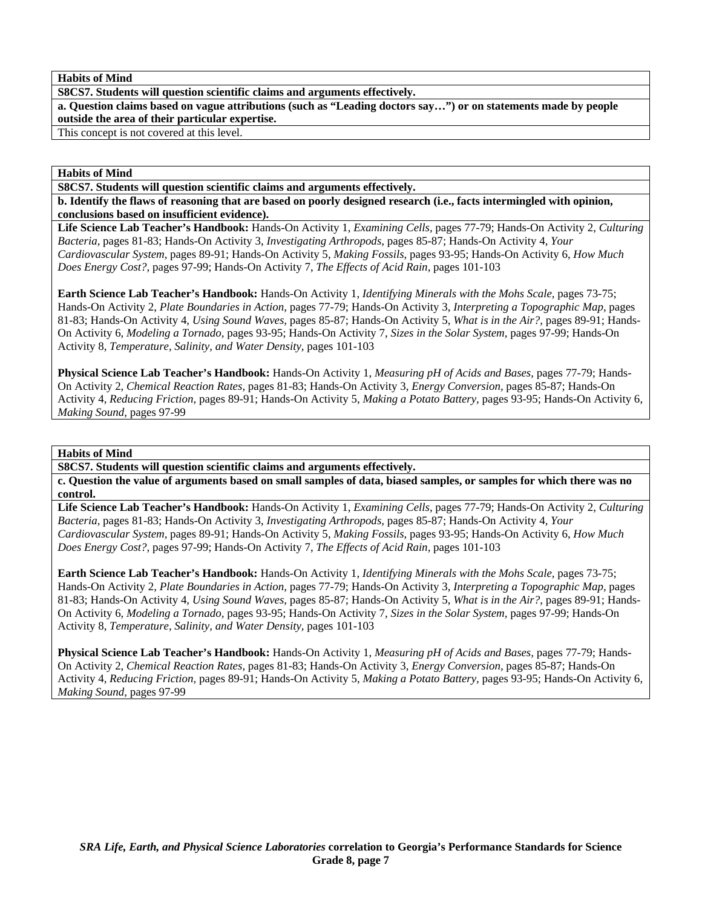**S8CS7. Students will question scientific claims and arguments effectively.** 

**a. Question claims based on vague attributions (such as "Leading doctors say…") or on statements made by people outside the area of their particular expertise.** 

This concept is not covered at this level.

### **Habits of Mind**

**S8CS7. Students will question scientific claims and arguments effectively.** 

**b. Identify the flaws of reasoning that are based on poorly designed research (i.e., facts intermingled with opinion, conclusions based on insufficient evidence).** 

**Life Science Lab Teacher's Handbook:** Hands-On Activity 1, *Examining Cells,* pages 77-79; Hands-On Activity 2, *Culturing Bacteria,* pages 81-83; Hands-On Activity 3, *Investigating Arthropods,* pages 85-87; Hands-On Activity 4, *Your Cardiovascular System,* pages 89-91; Hands-On Activity 5, *Making Fossils,* pages 93-95; Hands-On Activity 6, *How Much Does Energy Cost?,* pages 97-99; Hands-On Activity 7, *The Effects of Acid Rain,* pages 101-103

**Earth Science Lab Teacher's Handbook:** Hands-On Activity 1, *Identifying Minerals with the Mohs Scale,* pages 73-75; Hands-On Activity 2, *Plate Boundaries in Action,* pages 77-79; Hands-On Activity 3, *Interpreting a Topographic Map,* pages 81-83; Hands-On Activity 4, *Using Sound Waves,* pages 85-87; Hands-On Activity 5, *What is in the Air?,* pages 89-91; Hands-On Activity 6, *Modeling a Tornado,* pages 93-95; Hands-On Activity 7, *Sizes in the Solar System,* pages 97-99; Hands-On Activity 8, *Temperature, Salinity, and Water Density,* pages 101-103

**Physical Science Lab Teacher's Handbook:** Hands-On Activity 1, *Measuring pH of Acids and Bases,* pages 77-79; Hands-On Activity 2, *Chemical Reaction Rates,* pages 81-83; Hands-On Activity 3, *Energy Conversion,* pages 85-87; Hands-On Activity 4, *Reducing Friction,* pages 89-91; Hands-On Activity 5, *Making a Potato Battery,* pages 93-95; Hands-On Activity 6, *Making Sound,* pages 97-99

### **Habits of Mind**

**S8CS7. Students will question scientific claims and arguments effectively.** 

**c. Question the value of arguments based on small samples of data, biased samples, or samples for which there was no control.** 

**Life Science Lab Teacher's Handbook:** Hands-On Activity 1, *Examining Cells,* pages 77-79; Hands-On Activity 2, *Culturing Bacteria,* pages 81-83; Hands-On Activity 3, *Investigating Arthropods,* pages 85-87; Hands-On Activity 4, *Your Cardiovascular System,* pages 89-91; Hands-On Activity 5, *Making Fossils,* pages 93-95; Hands-On Activity 6, *How Much Does Energy Cost?,* pages 97-99; Hands-On Activity 7, *The Effects of Acid Rain,* pages 101-103

**Earth Science Lab Teacher's Handbook:** Hands-On Activity 1, *Identifying Minerals with the Mohs Scale,* pages 73-75; Hands-On Activity 2, *Plate Boundaries in Action,* pages 77-79; Hands-On Activity 3, *Interpreting a Topographic Map,* pages 81-83; Hands-On Activity 4, *Using Sound Waves,* pages 85-87; Hands-On Activity 5, *What is in the Air?,* pages 89-91; Hands-On Activity 6, *Modeling a Tornado,* pages 93-95; Hands-On Activity 7, *Sizes in the Solar System,* pages 97-99; Hands-On Activity 8, *Temperature, Salinity, and Water Density,* pages 101-103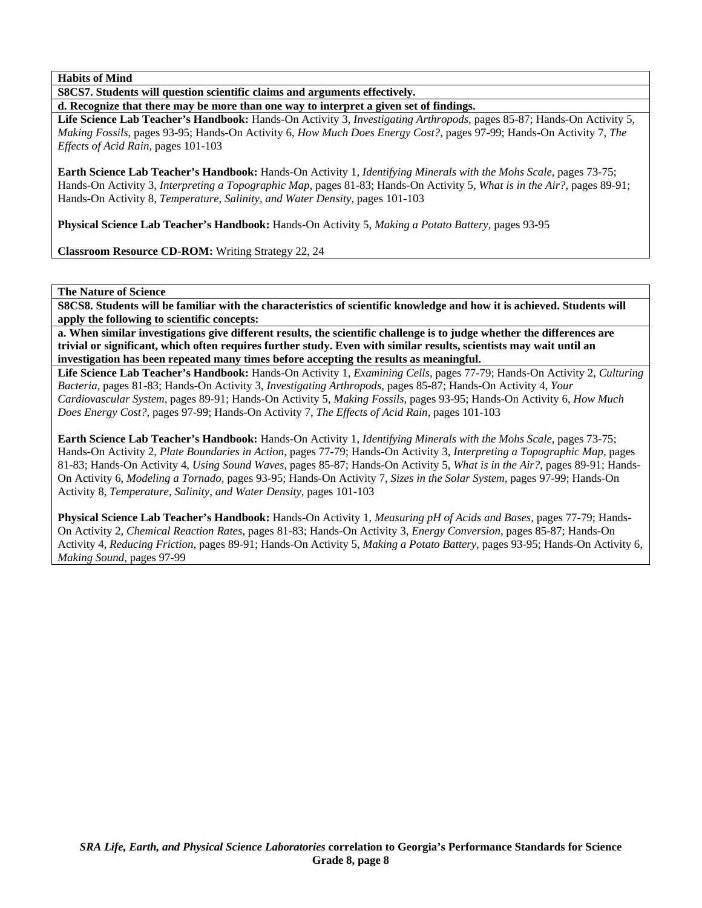**S8CS7. Students will question scientific claims and arguments effectively.** 

**d. Recognize that there may be more than one way to interpret a given set of findings.** 

**Life Science Lab Teacher's Handbook:** Hands-On Activity 3, *Investigating Arthropods,* pages 85-87; Hands-On Activity 5, *Making Fossils,* pages 93-95; Hands-On Activity 6, *How Much Does Energy Cost?,* pages 97-99; Hands-On Activity 7, *The Effects of Acid Rain,* pages 101-103

**Earth Science Lab Teacher's Handbook:** Hands-On Activity 1, *Identifying Minerals with the Mohs Scale,* pages 73-75; Hands-On Activity 3, *Interpreting a Topographic Map,* pages 81-83; Hands-On Activity 5, *What is in the Air?,* pages 89-91; Hands-On Activity 8, *Temperature, Salinity, and Water Density,* pages 101-103

**Physical Science Lab Teacher's Handbook:** Hands-On Activity 5, *Making a Potato Battery,* pages 93-95

**Classroom Resource CD-ROM:** Writing Strategy 22, 24

**The Nature of Science** 

**S8CS8. Students will be familiar with the characteristics of scientific knowledge and how it is achieved. Students will apply the following to scientific concepts:** 

**a. When similar investigations give different results, the scientific challenge is to judge whether the differences are trivial or significant, which often requires further study. Even with similar results, scientists may wait until an investigation has been repeated many times before accepting the results as meaningful.** 

**Life Science Lab Teacher's Handbook:** Hands-On Activity 1, *Examining Cells,* pages 77-79; Hands-On Activity 2, *Culturing Bacteria,* pages 81-83; Hands-On Activity 3, *Investigating Arthropods,* pages 85-87; Hands-On Activity 4, *Your Cardiovascular System,* pages 89-91; Hands-On Activity 5, *Making Fossils,* pages 93-95; Hands-On Activity 6, *How Much Does Energy Cost?,* pages 97-99; Hands-On Activity 7, *The Effects of Acid Rain,* pages 101-103

**Earth Science Lab Teacher's Handbook:** Hands-On Activity 1, *Identifying Minerals with the Mohs Scale,* pages 73-75; Hands-On Activity 2, *Plate Boundaries in Action,* pages 77-79; Hands-On Activity 3, *Interpreting a Topographic Map,* pages 81-83; Hands-On Activity 4, *Using Sound Waves,* pages 85-87; Hands-On Activity 5, *What is in the Air?,* pages 89-91; Hands-On Activity 6, *Modeling a Tornado,* pages 93-95; Hands-On Activity 7, *Sizes in the Solar System,* pages 97-99; Hands-On Activity 8, *Temperature, Salinity, and Water Density,* pages 101-103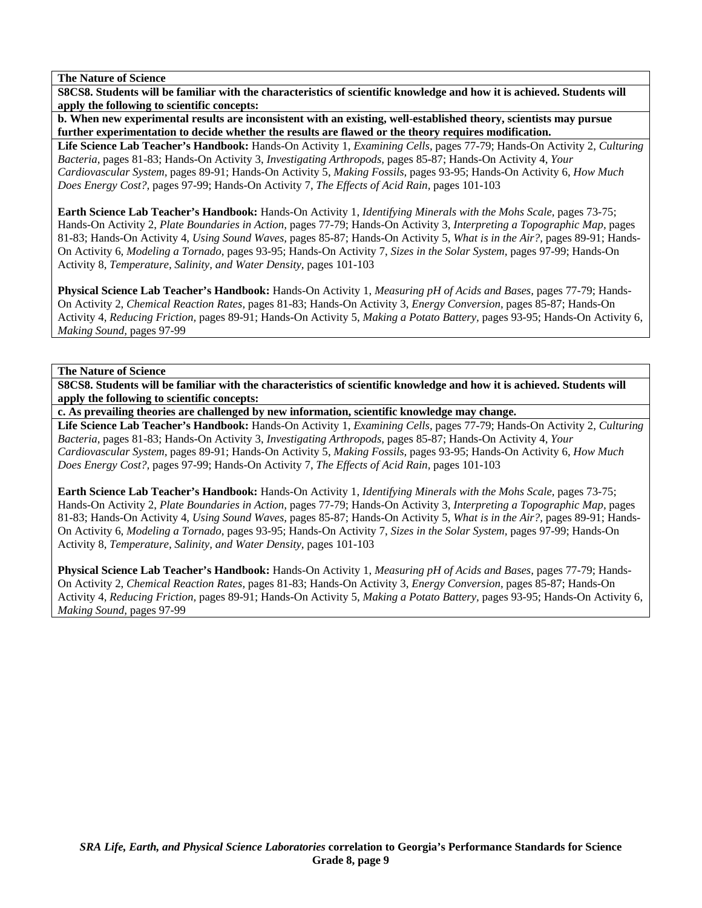**S8CS8. Students will be familiar with the characteristics of scientific knowledge and how it is achieved. Students will apply the following to scientific concepts:** 

**b. When new experimental results are inconsistent with an existing, well-established theory, scientists may pursue further experimentation to decide whether the results are flawed or the theory requires modification.** 

**Life Science Lab Teacher's Handbook:** Hands-On Activity 1, *Examining Cells,* pages 77-79; Hands-On Activity 2, *Culturing Bacteria,* pages 81-83; Hands-On Activity 3, *Investigating Arthropods,* pages 85-87; Hands-On Activity 4, *Your Cardiovascular System,* pages 89-91; Hands-On Activity 5, *Making Fossils,* pages 93-95; Hands-On Activity 6, *How Much Does Energy Cost?,* pages 97-99; Hands-On Activity 7, *The Effects of Acid Rain,* pages 101-103

**Earth Science Lab Teacher's Handbook:** Hands-On Activity 1, *Identifying Minerals with the Mohs Scale,* pages 73-75; Hands-On Activity 2, *Plate Boundaries in Action,* pages 77-79; Hands-On Activity 3, *Interpreting a Topographic Map,* pages 81-83; Hands-On Activity 4, *Using Sound Waves,* pages 85-87; Hands-On Activity 5, *What is in the Air?,* pages 89-91; Hands-On Activity 6, *Modeling a Tornado,* pages 93-95; Hands-On Activity 7, *Sizes in the Solar System,* pages 97-99; Hands-On Activity 8, *Temperature, Salinity, and Water Density,* pages 101-103

**Physical Science Lab Teacher's Handbook:** Hands-On Activity 1, *Measuring pH of Acids and Bases,* pages 77-79; Hands-On Activity 2, *Chemical Reaction Rates,* pages 81-83; Hands-On Activity 3, *Energy Conversion,* pages 85-87; Hands-On Activity 4, *Reducing Friction,* pages 89-91; Hands-On Activity 5, *Making a Potato Battery,* pages 93-95; Hands-On Activity 6, *Making Sound,* pages 97-99

#### **The Nature of Science**

**S8CS8. Students will be familiar with the characteristics of scientific knowledge and how it is achieved. Students will apply the following to scientific concepts:** 

**c. As prevailing theories are challenged by new information, scientific knowledge may change.** 

**Life Science Lab Teacher's Handbook:** Hands-On Activity 1, *Examining Cells,* pages 77-79; Hands-On Activity 2, *Culturing Bacteria,* pages 81-83; Hands-On Activity 3, *Investigating Arthropods,* pages 85-87; Hands-On Activity 4, *Your Cardiovascular System,* pages 89-91; Hands-On Activity 5, *Making Fossils,* pages 93-95; Hands-On Activity 6, *How Much Does Energy Cost?,* pages 97-99; Hands-On Activity 7, *The Effects of Acid Rain,* pages 101-103

**Earth Science Lab Teacher's Handbook:** Hands-On Activity 1, *Identifying Minerals with the Mohs Scale,* pages 73-75; Hands-On Activity 2, *Plate Boundaries in Action,* pages 77-79; Hands-On Activity 3, *Interpreting a Topographic Map,* pages 81-83; Hands-On Activity 4, *Using Sound Waves,* pages 85-87; Hands-On Activity 5, *What is in the Air?,* pages 89-91; Hands-On Activity 6, *Modeling a Tornado,* pages 93-95; Hands-On Activity 7, *Sizes in the Solar System,* pages 97-99; Hands-On Activity 8, *Temperature, Salinity, and Water Density,* pages 101-103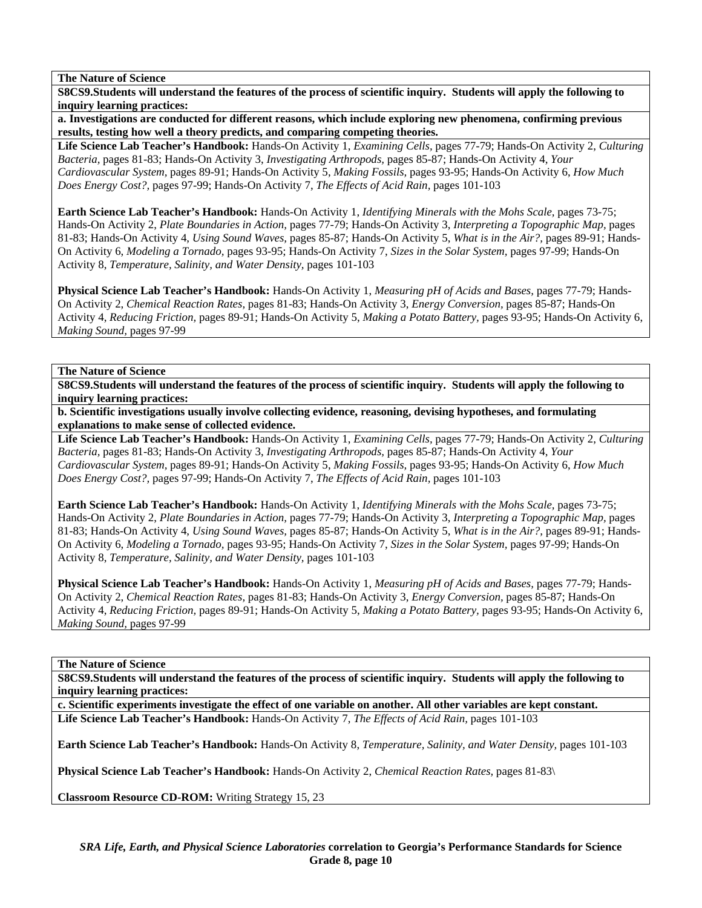**S8CS9.Students will understand the features of the process of scientific inquiry. Students will apply the following to inquiry learning practices:** 

**a. Investigations are conducted for different reasons, which include exploring new phenomena, confirming previous results, testing how well a theory predicts, and comparing competing theories.** 

**Life Science Lab Teacher's Handbook:** Hands-On Activity 1, *Examining Cells,* pages 77-79; Hands-On Activity 2, *Culturing Bacteria,* pages 81-83; Hands-On Activity 3, *Investigating Arthropods,* pages 85-87; Hands-On Activity 4, *Your Cardiovascular System,* pages 89-91; Hands-On Activity 5, *Making Fossils,* pages 93-95; Hands-On Activity 6, *How Much Does Energy Cost?,* pages 97-99; Hands-On Activity 7, *The Effects of Acid Rain,* pages 101-103

**Earth Science Lab Teacher's Handbook:** Hands-On Activity 1, *Identifying Minerals with the Mohs Scale,* pages 73-75; Hands-On Activity 2, *Plate Boundaries in Action,* pages 77-79; Hands-On Activity 3, *Interpreting a Topographic Map,* pages 81-83; Hands-On Activity 4, *Using Sound Waves,* pages 85-87; Hands-On Activity 5, *What is in the Air?,* pages 89-91; Hands-On Activity 6, *Modeling a Tornado,* pages 93-95; Hands-On Activity 7, *Sizes in the Solar System,* pages 97-99; Hands-On Activity 8, *Temperature, Salinity, and Water Density,* pages 101-103

**Physical Science Lab Teacher's Handbook:** Hands-On Activity 1, *Measuring pH of Acids and Bases,* pages 77-79; Hands-On Activity 2, *Chemical Reaction Rates,* pages 81-83; Hands-On Activity 3, *Energy Conversion,* pages 85-87; Hands-On Activity 4, *Reducing Friction,* pages 89-91; Hands-On Activity 5, *Making a Potato Battery,* pages 93-95; Hands-On Activity 6, *Making Sound,* pages 97-99

#### **The Nature of Science**

**S8CS9.Students will understand the features of the process of scientific inquiry. Students will apply the following to inquiry learning practices:** 

**b. Scientific investigations usually involve collecting evidence, reasoning, devising hypotheses, and formulating explanations to make sense of collected evidence.** 

**Life Science Lab Teacher's Handbook:** Hands-On Activity 1, *Examining Cells,* pages 77-79; Hands-On Activity 2, *Culturing Bacteria,* pages 81-83; Hands-On Activity 3, *Investigating Arthropods,* pages 85-87; Hands-On Activity 4, *Your Cardiovascular System,* pages 89-91; Hands-On Activity 5, *Making Fossils,* pages 93-95; Hands-On Activity 6, *How Much Does Energy Cost?,* pages 97-99; Hands-On Activity 7, *The Effects of Acid Rain,* pages 101-103

**Earth Science Lab Teacher's Handbook:** Hands-On Activity 1, *Identifying Minerals with the Mohs Scale,* pages 73-75; Hands-On Activity 2, *Plate Boundaries in Action,* pages 77-79; Hands-On Activity 3, *Interpreting a Topographic Map,* pages 81-83; Hands-On Activity 4, *Using Sound Waves,* pages 85-87; Hands-On Activity 5, *What is in the Air?,* pages 89-91; Hands-On Activity 6, *Modeling a Tornado,* pages 93-95; Hands-On Activity 7, *Sizes in the Solar System,* pages 97-99; Hands-On Activity 8, *Temperature, Salinity, and Water Density,* pages 101-103

**Physical Science Lab Teacher's Handbook:** Hands-On Activity 1, *Measuring pH of Acids and Bases,* pages 77-79; Hands-On Activity 2, *Chemical Reaction Rates,* pages 81-83; Hands-On Activity 3, *Energy Conversion,* pages 85-87; Hands-On Activity 4, *Reducing Friction,* pages 89-91; Hands-On Activity 5, *Making a Potato Battery,* pages 93-95; Hands-On Activity 6, *Making Sound,* pages 97-99

## **The Nature of Science**

**S8CS9.Students will understand the features of the process of scientific inquiry. Students will apply the following to inquiry learning practices:** 

**c. Scientific experiments investigate the effect of one variable on another. All other variables are kept constant. Life Science Lab Teacher's Handbook:** Hands-On Activity 7, *The Effects of Acid Rain,* pages 101-103

**Earth Science Lab Teacher's Handbook:** Hands-On Activity 8, *Temperature, Salinity, and Water Density,* pages 101-103

**Physical Science Lab Teacher's Handbook:** Hands-On Activity 2, *Chemical Reaction Rates,* pages 81-83\

**Classroom Resource CD-ROM:** Writing Strategy 15, 23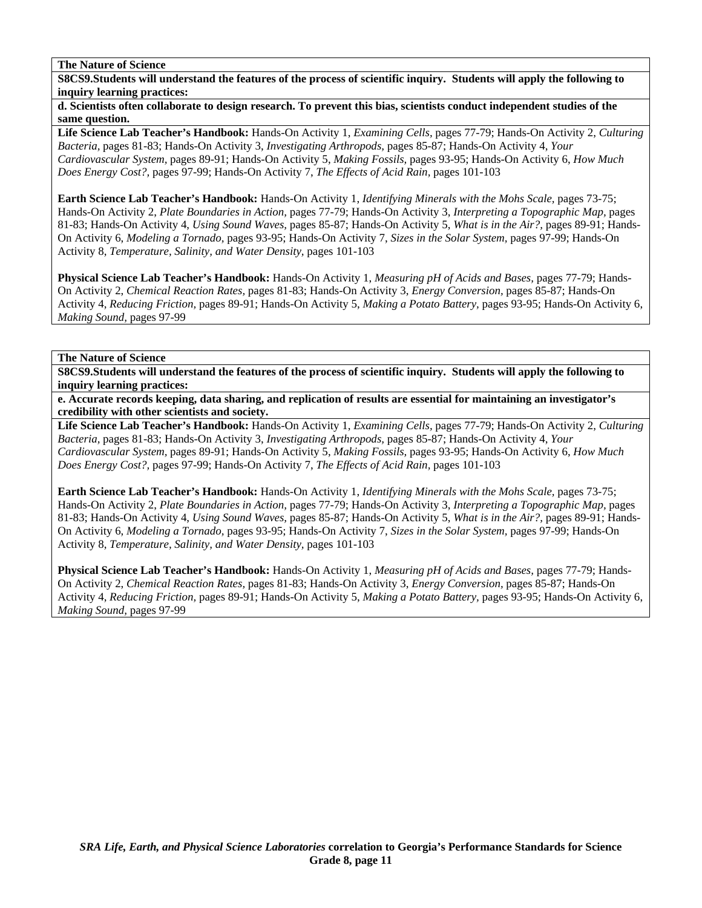**S8CS9.Students will understand the features of the process of scientific inquiry. Students will apply the following to inquiry learning practices:** 

#### **d. Scientists often collaborate to design research. To prevent this bias, scientists conduct independent studies of the same question.**

**Life Science Lab Teacher's Handbook:** Hands-On Activity 1, *Examining Cells,* pages 77-79; Hands-On Activity 2, *Culturing Bacteria,* pages 81-83; Hands-On Activity 3, *Investigating Arthropods,* pages 85-87; Hands-On Activity 4, *Your Cardiovascular System,* pages 89-91; Hands-On Activity 5, *Making Fossils,* pages 93-95; Hands-On Activity 6, *How Much Does Energy Cost?,* pages 97-99; Hands-On Activity 7, *The Effects of Acid Rain,* pages 101-103

**Earth Science Lab Teacher's Handbook:** Hands-On Activity 1, *Identifying Minerals with the Mohs Scale,* pages 73-75; Hands-On Activity 2, *Plate Boundaries in Action,* pages 77-79; Hands-On Activity 3, *Interpreting a Topographic Map,* pages 81-83; Hands-On Activity 4, *Using Sound Waves,* pages 85-87; Hands-On Activity 5, *What is in the Air?,* pages 89-91; Hands-On Activity 6, *Modeling a Tornado,* pages 93-95; Hands-On Activity 7, *Sizes in the Solar System,* pages 97-99; Hands-On Activity 8, *Temperature, Salinity, and Water Density,* pages 101-103

**Physical Science Lab Teacher's Handbook:** Hands-On Activity 1, *Measuring pH of Acids and Bases,* pages 77-79; Hands-On Activity 2, *Chemical Reaction Rates,* pages 81-83; Hands-On Activity 3, *Energy Conversion,* pages 85-87; Hands-On Activity 4, *Reducing Friction,* pages 89-91; Hands-On Activity 5, *Making a Potato Battery,* pages 93-95; Hands-On Activity 6, *Making Sound,* pages 97-99

**The Nature of Science** 

**S8CS9.Students will understand the features of the process of scientific inquiry. Students will apply the following to inquiry learning practices:** 

**e. Accurate records keeping, data sharing, and replication of results are essential for maintaining an investigator's credibility with other scientists and society.** 

**Life Science Lab Teacher's Handbook:** Hands-On Activity 1, *Examining Cells,* pages 77-79; Hands-On Activity 2, *Culturing Bacteria,* pages 81-83; Hands-On Activity 3, *Investigating Arthropods,* pages 85-87; Hands-On Activity 4, *Your Cardiovascular System,* pages 89-91; Hands-On Activity 5, *Making Fossils,* pages 93-95; Hands-On Activity 6, *How Much Does Energy Cost?,* pages 97-99; Hands-On Activity 7, *The Effects of Acid Rain,* pages 101-103

**Earth Science Lab Teacher's Handbook:** Hands-On Activity 1, *Identifying Minerals with the Mohs Scale,* pages 73-75; Hands-On Activity 2, *Plate Boundaries in Action,* pages 77-79; Hands-On Activity 3, *Interpreting a Topographic Map,* pages 81-83; Hands-On Activity 4, *Using Sound Waves,* pages 85-87; Hands-On Activity 5, *What is in the Air?,* pages 89-91; Hands-On Activity 6, *Modeling a Tornado,* pages 93-95; Hands-On Activity 7, *Sizes in the Solar System,* pages 97-99; Hands-On Activity 8, *Temperature, Salinity, and Water Density,* pages 101-103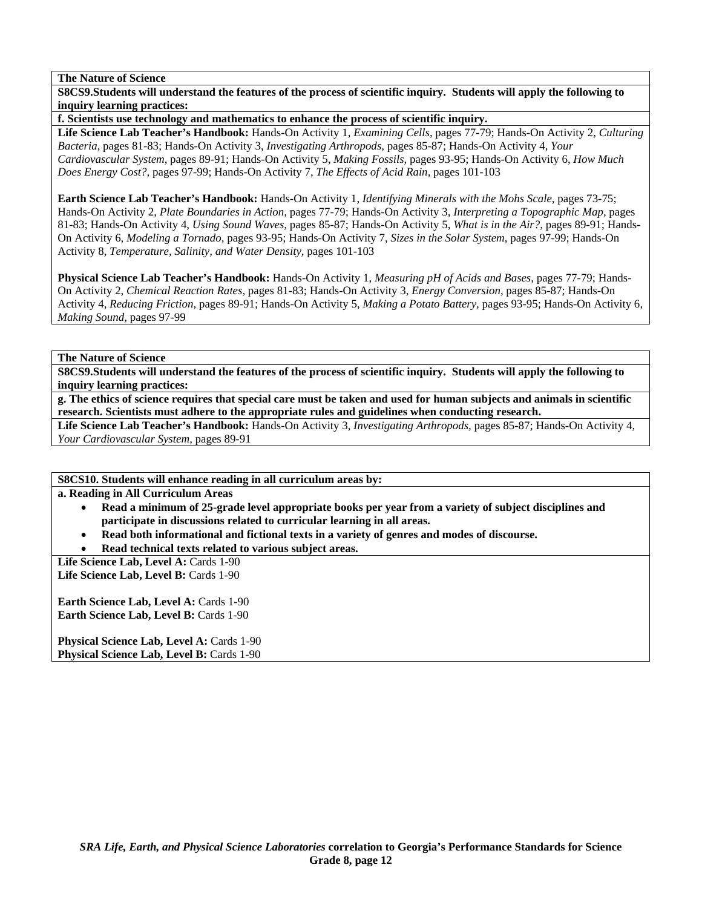**S8CS9.Students will understand the features of the process of scientific inquiry. Students will apply the following to inquiry learning practices:** 

**f. Scientists use technology and mathematics to enhance the process of scientific inquiry.** 

**Life Science Lab Teacher's Handbook:** Hands-On Activity 1, *Examining Cells,* pages 77-79; Hands-On Activity 2, *Culturing Bacteria,* pages 81-83; Hands-On Activity 3, *Investigating Arthropods,* pages 85-87; Hands-On Activity 4, *Your Cardiovascular System,* pages 89-91; Hands-On Activity 5, *Making Fossils,* pages 93-95; Hands-On Activity 6, *How Much Does Energy Cost?,* pages 97-99; Hands-On Activity 7, *The Effects of Acid Rain,* pages 101-103

**Earth Science Lab Teacher's Handbook:** Hands-On Activity 1, *Identifying Minerals with the Mohs Scale,* pages 73-75; Hands-On Activity 2, *Plate Boundaries in Action,* pages 77-79; Hands-On Activity 3, *Interpreting a Topographic Map,* pages 81-83; Hands-On Activity 4, *Using Sound Waves,* pages 85-87; Hands-On Activity 5, *What is in the Air?,* pages 89-91; Hands-On Activity 6, *Modeling a Tornado,* pages 93-95; Hands-On Activity 7, *Sizes in the Solar System,* pages 97-99; Hands-On Activity 8, *Temperature, Salinity, and Water Density,* pages 101-103

**Physical Science Lab Teacher's Handbook:** Hands-On Activity 1, *Measuring pH of Acids and Bases,* pages 77-79; Hands-On Activity 2, *Chemical Reaction Rates,* pages 81-83; Hands-On Activity 3, *Energy Conversion,* pages 85-87; Hands-On Activity 4, *Reducing Friction,* pages 89-91; Hands-On Activity 5, *Making a Potato Battery,* pages 93-95; Hands-On Activity 6, *Making Sound,* pages 97-99

**The Nature of Science** 

**S8CS9.Students will understand the features of the process of scientific inquiry. Students will apply the following to inquiry learning practices:** 

**g. The ethics of science requires that special care must be taken and used for human subjects and animals in scientific research. Scientists must adhere to the appropriate rules and guidelines when conducting research.** 

**Life Science Lab Teacher's Handbook:** Hands-On Activity 3, *Investigating Arthropods,* pages 85-87; Hands-On Activity 4, *Your Cardiovascular System,* pages 89-91

**S8CS10. Students will enhance reading in all curriculum areas by:** 

**a. Reading in All Curriculum Areas** 

- **Read a minimum of 25-grade level appropriate books per year from a variety of subject disciplines and participate in discussions related to curricular learning in all areas.**
- **Read both informational and fictional texts in a variety of genres and modes of discourse.**

• **Read technical texts related to various subject areas.** 

Life Science Lab, Level A: Cards 1-90 Life Science Lab, Level B: Cards 1-90

**Earth Science Lab, Level A: Cards 1-90 Earth Science Lab, Level B: Cards 1-90** 

**Physical Science Lab, Level A: Cards 1-90** Physical Science Lab, Level B: Cards 1-90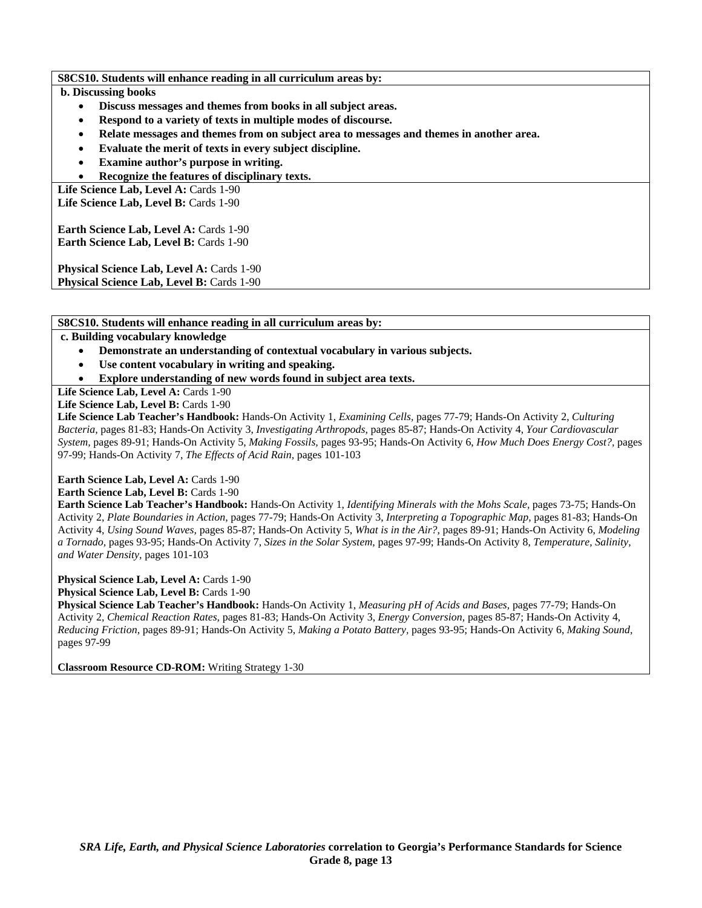# **S8CS10. Students will enhance reading in all curriculum areas by:**

# **b. Discussing books**

- **Discuss messages and themes from books in all subject areas.**
- **Respond to a variety of texts in multiple modes of discourse.**
- **Relate messages and themes from on subject area to messages and themes in another area.**
- **Evaluate the merit of texts in every subject discipline.**
- **Examine author's purpose in writing.**
- **Recognize the features of disciplinary texts.**

Life Science Lab, Level A: Cards 1-90 Life Science Lab, Level B: Cards 1-90

**Earth Science Lab, Level A: Cards 1-90 Earth Science Lab, Level B: Cards 1-90** 

**Physical Science Lab, Level A: Cards 1-90** Physical Science Lab, Level B: Cards 1-90

**S8CS10. Students will enhance reading in all curriculum areas by:** 

## **c. Building vocabulary knowledge**

- **Demonstrate an understanding of contextual vocabulary in various subjects.**
- **Use content vocabulary in writing and speaking.**
- **Explore understanding of new words found in subject area texts.**

Life Science Lab, Level A: Cards 1-90

Life Science Lab, Level B: Cards 1-90

**Life Science Lab Teacher's Handbook:** Hands-On Activity 1, *Examining Cells,* pages 77-79; Hands-On Activity 2, *Culturing Bacteria,* pages 81-83; Hands-On Activity 3, *Investigating Arthropods,* pages 85-87; Hands-On Activity 4, *Your Cardiovascular System,* pages 89-91; Hands-On Activity 5, *Making Fossils,* pages 93-95; Hands-On Activity 6, *How Much Does Energy Cost?,* pages 97-99; Hands-On Activity 7, *The Effects of Acid Rain,* pages 101-103

# **Earth Science Lab, Level A: Cards 1-90**

Earth Science Lab, Level B: Cards 1-90

**Earth Science Lab Teacher's Handbook:** Hands-On Activity 1, *Identifying Minerals with the Mohs Scale,* pages 73-75; Hands-On Activity 2, *Plate Boundaries in Action,* pages 77-79; Hands-On Activity 3, *Interpreting a Topographic Map,* pages 81-83; Hands-On Activity 4, *Using Sound Waves,* pages 85-87; Hands-On Activity 5, *What is in the Air?,* pages 89-91; Hands-On Activity 6, *Modeling a Tornado,* pages 93-95; Hands-On Activity 7, *Sizes in the Solar System,* pages 97-99; Hands-On Activity 8, *Temperature, Salinity, and Water Density,* pages 101-103

Physical Science Lab, Level A: Cards 1-90

**Physical Science Lab, Level B: Cards 1-90** 

**Physical Science Lab Teacher's Handbook:** Hands-On Activity 1, *Measuring pH of Acids and Bases,* pages 77-79; Hands-On Activity 2, *Chemical Reaction Rates,* pages 81-83; Hands-On Activity 3, *Energy Conversion,* pages 85-87; Hands-On Activity 4, *Reducing Friction,* pages 89-91; Hands-On Activity 5, *Making a Potato Battery,* pages 93-95; Hands-On Activity 6, *Making Sound,* pages 97-99

**Classroom Resource CD-ROM:** Writing Strategy 1-30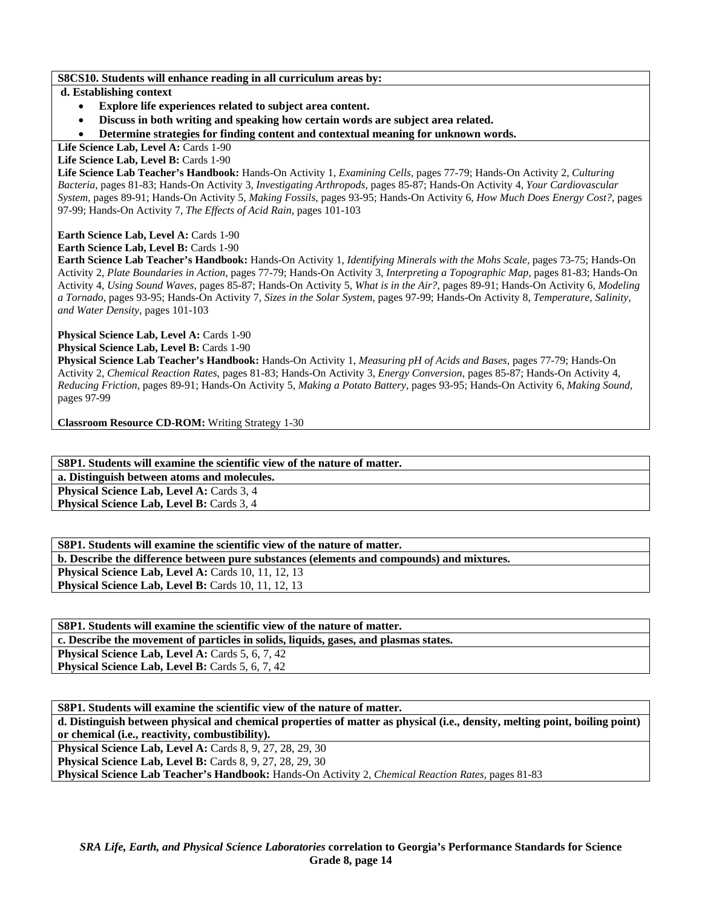# **S8CS10. Students will enhance reading in all curriculum areas by:**

# **d. Establishing context**

- **Explore life experiences related to subject area content.**
- **Discuss in both writing and speaking how certain words are subject area related.**
- **Determine strategies for finding content and contextual meaning for unknown words.**

Life Science Lab, Level A: Cards 1-90

**Life Science Lab, Level B:** Cards 1-90

**Life Science Lab Teacher's Handbook:** Hands-On Activity 1, *Examining Cells,* pages 77-79; Hands-On Activity 2, *Culturing Bacteria,* pages 81-83; Hands-On Activity 3, *Investigating Arthropods,* pages 85-87; Hands-On Activity 4, *Your Cardiovascular System,* pages 89-91; Hands-On Activity 5, *Making Fossils,* pages 93-95; Hands-On Activity 6, *How Much Does Energy Cost?,* pages 97-99; Hands-On Activity 7, *The Effects of Acid Rain,* pages 101-103

# **Earth Science Lab, Level A: Cards 1-90**

**Earth Science Lab, Level B: Cards 1-90** 

**Earth Science Lab Teacher's Handbook:** Hands-On Activity 1, *Identifying Minerals with the Mohs Scale,* pages 73-75; Hands-On Activity 2, *Plate Boundaries in Action,* pages 77-79; Hands-On Activity 3, *Interpreting a Topographic Map,* pages 81-83; Hands-On Activity 4, *Using Sound Waves,* pages 85-87; Hands-On Activity 5, *What is in the Air?,* pages 89-91; Hands-On Activity 6, *Modeling a Tornado,* pages 93-95; Hands-On Activity 7, *Sizes in the Solar System,* pages 97-99; Hands-On Activity 8, *Temperature, Salinity, and Water Density,* pages 101-103

Physical Science Lab, Level A: Cards 1-90

**Physical Science Lab, Level B: Cards 1-90** 

**Physical Science Lab Teacher's Handbook:** Hands-On Activity 1, *Measuring pH of Acids and Bases,* pages 77-79; Hands-On Activity 2, *Chemical Reaction Rates,* pages 81-83; Hands-On Activity 3, *Energy Conversion,* pages 85-87; Hands-On Activity 4, *Reducing Friction,* pages 89-91; Hands-On Activity 5, *Making a Potato Battery,* pages 93-95; Hands-On Activity 6, *Making Sound,* pages 97-99

**Classroom Resource CD-ROM:** Writing Strategy 1-30

**S8P1. Students will examine the scientific view of the nature of matter.** 

**a. Distinguish between atoms and molecules. Physical Science Lab, Level A: Cards 3, 4** 

**Physical Science Lab, Level B: Cards 3, 4** 

**S8P1. Students will examine the scientific view of the nature of matter. b. Describe the difference between pure substances (elements and compounds) and mixtures. Physical Science Lab, Level A: Cards 10, 11, 12, 13 Physical Science Lab, Level B: Cards 10, 11, 12, 13** 

**S8P1. Students will examine the scientific view of the nature of matter. c. Describe the movement of particles in solids, liquids, gases, and plasmas states. Physical Science Lab, Level A: Cards 5, 6, 7, 42 Physical Science Lab, Level B: Cards 5, 6, 7, 42** 

**S8P1. Students will examine the scientific view of the nature of matter. d. Distinguish between physical and chemical properties of matter as physical (i.e., density, melting point, boiling point) or chemical (i.e., reactivity, combustibility). Physical Science Lab, Level A: Cards 8, 9, 27, 28, 29, 30 Physical Science Lab, Level B:** Cards 8, 9, 27, 28, 29, 30 **Physical Science Lab Teacher's Handbook:** Hands-On Activity 2, *Chemical Reaction Rates,* pages 81-83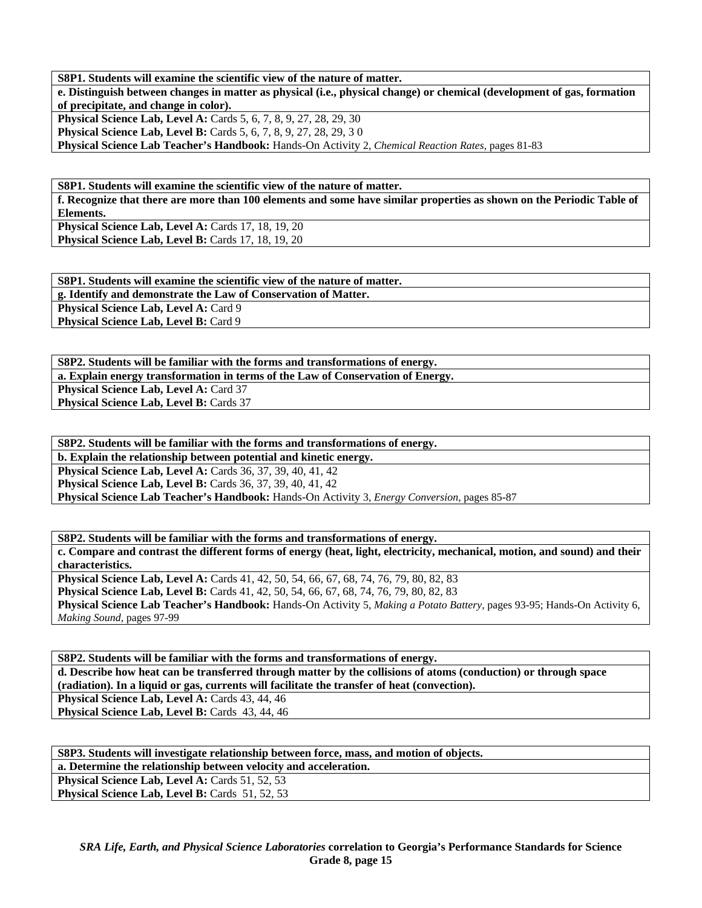**S8P1. Students will examine the scientific view of the nature of matter.** 

**e. Distinguish between changes in matter as physical (i.e., physical change) or chemical (development of gas, formation of precipitate, and change in color).** 

**Physical Science Lab, Level A:** Cards 5, 6, 7, 8, 9, 27, 28, 29, 30 **Physical Science Lab, Level B:** Cards 5, 6, 7, 8, 9, 27, 28, 29, 30

**Physical Science Lab Teacher's Handbook:** Hands-On Activity 2, *Chemical Reaction Rates,* pages 81-83

**S8P1. Students will examine the scientific view of the nature of matter. f. Recognize that there are more than 100 elements and some have similar properties as shown on the Periodic Table of Elements. Physical Science Lab, Level A:** Cards 17, 18, 19, 20

**Physical Science Lab, Level B: Cards 17, 18, 19, 20** 

**S8P1. Students will examine the scientific view of the nature of matter. g. Identify and demonstrate the Law of Conservation of Matter.**  Physical Science Lab, Level A: Card 9 **Physical Science Lab, Level B: Card 9** 

**S8P2. Students will be familiar with the forms and transformations of energy. a. Explain energy transformation in terms of the Law of Conservation of Energy. Physical Science Lab, Level A: Card 37** Physical Science Lab, Level B: Cards 37

**S8P2. Students will be familiar with the forms and transformations of energy. b. Explain the relationship between potential and kinetic energy. Physical Science Lab, Level A: Cards 36, 37, 39, 40, 41, 42 Physical Science Lab, Level B:** Cards 36, 37, 39, 40, 41, 42 **Physical Science Lab Teacher's Handbook:** Hands-On Activity 3, *Energy Conversion,* pages 85-87

**S8P2. Students will be familiar with the forms and transformations of energy. c. Compare and contrast the different forms of energy (heat, light, electricity, mechanical, motion, and sound) and their characteristics. Physical Science Lab, Level A:** Cards 41, 42, 50, 54, 66, 67, 68, 74, 76, 79, 80, 82, 83 **Physical Science Lab, Level B:** Cards 41, 42, 50, 54, 66, 67, 68, 74, 76, 79, 80, 82, 83

**Physical Science Lab Teacher's Handbook:** Hands-On Activity 5, *Making a Potato Battery,* pages 93-95; Hands-On Activity 6, *Making Sound,* pages 97-99

**S8P2. Students will be familiar with the forms and transformations of energy. d. Describe how heat can be transferred through matter by the collisions of atoms (conduction) or through space (radiation). In a liquid or gas, currents will facilitate the transfer of heat (convection).**  Physical Science Lab, Level A: Cards 43, 44, 46

Physical Science Lab, Level B: Cards 43, 44, 46

**S8P3. Students will investigate relationship between force, mass, and motion of objects. a. Determine the relationship between velocity and acceleration.**  Physical Science Lab, Level A: Cards 51, 52, 53 **Physical Science Lab, Level B: Cards 51, 52, 53**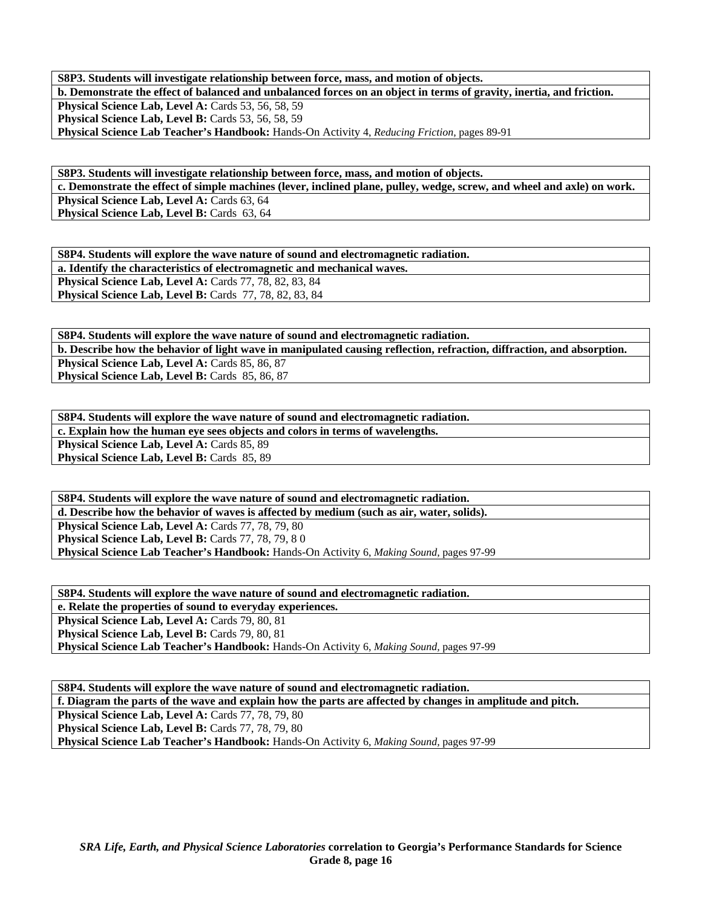**S8P3. Students will investigate relationship between force, mass, and motion of objects. b. Demonstrate the effect of balanced and unbalanced forces on an object in terms of gravity, inertia, and friction. Physical Science Lab, Level A: Cards 53, 56, 58, 59** Physical Science Lab, Level B: Cards 53, 56, 58, 59 **Physical Science Lab Teacher's Handbook:** Hands-On Activity 4, *Reducing Friction,* pages 89-91

**S8P3. Students will investigate relationship between force, mass, and motion of objects. c. Demonstrate the effect of simple machines (lever, inclined plane, pulley, wedge, screw, and wheel and axle) on work. Physical Science Lab, Level A: Cards 63, 64 Physical Science Lab, Level B: Cards 63, 64** 

**S8P4. Students will explore the wave nature of sound and electromagnetic radiation. a. Identify the characteristics of electromagnetic and mechanical waves. Physical Science Lab, Level A: Cards 77, 78, 82, 83, 84 Physical Science Lab, Level B: Cards 77, 78, 82, 83, 84** 

**S8P4. Students will explore the wave nature of sound and electromagnetic radiation. b. Describe how the behavior of light wave in manipulated causing reflection, refraction, diffraction, and absorption.**  Physical Science Lab, Level A: Cards 85, 86, 87 Physical Science Lab, Level B: Cards 85, 86, 87

**S8P4. Students will explore the wave nature of sound and electromagnetic radiation. c. Explain how the human eye sees objects and colors in terms of wavelengths. Physical Science Lab, Level A: Cards 85, 89** Physical Science Lab, Level B: Cards 85, 89

**S8P4. Students will explore the wave nature of sound and electromagnetic radiation. d. Describe how the behavior of waves is affected by medium (such as air, water, solids). Physical Science Lab, Level A: Cards 77, 78, 79, 80 Physical Science Lab, Level B: Cards 77, 78, 79, 8 0 Physical Science Lab Teacher's Handbook:** Hands-On Activity 6, *Making Sound,* pages 97-99

**S8P4. Students will explore the wave nature of sound and electromagnetic radiation. e. Relate the properties of sound to everyday experiences. Physical Science Lab, Level A: Cards 79, 80, 81 Physical Science Lab, Level B: Cards 79, 80, 81 Physical Science Lab Teacher's Handbook:** Hands-On Activity 6, *Making Sound,* pages 97-99

**S8P4. Students will explore the wave nature of sound and electromagnetic radiation. f. Diagram the parts of the wave and explain how the parts are affected by changes in amplitude and pitch. Physical Science Lab, Level A: Cards 77, 78, 79, 80 Physical Science Lab, Level B: Cards 77, 78, 79, 80 Physical Science Lab Teacher's Handbook:** Hands-On Activity 6, *Making Sound,* pages 97-99